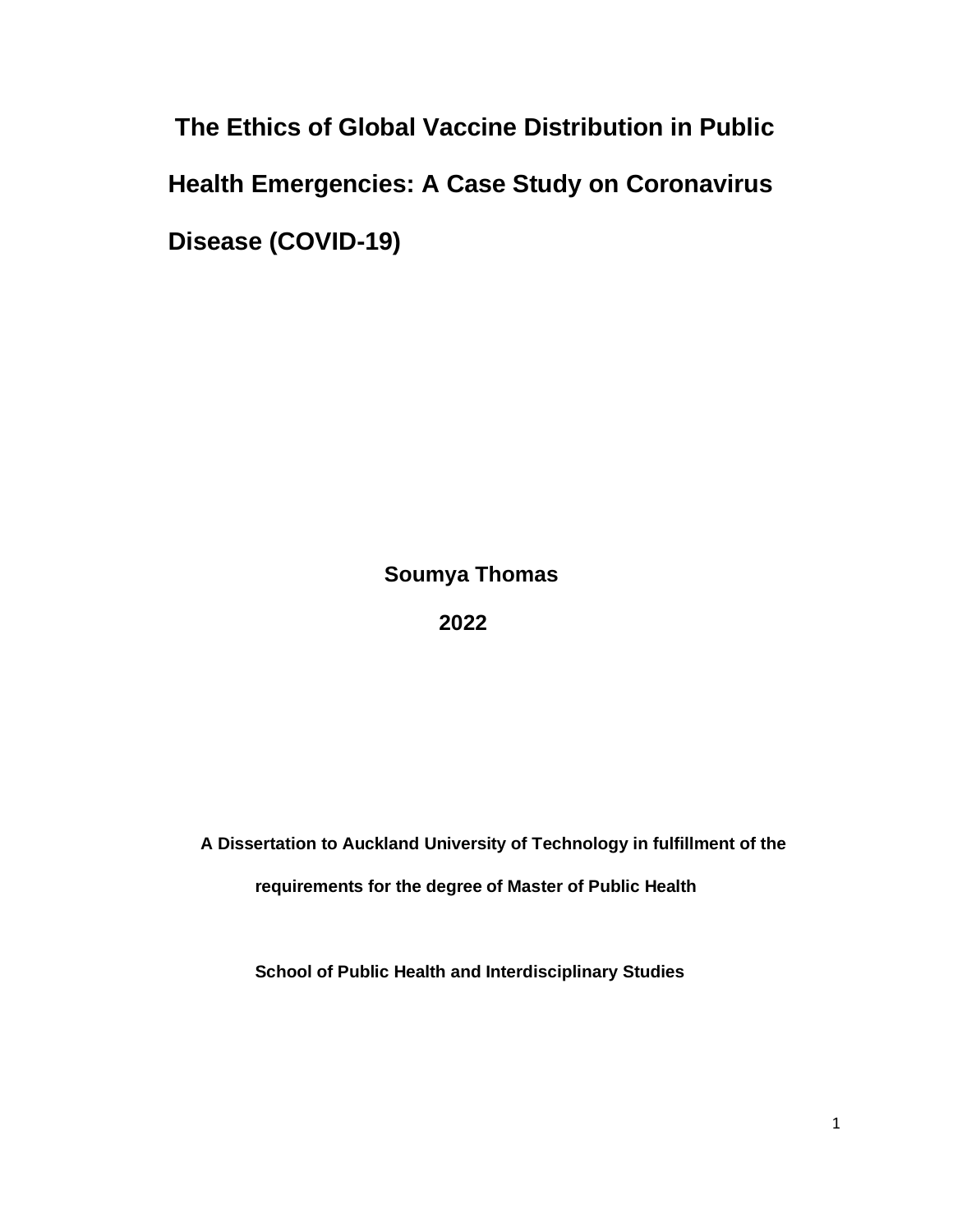**The Ethics of Global Vaccine Distribution in Public Health Emergencies: A Case Study on Coronavirus Disease (COVID-19)**

 **Soumya Thomas**

 **2022**

 **A Dissertation to Auckland University of Technology in fulfillment of the requirements for the degree of Master of Public Health** 

 **School of Public Health and Interdisciplinary Studies**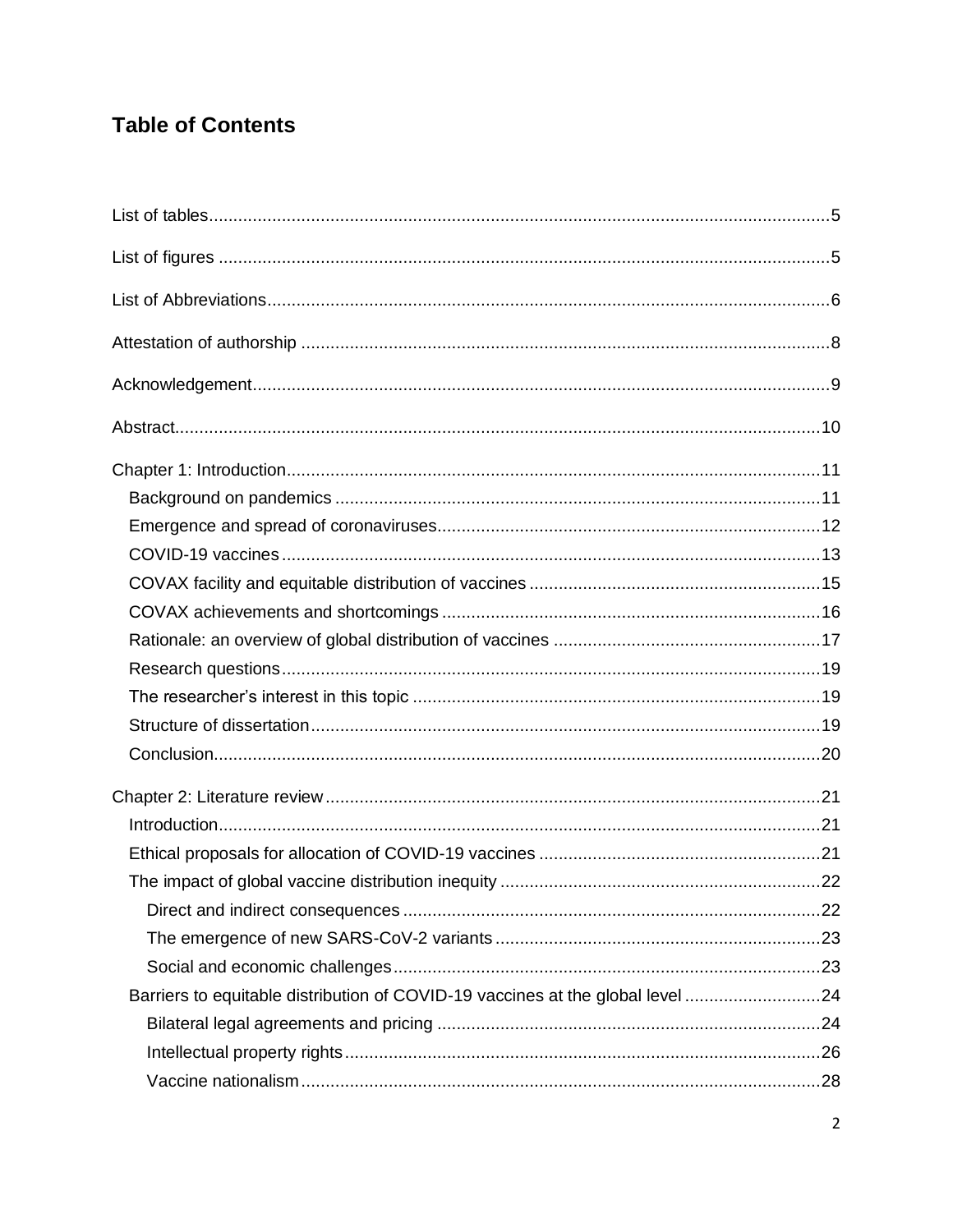# **Table of Contents**

| Barriers to equitable distribution of COVID-19 vaccines at the global level24 |  |
|-------------------------------------------------------------------------------|--|
|                                                                               |  |
|                                                                               |  |
|                                                                               |  |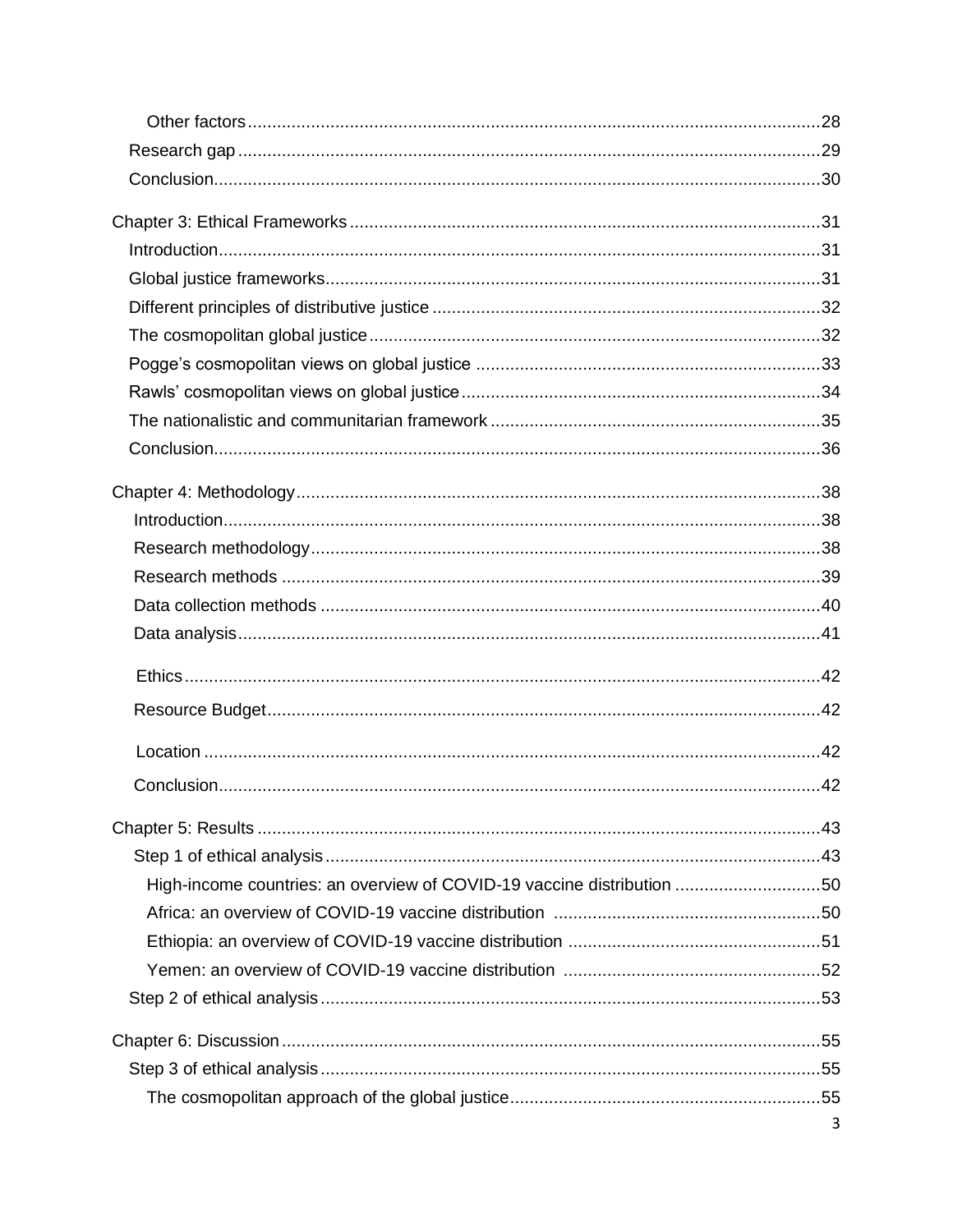| High-income countries: an overview of COVID-19 vaccine distribution 50 |   |
|------------------------------------------------------------------------|---|
|                                                                        |   |
|                                                                        |   |
|                                                                        |   |
|                                                                        |   |
|                                                                        |   |
|                                                                        |   |
|                                                                        |   |
|                                                                        | 3 |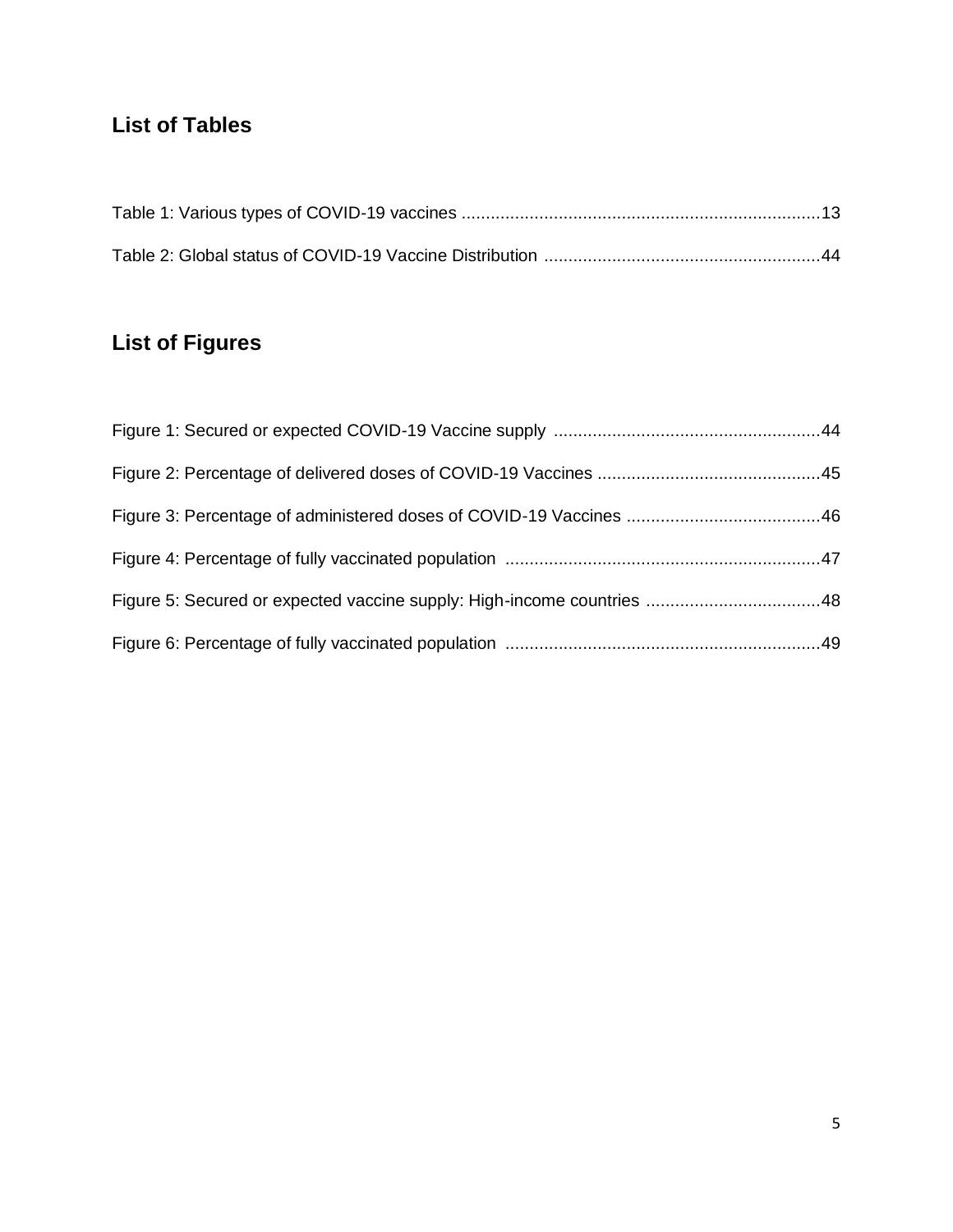# **List of Tables**

# **List of Figures**

| Figure 5: Secured or expected vaccine supply: High-income countries 48 |  |
|------------------------------------------------------------------------|--|
|                                                                        |  |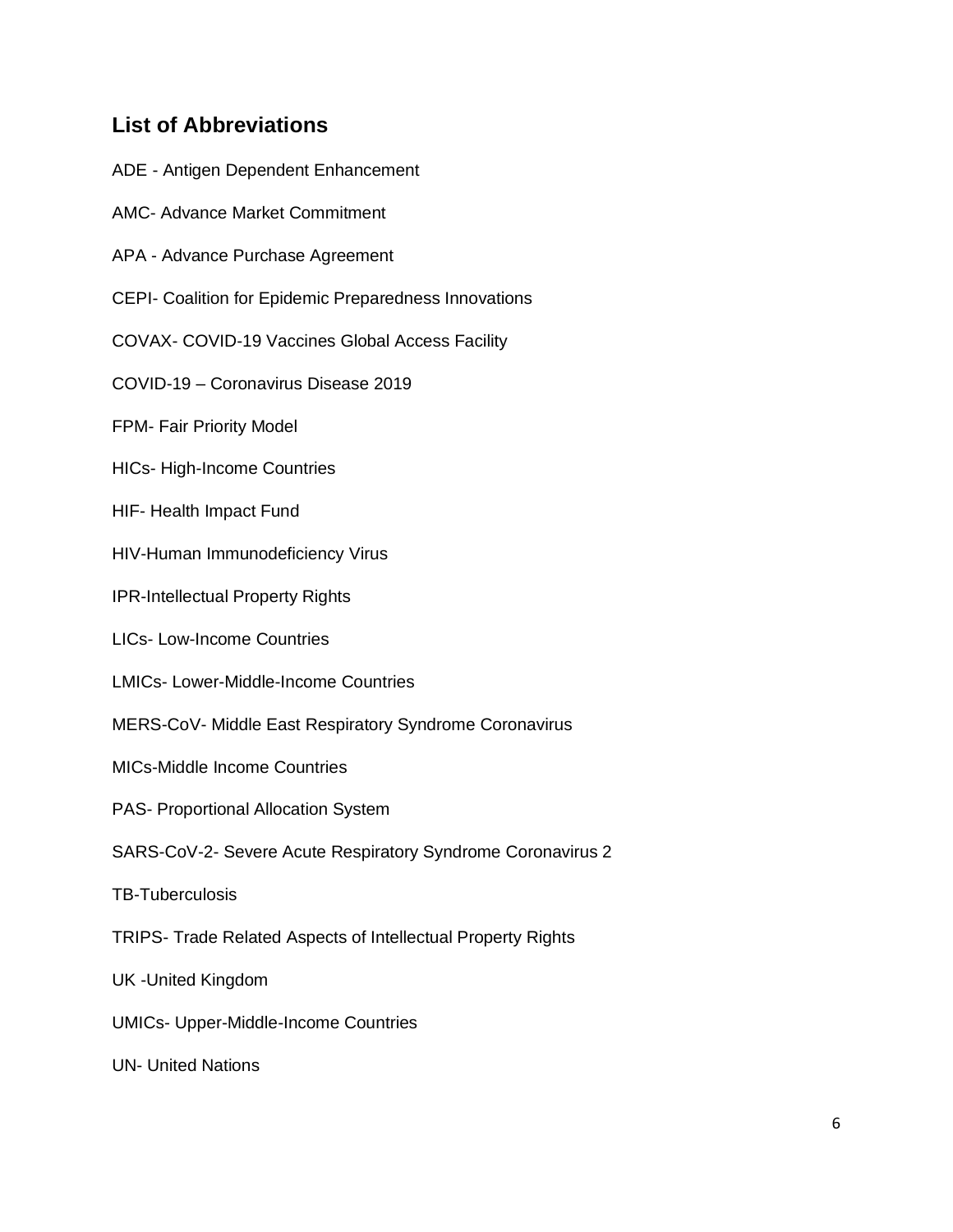## **List of Abbreviations**

- ADE Antigen Dependent Enhancement
- AMC- Advance Market Commitment
- APA Advance Purchase Agreement
- CEPI- Coalition for Epidemic Preparedness Innovations
- COVAX- COVID-19 Vaccines Global Access Facility
- COVID-19 Coronavirus Disease 2019
- FPM- Fair Priority Model
- HICs- High-Income Countries
- HIF- Health Impact Fund
- HIV-Human Immunodeficiency Virus
- IPR-Intellectual Property Rights
- LICs- Low-Income Countries
- LMICs- Lower-Middle-Income Countries
- MERS-CoV- Middle East Respiratory Syndrome Coronavirus
- MICs-Middle Income Countries
- PAS- Proportional Allocation System
- SARS-CoV-2- Severe Acute Respiratory Syndrome Coronavirus 2
- TB-Tuberculosis
- TRIPS- Trade Related Aspects of Intellectual Property Rights
- UK -United Kingdom
- UMICs- Upper-Middle-Income Countries
- UN- United Nations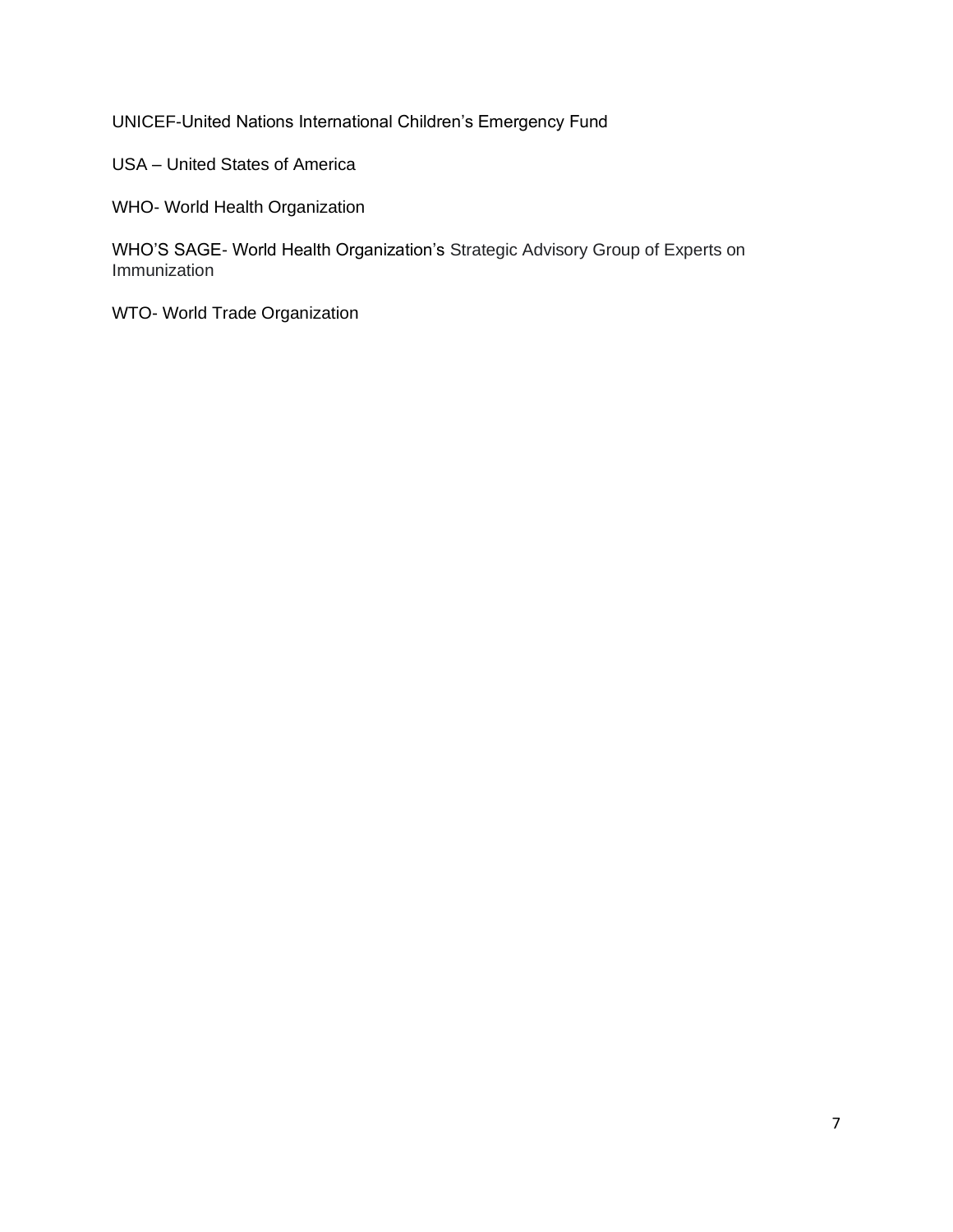UNICEF-United Nations International Children's Emergency Fund

USA – United States of America

WHO- World Health Organization

WHO'S SAGE- World Health Organization's Strategic Advisory Group of Experts on Immunization

WTO- World Trade Organization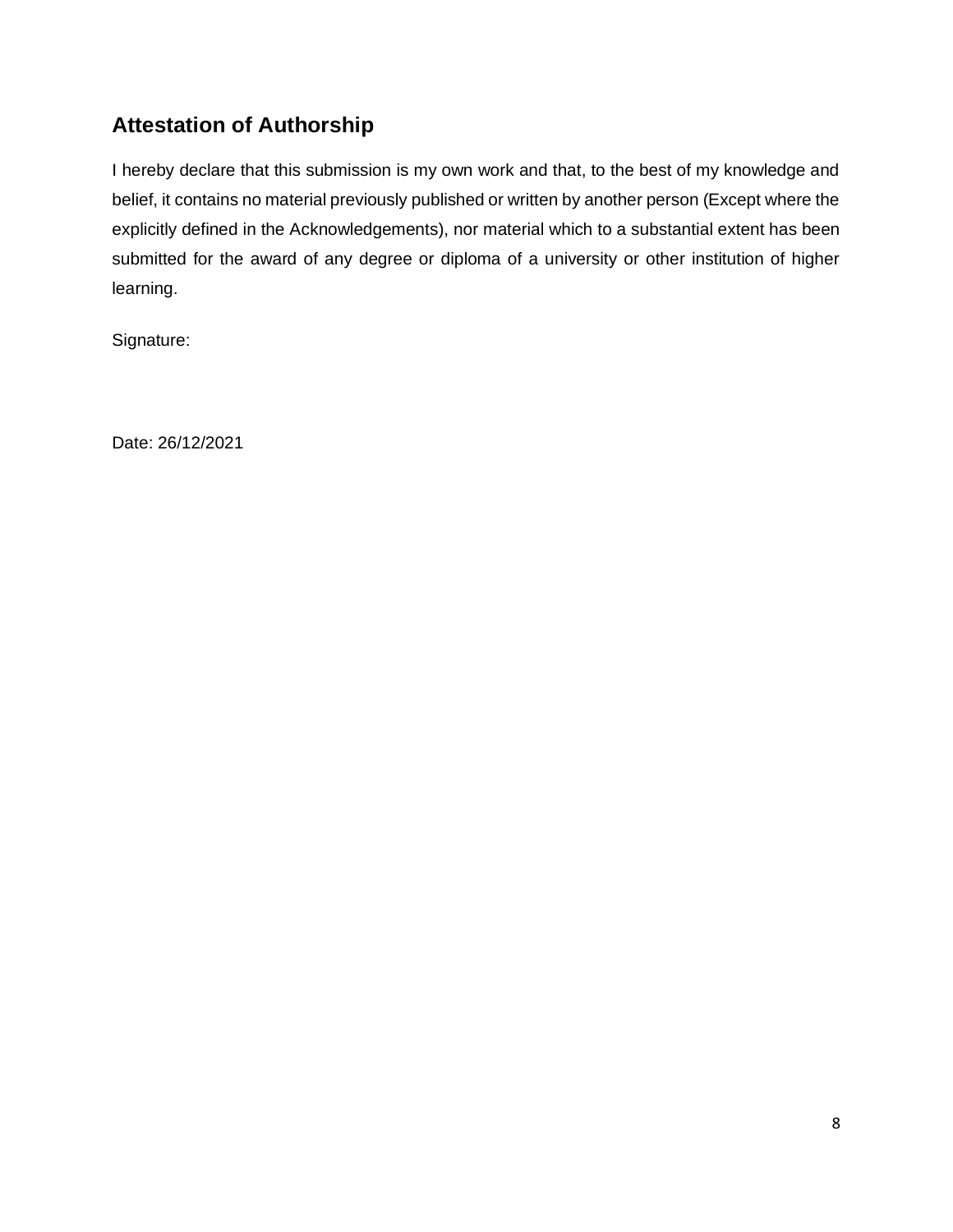## **Attestation of Authorship**

I hereby declare that this submission is my own work and that, to the best of my knowledge and belief, it contains no material previously published or written by another person (Except where the explicitly defined in the Acknowledgements), nor material which to a substantial extent has been submitted for the award of any degree or diploma of a university or other institution of higher learning.

Signature:

Date: 26/12/2021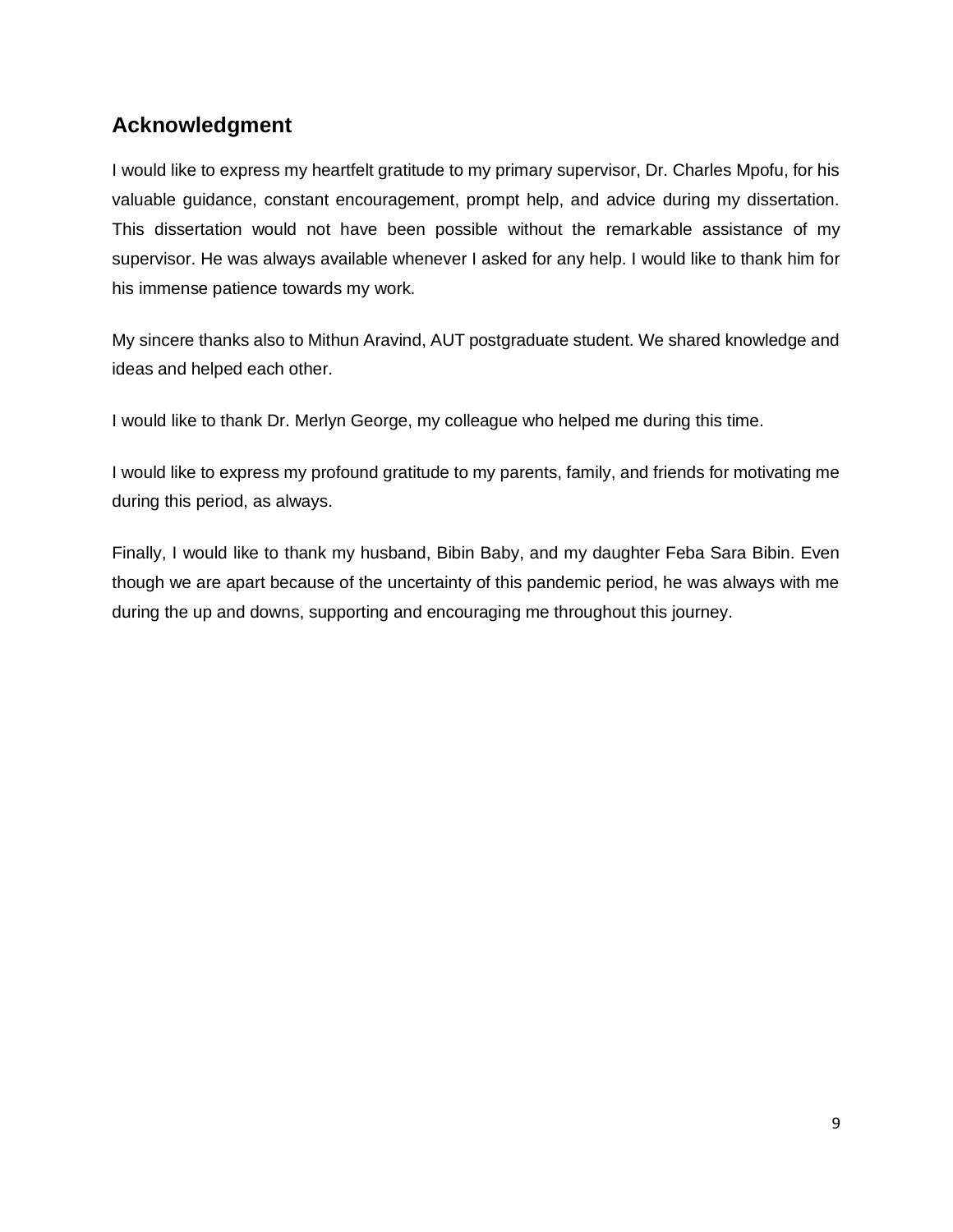## **Acknowledgment**

I would like to express my heartfelt gratitude to my primary supervisor, Dr. Charles Mpofu, for his valuable guidance, constant encouragement, prompt help, and advice during my dissertation. This dissertation would not have been possible without the remarkable assistance of my supervisor. He was always available whenever I asked for any help. I would like to thank him for his immense patience towards my work.

My sincere thanks also to Mithun Aravind, AUT postgraduate student. We shared knowledge and ideas and helped each other.

I would like to thank Dr. Merlyn George, my colleague who helped me during this time.

I would like to express my profound gratitude to my parents, family, and friends for motivating me during this period, as always.

Finally, I would like to thank my husband, Bibin Baby, and my daughter Feba Sara Bibin. Even though we are apart because of the uncertainty of this pandemic period, he was always with me during the up and downs, supporting and encouraging me throughout this journey.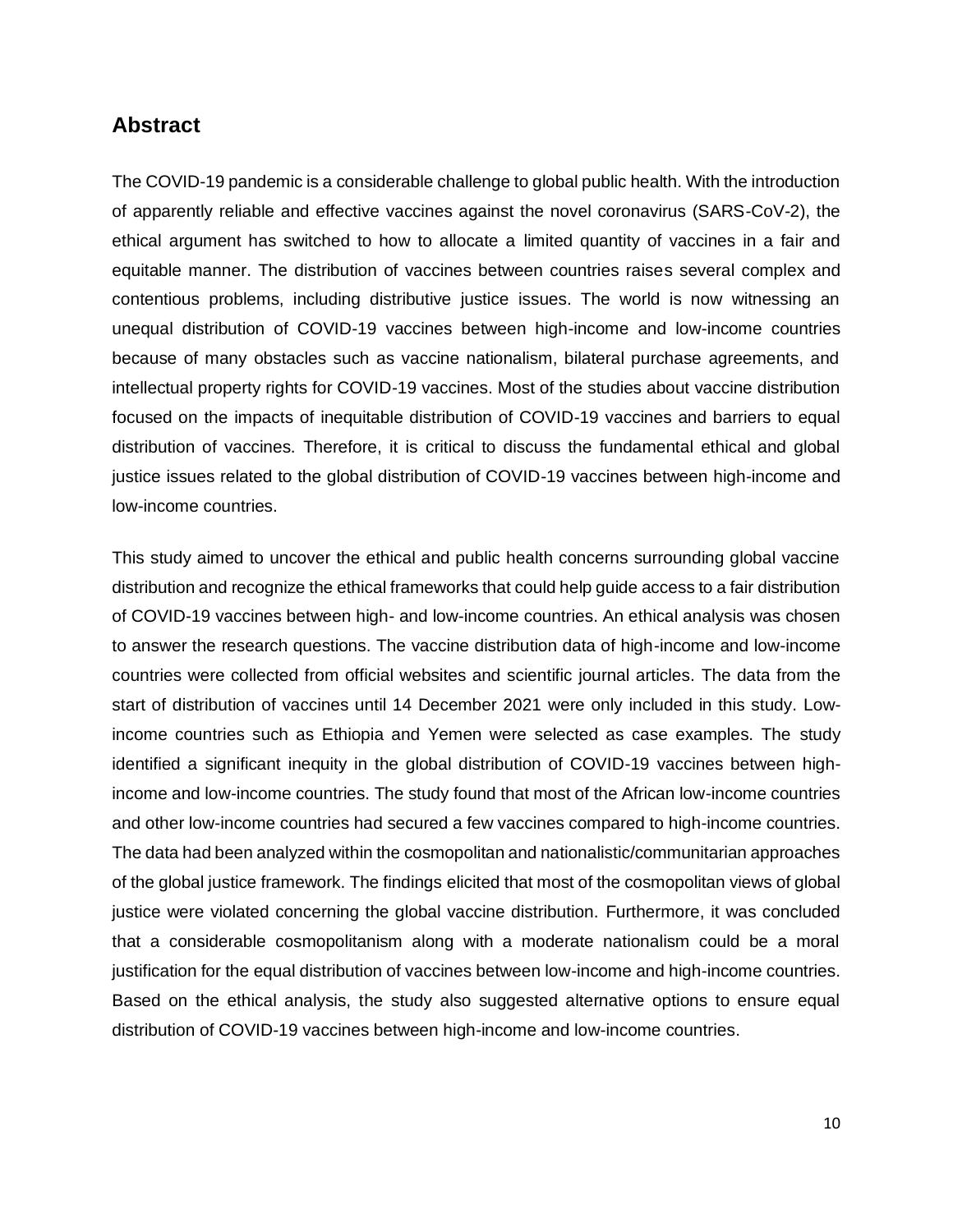## **Abstract**

The COVID-19 pandemic is a considerable challenge to global public health. With the introduction of apparently reliable and effective vaccines against the novel coronavirus (SARS-CoV-2), the ethical argument has switched to how to allocate a limited quantity of vaccines in a fair and equitable manner. The distribution of vaccines between countries raises several complex and contentious problems, including distributive justice issues. The world is now witnessing an unequal distribution of COVID-19 vaccines between high-income and low-income countries because of many obstacles such as vaccine nationalism, bilateral purchase agreements, and intellectual property rights for COVID-19 vaccines. Most of the studies about vaccine distribution focused on the impacts of inequitable distribution of COVID-19 vaccines and barriers to equal distribution of vaccines. Therefore, it is critical to discuss the fundamental ethical and global justice issues related to the global distribution of COVID-19 vaccines between high-income and low-income countries.

This study aimed to uncover the ethical and public health concerns surrounding global vaccine distribution and recognize the ethical frameworks that could help guide access to a fair distribution of COVID-19 vaccines between high- and low-income countries. An ethical analysis was chosen to answer the research questions. The vaccine distribution data of high-income and low-income countries were collected from official websites and scientific journal articles. The data from the start of distribution of vaccines until 14 December 2021 were only included in this study. Lowincome countries such as Ethiopia and Yemen were selected as case examples. The study identified a significant inequity in the global distribution of COVID-19 vaccines between highincome and low-income countries. The study found that most of the African low-income countries and other low-income countries had secured a few vaccines compared to high-income countries. The data had been analyzed within the cosmopolitan and nationalistic/communitarian approaches of the global justice framework. The findings elicited that most of the cosmopolitan views of global justice were violated concerning the global vaccine distribution. Furthermore, it was concluded that a considerable cosmopolitanism along with a moderate nationalism could be a moral justification for the equal distribution of vaccines between low-income and high-income countries. Based on the ethical analysis, the study also suggested alternative options to ensure equal distribution of COVID-19 vaccines between high-income and low-income countries.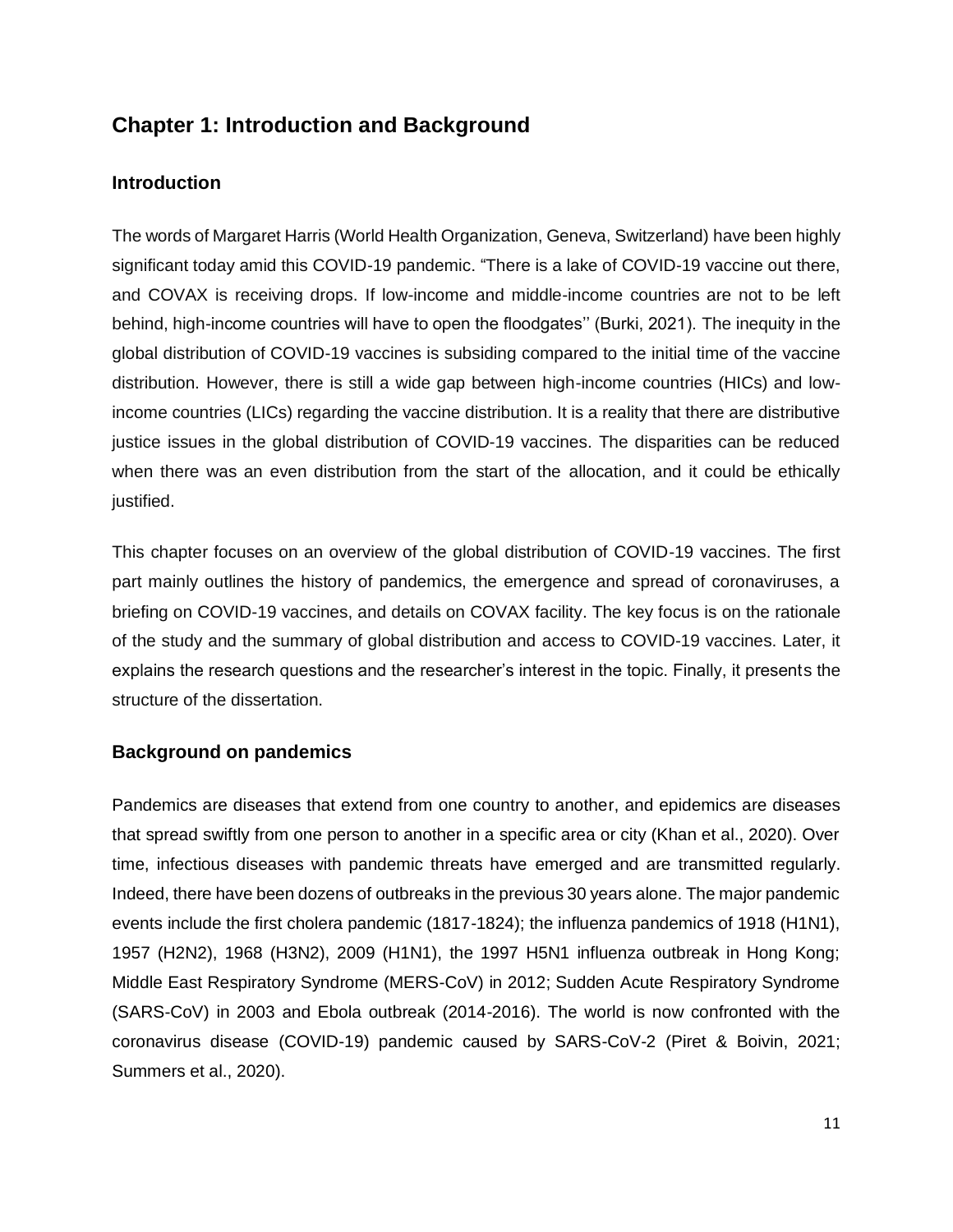## **Chapter 1: Introduction and Background**

## **Introduction**

The words of Margaret Harris (World Health Organization, Geneva, Switzerland) have been highly significant today amid this COVID-19 pandemic. "There is a lake of COVID-19 vaccine out there, and COVAX is receiving drops. If low-income and middle-income countries are not to be left behind, high-income countries will have to open the floodgates'' (Burki, 2021). The inequity in the global distribution of COVID-19 vaccines is subsiding compared to the initial time of the vaccine distribution. However, there is still a wide gap between high-income countries (HICs) and lowincome countries (LICs) regarding the vaccine distribution. It is a reality that there are distributive justice issues in the global distribution of COVID-19 vaccines. The disparities can be reduced when there was an even distribution from the start of the allocation, and it could be ethically justified.

This chapter focuses on an overview of the global distribution of COVID-19 vaccines. The first part mainly outlines the history of pandemics, the emergence and spread of coronaviruses, a briefing on COVID-19 vaccines, and details on COVAX facility. The key focus is on the rationale of the study and the summary of global distribution and access to COVID-19 vaccines. Later, it explains the research questions and the researcher's interest in the topic. Finally, it presents the structure of the dissertation.

## **Background on pandemics**

Pandemics are diseases that extend from one country to another, and epidemics are diseases that spread swiftly from one person to another in a specific area or city (Khan et al., 2020). Over time, infectious diseases with pandemic threats have emerged and are transmitted regularly. Indeed, there have been dozens of outbreaks in the previous 30 years alone. The major pandemic events include the first cholera pandemic (1817-1824); the influenza pandemics of 1918 (H1N1), 1957 (H2N2), 1968 (H3N2), 2009 (H1N1), the 1997 H5N1 influenza outbreak in Hong Kong; Middle East Respiratory Syndrome (MERS-CoV) in 2012; Sudden Acute Respiratory Syndrome (SARS-CoV) in 2003 and Ebola outbreak (2014-2016). The world is now confronted with the coronavirus disease (COVID-19) pandemic caused by SARS-CoV-2 (Piret & Boivin, 2021; Summers et al., 2020).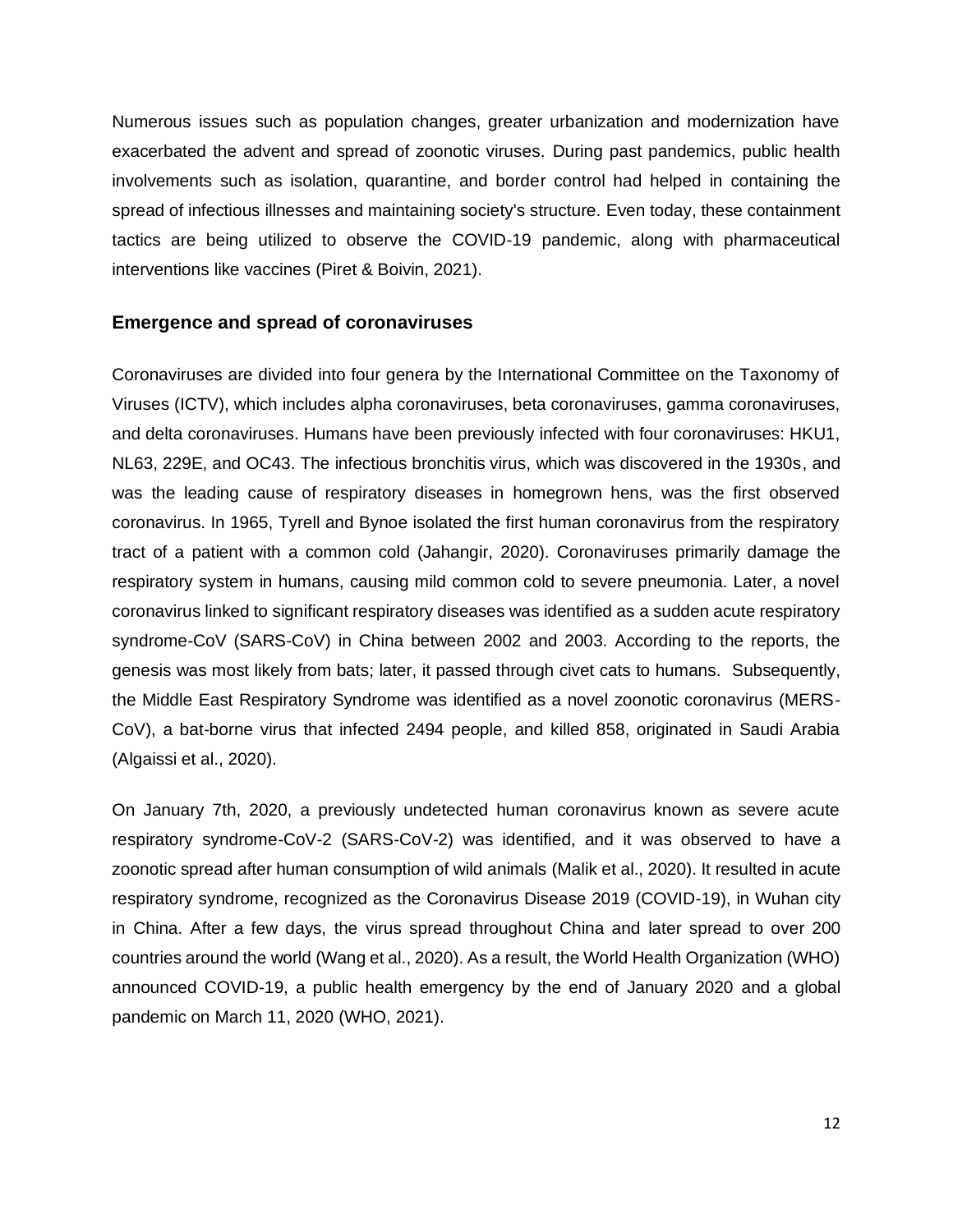Numerous issues such as population changes, greater urbanization and modernization have exacerbated the advent and spread of zoonotic viruses. During past pandemics, public health involvements such as isolation, quarantine, and border control had helped in containing the spread of infectious illnesses and maintaining society's structure. Even today, these containment tactics are being utilized to observe the COVID-19 pandemic, along with pharmaceutical interventions like vaccines (Piret & Boivin, 2021).

#### **Emergence and spread of coronaviruses**

Coronaviruses are divided into four genera by the International Committee on the Taxonomy of Viruses (ICTV), which includes alpha coronaviruses, beta coronaviruses, gamma coronaviruses, and delta coronaviruses. Humans have been previously infected with four coronaviruses: HKU1, NL63, 229E, and OC43. The infectious bronchitis virus, which was discovered in the 1930s, and was the leading cause of respiratory diseases in homegrown hens, was the first observed coronavirus. In 1965, Tyrell and Bynoe isolated the first human coronavirus from the respiratory tract of a patient with a common cold (Jahangir, 2020). Coronaviruses primarily damage the respiratory system in humans, causing mild common cold to severe pneumonia. Later, a novel coronavirus linked to significant respiratory diseases was identified as a sudden acute respiratory syndrome-CoV (SARS-CoV) in China between 2002 and 2003. According to the reports, the genesis was most likely from bats; later, it passed through civet cats to humans. Subsequently, the Middle East Respiratory Syndrome was identified as a novel zoonotic coronavirus (MERS-CoV), a bat-borne virus that infected 2494 people, and killed 858, originated in Saudi Arabia (Algaissi et al., 2020).

On January 7th, 2020, a previously undetected human coronavirus known as severe acute respiratory syndrome-CoV-2 (SARS-CoV-2) was identified, and it was observed to have a zoonotic spread after human consumption of wild animals (Malik et al., 2020). It resulted in acute respiratory syndrome, recognized as the Coronavirus Disease 2019 (COVID-19), in Wuhan city in China. After a few days, the virus spread throughout China and later spread to over 200 countries around the world (Wang et al., 2020). As a result, the World Health Organization (WHO) announced COVID-19, a public health emergency by the end of January 2020 and a global pandemic on March 11, 2020 (WHO, 2021).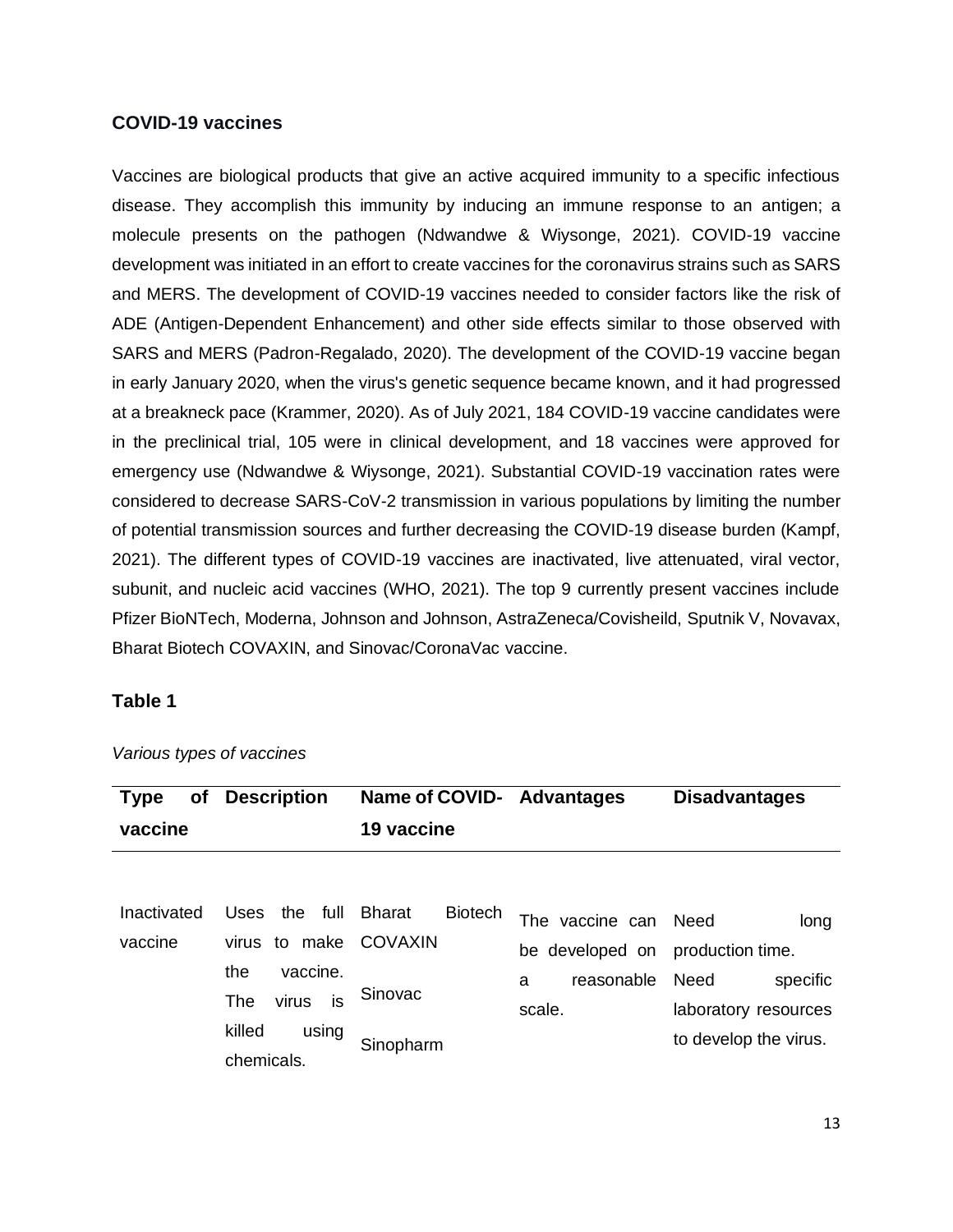#### **COVID-19 vaccines**

Vaccines are biological products that give an active acquired immunity to a specific infectious disease. They accomplish this immunity by inducing an immune response to an antigen; a molecule presents on the pathogen (Ndwandwe & Wiysonge, 2021). COVID-19 vaccine development was initiated in an effort to create vaccines for the coronavirus strains such as SARS and MERS. The development of COVID-19 vaccines needed to consider factors like the risk of ADE (Antigen-Dependent Enhancement) and other side effects similar to those observed with SARS and MERS (Padron-Regalado, 2020). The development of the COVID-19 vaccine began in early January 2020, when the virus's genetic sequence became known, and it had progressed at a breakneck pace (Krammer, 2020). As of July 2021, 184 COVID-19 vaccine candidates were in the preclinical trial, 105 were in clinical development, and 18 vaccines were approved for emergency use (Ndwandwe & Wiysonge, 2021). Substantial COVID-19 vaccination rates were considered to decrease SARS-CoV-2 transmission in various populations by limiting the number of potential transmission sources and further decreasing the COVID-19 disease burden (Kampf, 2021). The different types of COVID-19 vaccines are inactivated, live attenuated, viral vector, subunit, and nucleic acid vaccines (WHO, 2021). The top 9 currently present vaccines include Pfizer BioNTech, Moderna, Johnson and Johnson, AstraZeneca/Covisheild, Sputnik V, Novavax, Bharat Biotech COVAXIN, and Sinovac/CoronaVac vaccine.

## **Table 1**

| of<br><b>Type</b>      | <b>Description</b>                   | Name of COVID- Advantages                  |                                    | <b>Disadvantages</b>                 |
|------------------------|--------------------------------------|--------------------------------------------|------------------------------------|--------------------------------------|
| vaccine                |                                      | 19 vaccine                                 |                                    |                                      |
|                        |                                      |                                            |                                    |                                      |
| Inactivated<br>vaccine | full<br>Uses<br>the<br>virus to make | <b>Biotech</b><br><b>Bharat</b><br>COVAXIN | The vaccine can Need               | long                                 |
|                        | vaccine.<br>the                      |                                            | be developed on<br>reasonable<br>a | production time.<br>Need<br>specific |
|                        | is<br>virus<br><b>The</b>            | Sinovac                                    | scale.                             | laboratory resources                 |
|                        | killed<br>using<br>chemicals.        | Sinopharm                                  |                                    | to develop the virus.                |

*Various types of vaccines*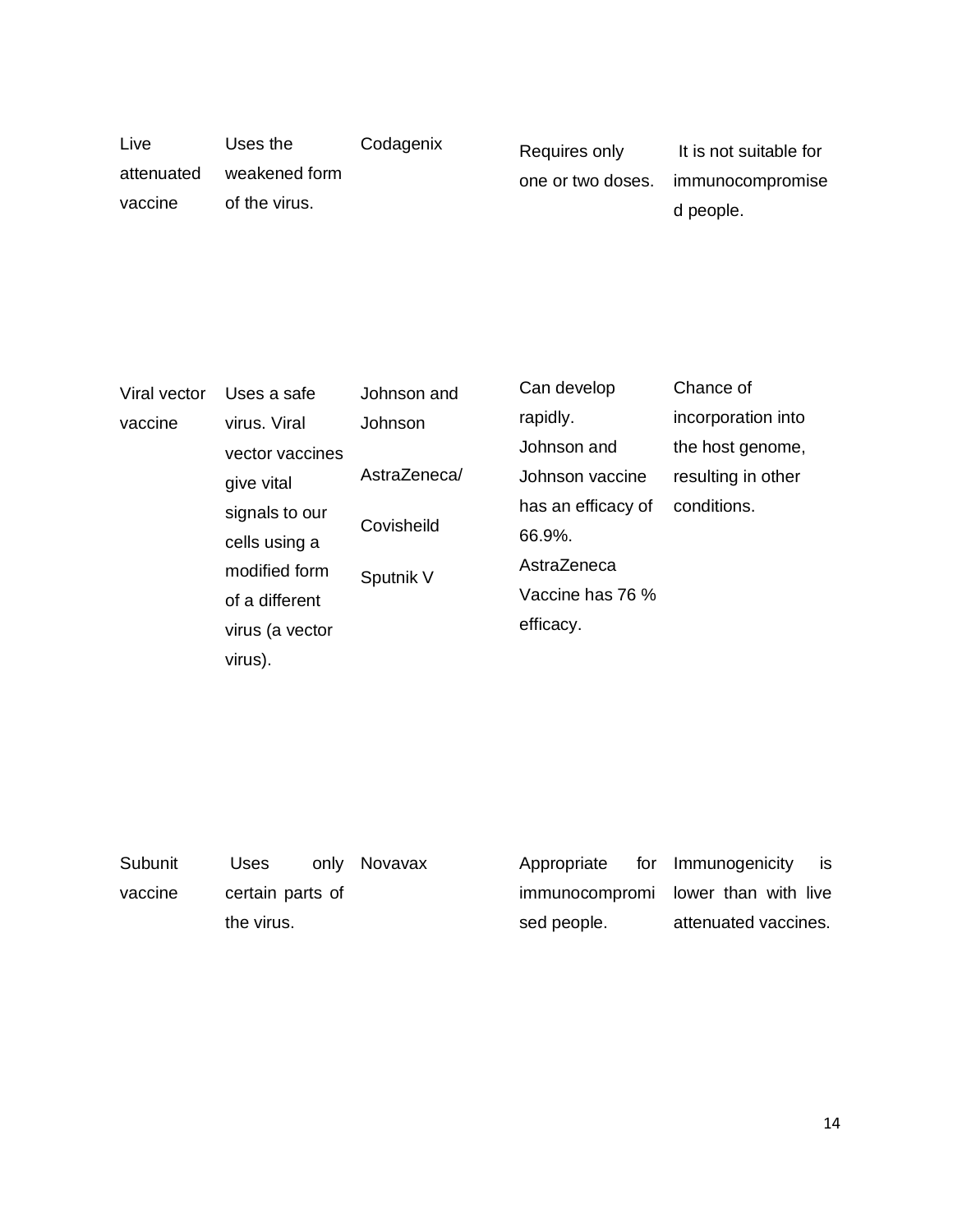| Live<br>attenuated<br>vaccine | Uses the<br>weakened form<br>of the virus. | Codagenix | Requires only<br>one or two doses. | It is not suitable for<br>immunocompromise<br>d people. |
|-------------------------------|--------------------------------------------|-----------|------------------------------------|---------------------------------------------------------|
|                               |                                            |           |                                    |                                                         |

| Viral vector | Uses a safe     | Johnson and  | Can develop        | Chance of          |  |
|--------------|-----------------|--------------|--------------------|--------------------|--|
| vaccine      | virus. Viral    | Johnson      | rapidly.           | incorporation into |  |
|              | vector vaccines |              | Johnson and        | the host genome,   |  |
|              | give vital      | AstraZeneca/ | Johnson vaccine    | resulting in other |  |
|              | signals to our  |              | has an efficacy of | conditions.        |  |
|              | cells using a   | Covisheild   | 66.9%.             |                    |  |
|              | modified form   | Sputnik V    | AstraZeneca        |                    |  |
|              | of a different  |              | Vaccine has 76 %   |                    |  |
|              | virus (a vector |              | efficacy.          |                    |  |
|              | virus).         |              |                    |                    |  |

| Subunit | Uses             | only Novavax | Appropriate                         | for Immunogenicity   | is. |
|---------|------------------|--------------|-------------------------------------|----------------------|-----|
| vaccine | certain parts of |              | immunocompromi lower than with live |                      |     |
|         | the virus.       |              | sed people.                         | attenuated vaccines. |     |
|         |                  |              |                                     |                      |     |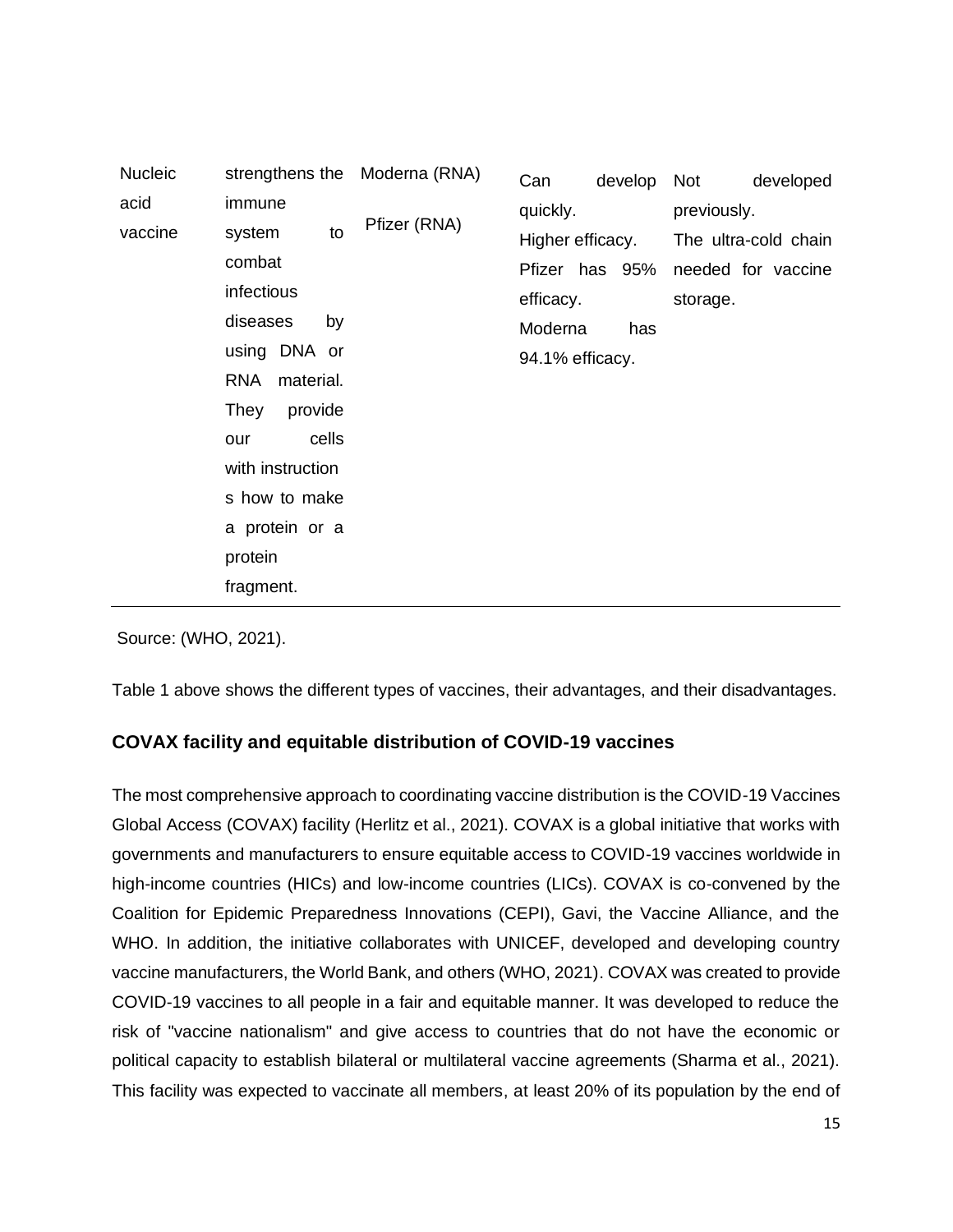| <b>Nucleic</b> |                                                                                                                                           | strengthens the Moderna (RNA) | Can                                                         | develop               | Not         | developed                                  |
|----------------|-------------------------------------------------------------------------------------------------------------------------------------------|-------------------------------|-------------------------------------------------------------|-----------------------|-------------|--------------------------------------------|
| acid           | immune                                                                                                                                    |                               | quickly.                                                    |                       | previously. |                                            |
| vaccine        | to<br>system<br>combat<br>infectious<br>diseases<br>by<br>using DNA or                                                                    | Pfizer (RNA)                  | Higher efficacy.<br>efficacy.<br>Moderna<br>94.1% efficacy. | Pfizer has 95%<br>has | storage.    | The ultra-cold chain<br>needed for vaccine |
|                | <b>RNA</b><br>material.<br>provide<br>They<br>cells<br>our<br>with instruction<br>s how to make<br>a protein or a<br>protein<br>fragment. |                               |                                                             |                       |             |                                            |

Source: (WHO, 2021).

Table 1 above shows the different types of vaccines, their advantages, and their disadvantages.

## **COVAX facility and equitable distribution of COVID-19 vaccines**

The most comprehensive approach to coordinating vaccine distribution is the COVID-19 Vaccines Global Access (COVAX) facility (Herlitz et al., 2021). COVAX is a global initiative that works with governments and manufacturers to ensure equitable access to COVID-19 vaccines worldwide in high-income countries (HICs) and low-income countries (LICs). COVAX is co-convened by the Coalition for Epidemic Preparedness Innovations (CEPI), Gavi, the Vaccine Alliance, and the WHO. In addition, the initiative collaborates with UNICEF, developed and developing country vaccine manufacturers, the World Bank, and others (WHO, 2021). COVAX was created to provide COVID-19 vaccines to all people in a fair and equitable manner. It was developed to reduce the risk of "vaccine nationalism" and give access to countries that do not have the economic or political capacity to establish bilateral or multilateral vaccine agreements (Sharma et al., 2021). This facility was expected to vaccinate all members, at least 20% of its population by the end of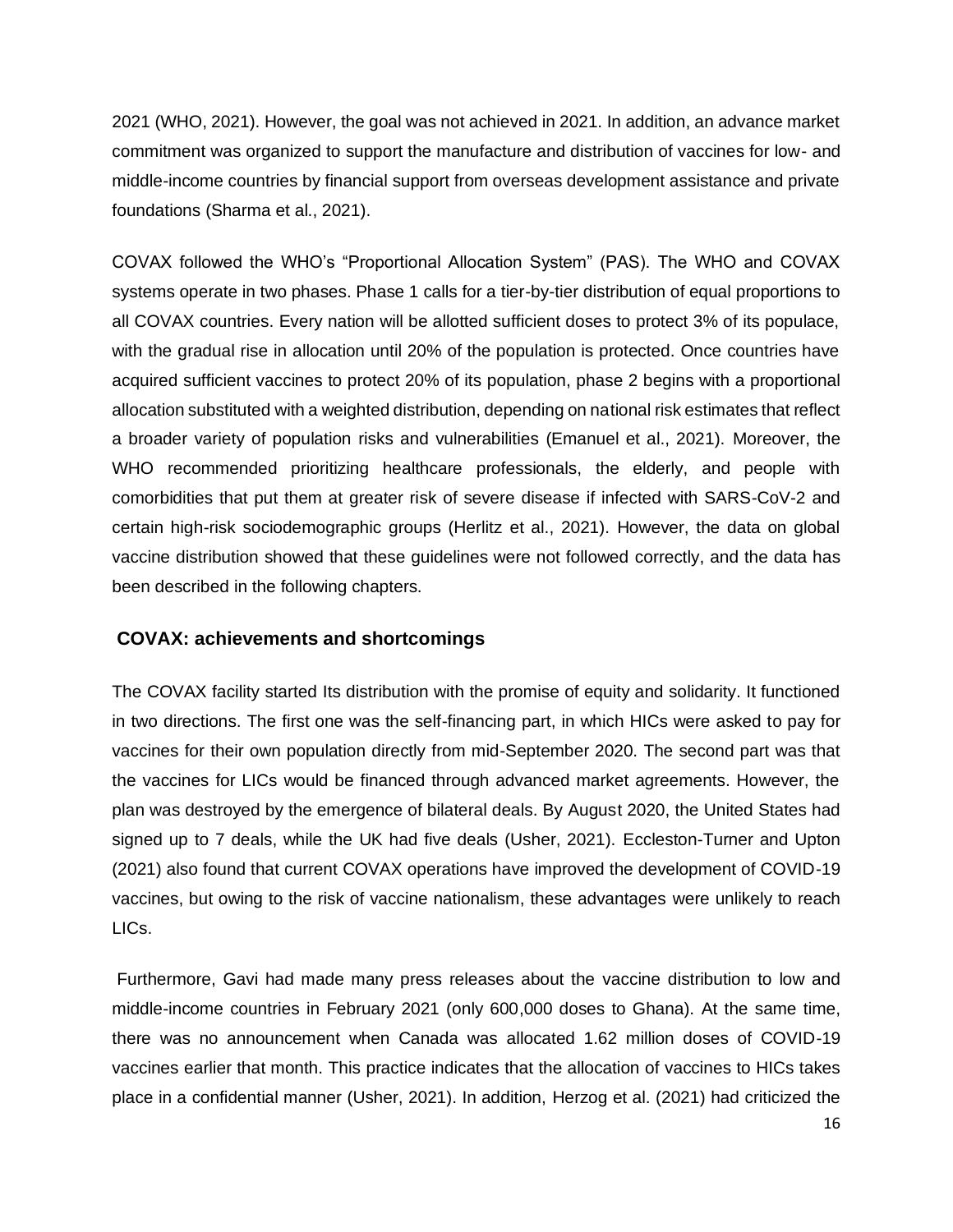2021 (WHO, 2021). However, the goal was not achieved in 2021. In addition, an advance market commitment was organized to support the manufacture and distribution of vaccines for low- and middle-income countries by financial support from overseas development assistance and private foundations (Sharma et al., 2021).

COVAX followed the WHO's "Proportional Allocation System" (PAS). The WHO and COVAX systems operate in two phases. Phase 1 calls for a tier-by-tier distribution of equal proportions to all COVAX countries. Every nation will be allotted sufficient doses to protect 3% of its populace, with the gradual rise in allocation until 20% of the population is protected. Once countries have acquired sufficient vaccines to protect 20% of its population, phase 2 begins with a proportional allocation substituted with a weighted distribution, depending on national risk estimates that reflect a broader variety of population risks and vulnerabilities (Emanuel et al., 2021). Moreover, the WHO recommended prioritizing healthcare professionals, the elderly, and people with comorbidities that put them at greater risk of severe disease if infected with SARS-CoV-2 and certain high-risk sociodemographic groups (Herlitz et al., 2021). However, the data on global vaccine distribution showed that these guidelines were not followed correctly, and the data has been described in the following chapters.

## **COVAX: achievements and shortcomings**

The COVAX facility started Its distribution with the promise of equity and solidarity. It functioned in two directions. The first one was the self-financing part, in which HICs were asked to pay for vaccines for their own population directly from mid-September 2020. The second part was that the vaccines for LICs would be financed through advanced market agreements. However, the plan was destroyed by the emergence of bilateral deals. By August 2020, the United States had signed up to 7 deals, while the UK had five deals (Usher, 2021). Eccleston-Turner and Upton (2021) also found that current COVAX operations have improved the development of COVID-19 vaccines, but owing to the risk of vaccine nationalism, these advantages were unlikely to reach LICs.

Furthermore, Gavi had made many press releases about the vaccine distribution to low and middle-income countries in February 2021 (only 600,000 doses to Ghana). At the same time, there was no announcement when Canada was allocated 1.62 million doses of COVID-19 vaccines earlier that month. This practice indicates that the allocation of vaccines to HICs takes place in a confidential manner (Usher, 2021). In addition, Herzog et al. (2021) had criticized the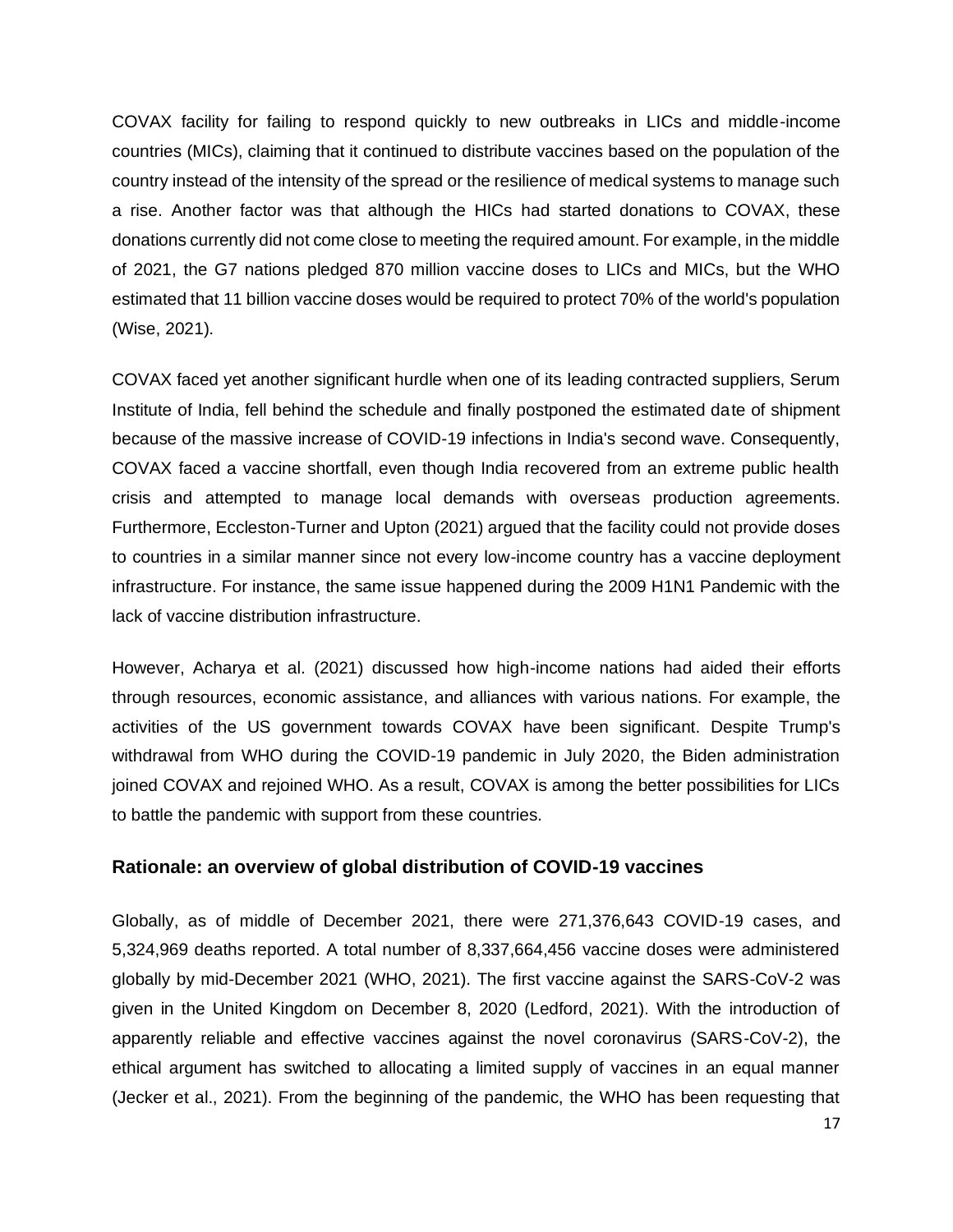COVAX facility for failing to respond quickly to new outbreaks in LICs and middle-income countries (MICs), claiming that it continued to distribute vaccines based on the population of the country instead of the intensity of the spread or the resilience of medical systems to manage such a rise. Another factor was that although the HICs had started donations to COVAX, these donations currently did not come close to meeting the required amount. For example, in the middle of 2021, the G7 nations pledged 870 million vaccine doses to LICs and MICs, but the WHO estimated that 11 billion vaccine doses would be required to protect 70% of the world's population (Wise, 2021).

COVAX faced yet another significant hurdle when one of its leading contracted suppliers, Serum Institute of India, fell behind the schedule and finally postponed the estimated date of shipment because of the massive increase of COVID-19 infections in India's second wave. Consequently, COVAX faced a vaccine shortfall, even though India recovered from an extreme public health crisis and attempted to manage local demands with overseas production agreements. Furthermore, Eccleston-Turner and Upton (2021) argued that the facility could not provide doses to countries in a similar manner since not every low-income country has a vaccine deployment infrastructure. For instance, the same issue happened during the 2009 H1N1 Pandemic with the lack of vaccine distribution infrastructure.

However, Acharya et al. (2021) discussed how high-income nations had aided their efforts through resources, economic assistance, and alliances with various nations. For example, the activities of the US government towards COVAX have been significant. Despite Trump's withdrawal from WHO during the COVID-19 pandemic in July 2020, the Biden administration joined COVAX and rejoined WHO. As a result, COVAX is among the better possibilities for LICs to battle the pandemic with support from these countries.

## **Rationale: an overview of global distribution of COVID-19 vaccines**

Globally, as of middle of December 2021, there were 271,376,643 COVID-19 cases, and 5,324,969 deaths reported. A total number of 8,337,664,456 vaccine doses were administered globally by mid-December 2021 (WHO, 2021). The first vaccine against the SARS-CoV-2 was given in the United Kingdom on December 8, 2020 (Ledford, 2021). With the introduction of apparently reliable and effective vaccines against the novel coronavirus (SARS-CoV-2), the ethical argument has switched to allocating a limited supply of vaccines in an equal manner (Jecker et al., 2021). From the beginning of the pandemic, the WHO has been requesting that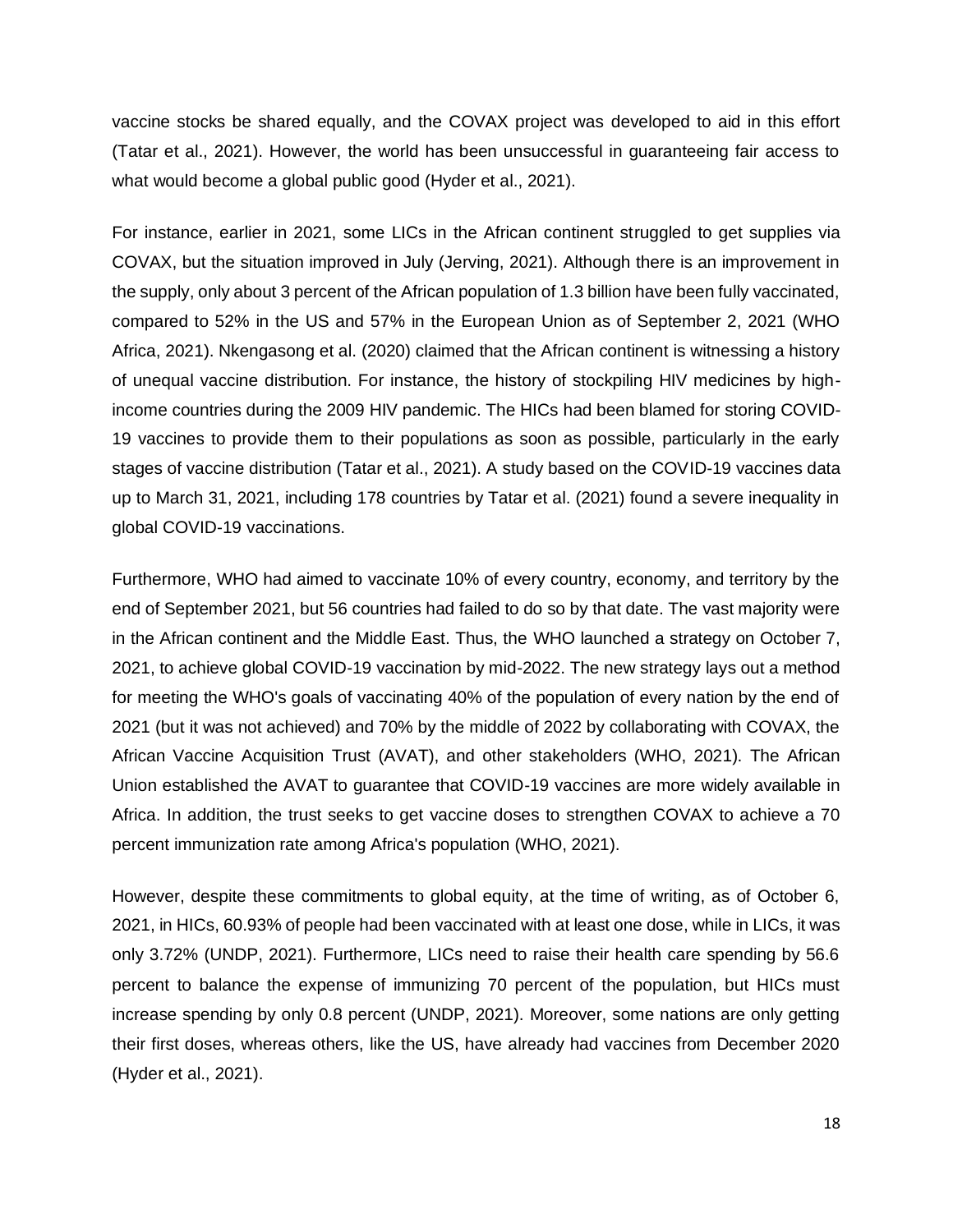vaccine stocks be shared equally, and the COVAX project was developed to aid in this effort (Tatar et al., 2021). However, the world has been unsuccessful in guaranteeing fair access to what would become a global public good (Hyder et al., 2021).

For instance, earlier in 2021, some LICs in the African continent struggled to get supplies via COVAX, but the situation improved in July (Jerving, 2021). Although there is an improvement in the supply, only about 3 percent of the African population of 1.3 billion have been fully vaccinated, compared to 52% in the US and 57% in the European Union as of September 2, 2021 (WHO Africa, 2021). Nkengasong et al. (2020) claimed that the African continent is witnessing a history of unequal vaccine distribution. For instance, the history of stockpiling HIV medicines by highincome countries during the 2009 HIV pandemic. The HICs had been blamed for storing COVID-19 vaccines to provide them to their populations as soon as possible, particularly in the early stages of vaccine distribution (Tatar et al., 2021). A study based on the COVID-19 vaccines data up to March 31, 2021, including 178 countries by Tatar et al. (2021) found a severe inequality in global COVID-19 vaccinations.

Furthermore, WHO had aimed to vaccinate 10% of every country, economy, and territory by the end of September 2021, but 56 countries had failed to do so by that date. The vast majority were in the African continent and the Middle East. Thus, the WHO launched a strategy on October 7, 2021, to achieve global COVID-19 vaccination by mid-2022. The new strategy lays out a method for meeting the WHO's goals of vaccinating 40% of the population of every nation by the end of 2021 (but it was not achieved) and 70% by the middle of 2022 by collaborating with COVAX, the African Vaccine Acquisition Trust (AVAT), and other stakeholders (WHO, 2021). The African Union established the AVAT to guarantee that COVID-19 vaccines are more widely available in Africa. In addition, the trust seeks to get vaccine doses to strengthen COVAX to achieve a 70 percent immunization rate among Africa's population (WHO, 2021).

However, despite these commitments to global equity, at the time of writing, as of October 6, 2021, in HICs, 60.93% of people had been vaccinated with at least one dose, while in LICs, it was only 3.72% (UNDP, 2021). Furthermore, LICs need to raise their health care spending by 56.6 percent to balance the expense of immunizing 70 percent of the population, but HICs must increase spending by only 0.8 percent (UNDP, 2021). Moreover, some nations are only getting their first doses, whereas others, like the US, have already had vaccines from December 2020 (Hyder et al., 2021).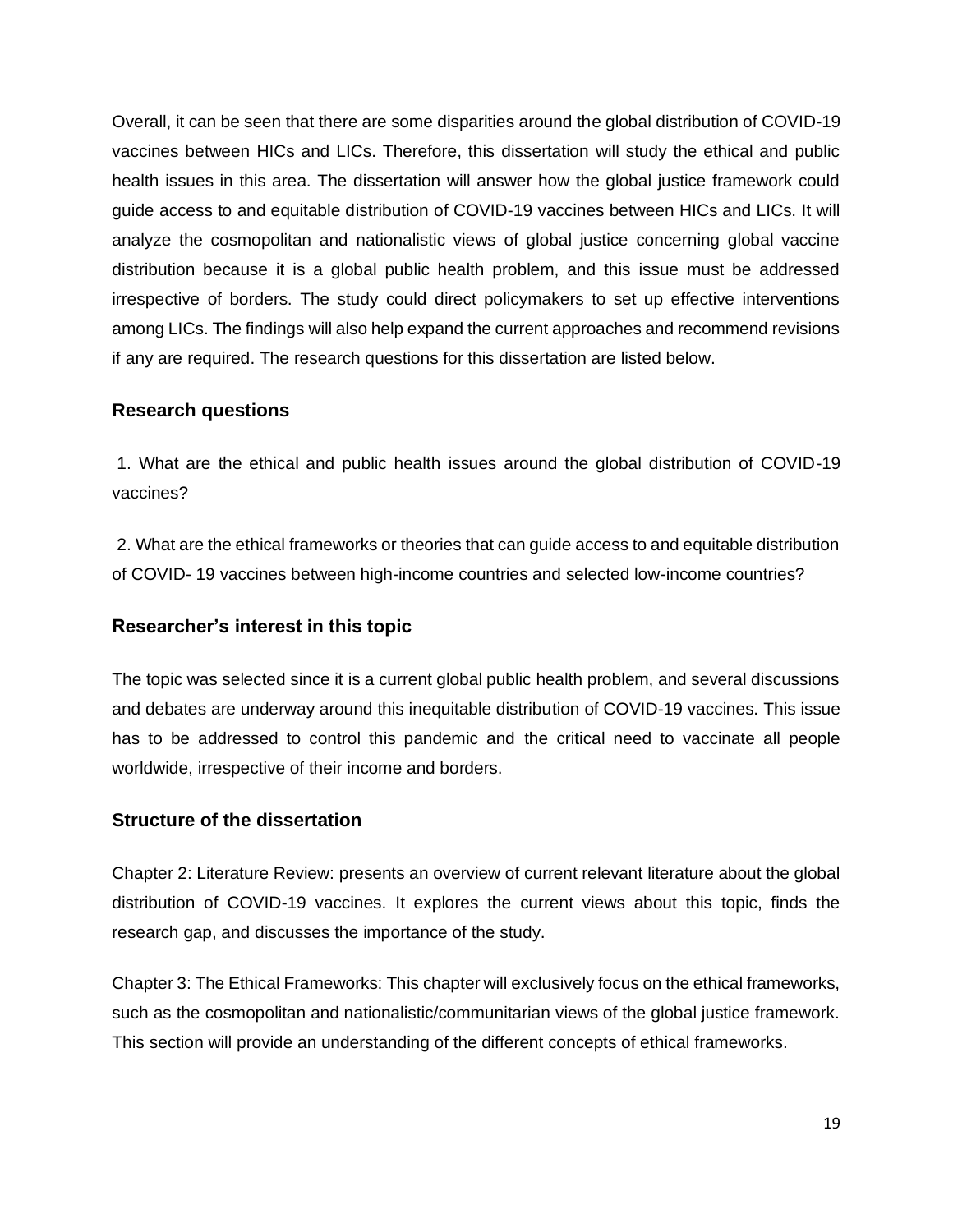Overall, it can be seen that there are some disparities around the global distribution of COVID-19 vaccines between HICs and LICs. Therefore, this dissertation will study the ethical and public health issues in this area. The dissertation will answer how the global justice framework could guide access to and equitable distribution of COVID-19 vaccines between HICs and LICs. It will analyze the cosmopolitan and nationalistic views of global justice concerning global vaccine distribution because it is a global public health problem, and this issue must be addressed irrespective of borders. The study could direct policymakers to set up effective interventions among LICs. The findings will also help expand the current approaches and recommend revisions if any are required. The research questions for this dissertation are listed below.

## **Research questions**

1. What are the ethical and public health issues around the global distribution of COVID-19 vaccines?

2. What are the ethical frameworks or theories that can guide access to and equitable distribution of COVID- 19 vaccines between high-income countries and selected low-income countries?

## **Researcher's interest in this topic**

The topic was selected since it is a current global public health problem, and several discussions and debates are underway around this inequitable distribution of COVID-19 vaccines. This issue has to be addressed to control this pandemic and the critical need to vaccinate all people worldwide, irrespective of their income and borders.

## **Structure of the dissertation**

Chapter 2: Literature Review: presents an overview of current relevant literature about the global distribution of COVID-19 vaccines. It explores the current views about this topic, finds the research gap, and discusses the importance of the study.

Chapter 3: The Ethical Frameworks: This chapter will exclusively focus on the ethical frameworks, such as the cosmopolitan and nationalistic/communitarian views of the global justice framework. This section will provide an understanding of the different concepts of ethical frameworks.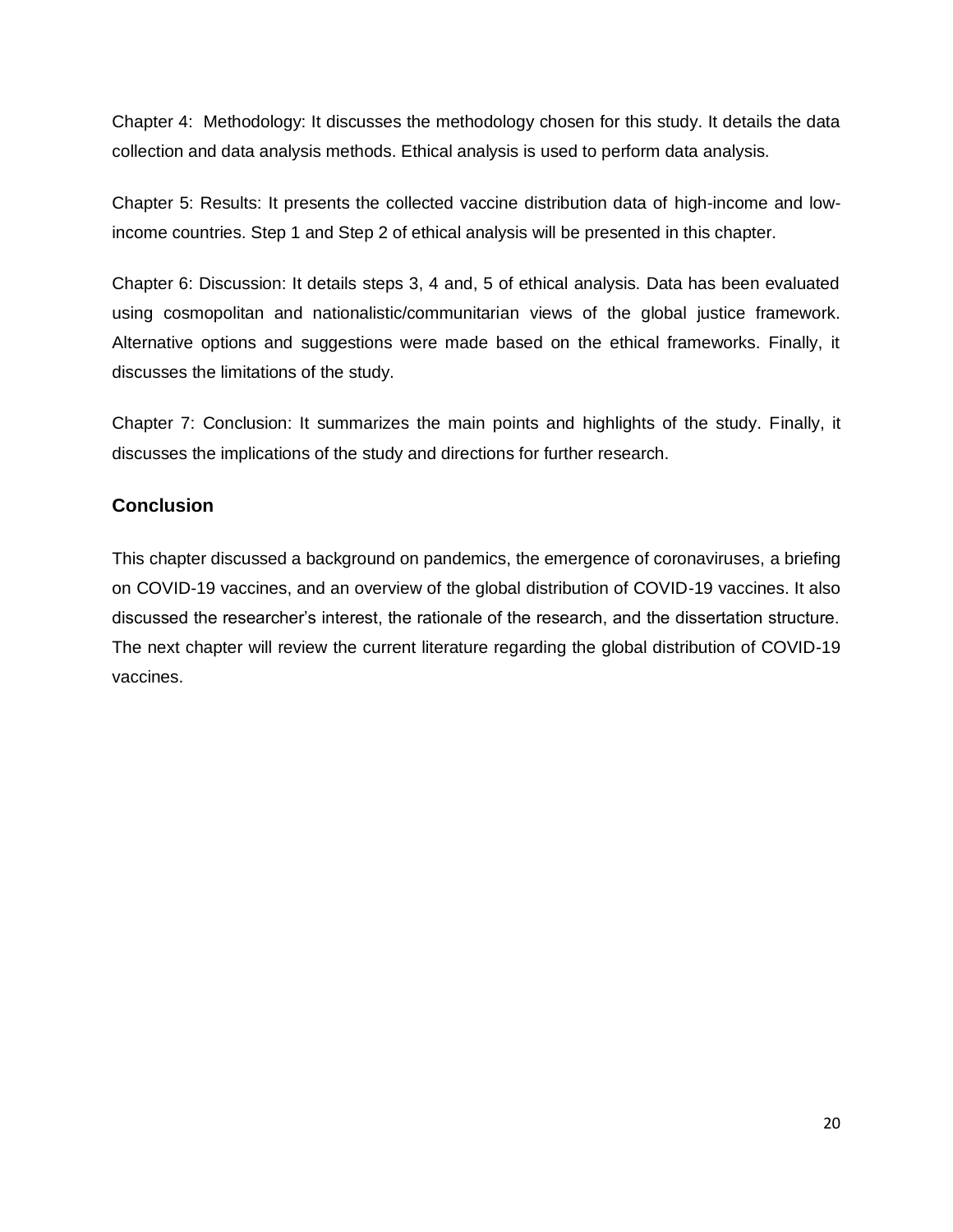Chapter 4: Methodology: It discusses the methodology chosen for this study. It details the data collection and data analysis methods. Ethical analysis is used to perform data analysis.

Chapter 5: Results: It presents the collected vaccine distribution data of high-income and lowincome countries. Step 1 and Step 2 of ethical analysis will be presented in this chapter.

Chapter 6: Discussion: It details steps 3, 4 and, 5 of ethical analysis. Data has been evaluated using cosmopolitan and nationalistic/communitarian views of the global justice framework. Alternative options and suggestions were made based on the ethical frameworks. Finally, it discusses the limitations of the study.

Chapter 7: Conclusion: It summarizes the main points and highlights of the study. Finally, it discusses the implications of the study and directions for further research.

## **Conclusion**

This chapter discussed a background on pandemics, the emergence of coronaviruses, a briefing on COVID-19 vaccines, and an overview of the global distribution of COVID-19 vaccines. It also discussed the researcher's interest, the rationale of the research, and the dissertation structure. The next chapter will review the current literature regarding the global distribution of COVID-19 vaccines.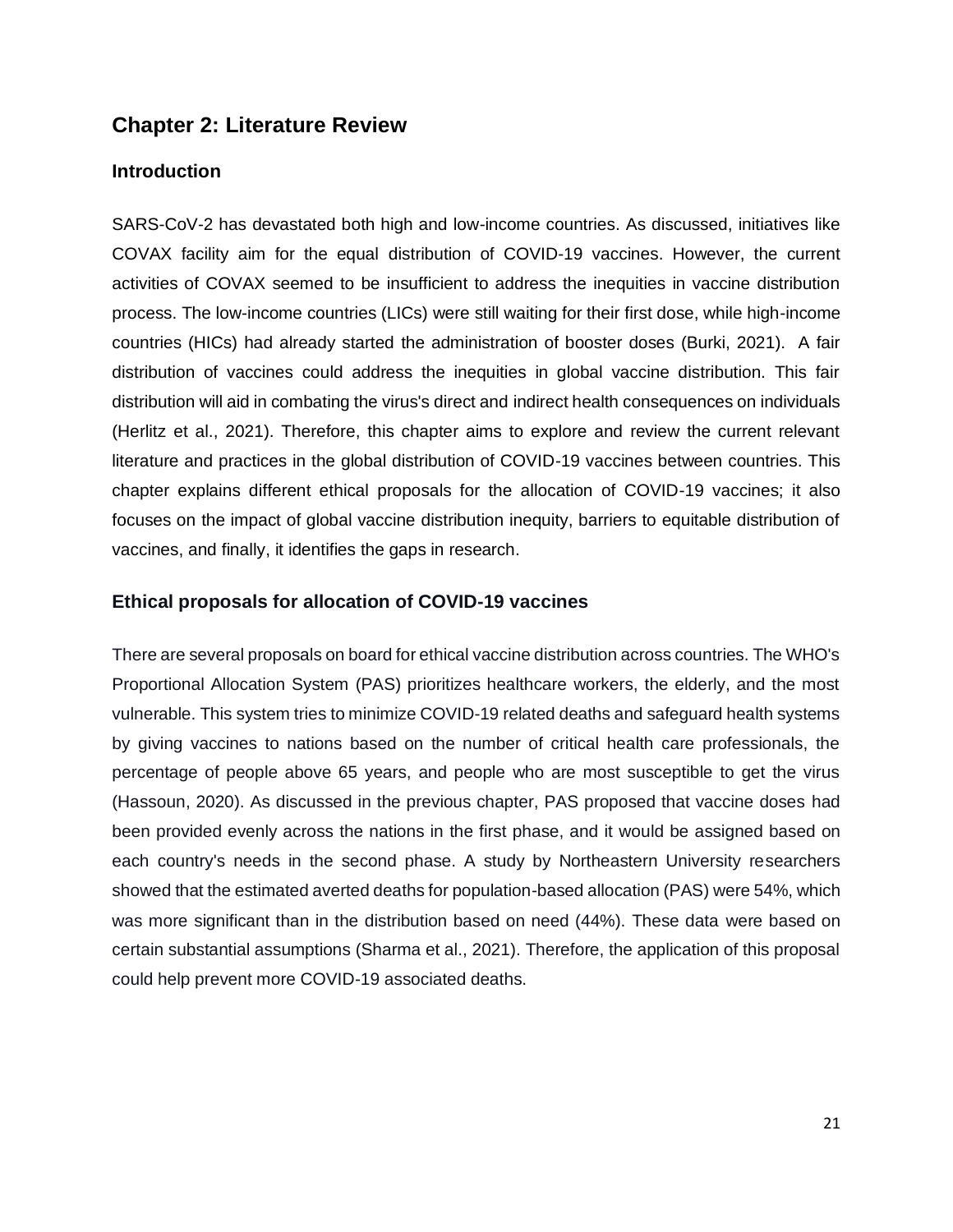## **Chapter 2: Literature Review**

## **Introduction**

SARS-CoV-2 has devastated both high and low-income countries. As discussed, initiatives like COVAX facility aim for the equal distribution of COVID-19 vaccines. However, the current activities of COVAX seemed to be insufficient to address the inequities in vaccine distribution process. The low-income countries (LICs) were still waiting for their first dose, while high-income countries (HICs) had already started the administration of booster doses (Burki, 2021). A fair distribution of vaccines could address the inequities in global vaccine distribution. This fair distribution will aid in combating the virus's direct and indirect health consequences on individuals (Herlitz et al., 2021). Therefore, this chapter aims to explore and review the current relevant literature and practices in the global distribution of COVID-19 vaccines between countries. This chapter explains different ethical proposals for the allocation of COVID-19 vaccines; it also focuses on the impact of global vaccine distribution inequity, barriers to equitable distribution of vaccines, and finally, it identifies the gaps in research.

## **Ethical proposals for allocation of COVID-19 vaccines**

There are several proposals on board for ethical vaccine distribution across countries. The WHO's Proportional Allocation System (PAS) prioritizes healthcare workers, the elderly, and the most vulnerable. This system tries to minimize COVID-19 related deaths and safeguard health systems by giving vaccines to nations based on the number of critical health care professionals, the percentage of people above 65 years, and people who are most susceptible to get the virus (Hassoun, 2020). As discussed in the previous chapter, PAS proposed that vaccine doses had been provided evenly across the nations in the first phase, and it would be assigned based on each country's needs in the second phase. A study by Northeastern University researchers showed that the estimated averted deaths for population-based allocation (PAS) were 54%, which was more significant than in the distribution based on need (44%). These data were based on certain substantial assumptions (Sharma et al., 2021). Therefore, the application of this proposal could help prevent more COVID-19 associated deaths.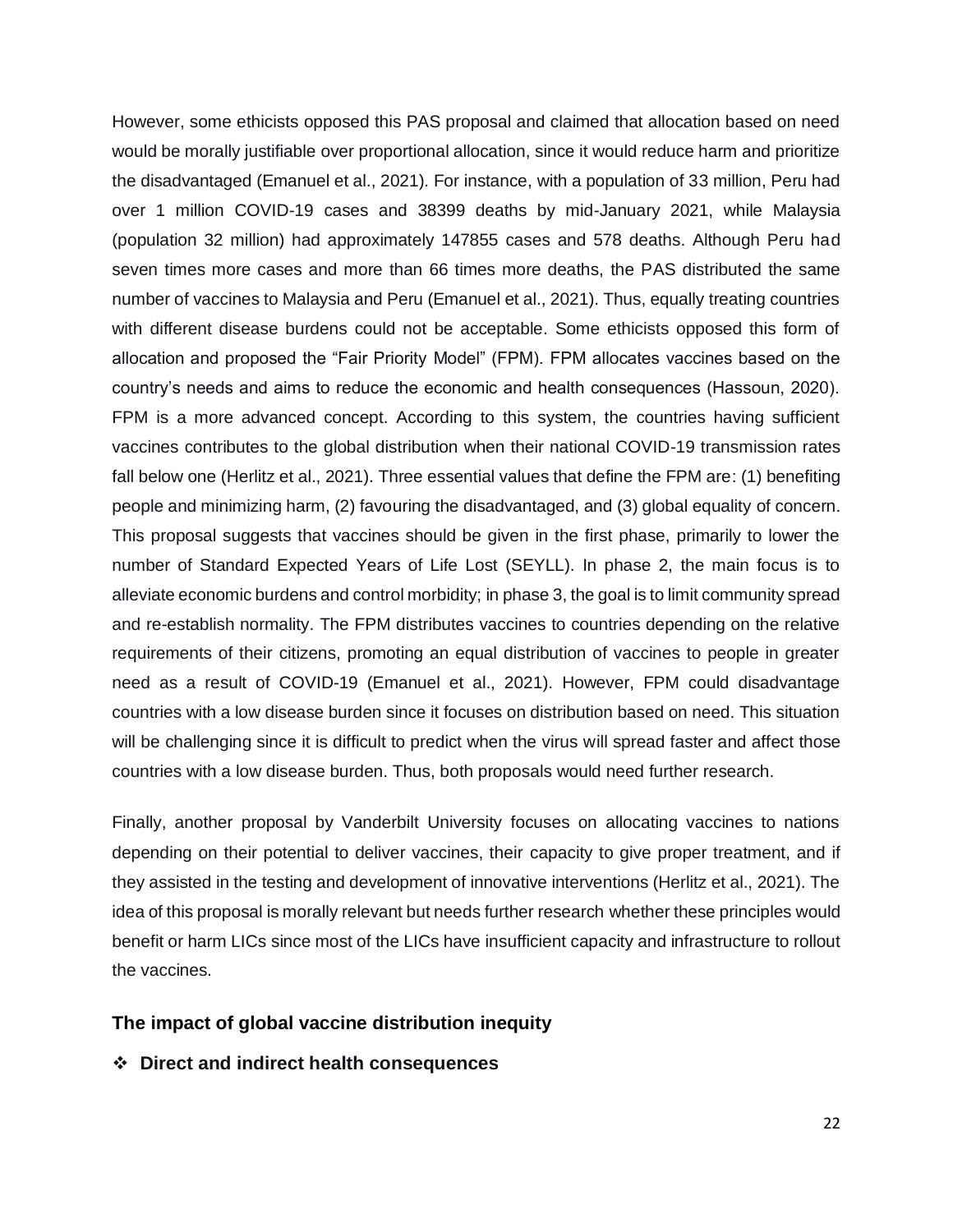However, some ethicists opposed this PAS proposal and claimed that allocation based on need would be morally justifiable over proportional allocation, since it would reduce harm and prioritize the disadvantaged (Emanuel et al., 2021). For instance, with a population of 33 million, Peru had over 1 million COVID-19 cases and 38399 deaths by mid-January 2021, while Malaysia (population 32 million) had approximately 147855 cases and 578 deaths. Although Peru had seven times more cases and more than 66 times more deaths, the PAS distributed the same number of vaccines to Malaysia and Peru (Emanuel et al., 2021). Thus, equally treating countries with different disease burdens could not be acceptable. Some ethicists opposed this form of allocation and proposed the "Fair Priority Model" (FPM). FPM allocates vaccines based on the country's needs and aims to reduce the economic and health consequences (Hassoun, 2020). FPM is a more advanced concept. According to this system, the countries having sufficient vaccines contributes to the global distribution when their national COVID-19 transmission rates fall below one (Herlitz et al., 2021). Three essential values that define the FPM are: (1) benefiting people and minimizing harm, (2) favouring the disadvantaged, and (3) global equality of concern. This proposal suggests that vaccines should be given in the first phase, primarily to lower the number of Standard Expected Years of Life Lost (SEYLL). In phase 2, the main focus is to alleviate economic burdens and control morbidity; in phase 3, the goal is to limit community spread and re-establish normality. The FPM distributes vaccines to countries depending on the relative requirements of their citizens, promoting an equal distribution of vaccines to people in greater need as a result of COVID-19 (Emanuel et al., 2021). However, FPM could disadvantage countries with a low disease burden since it focuses on distribution based on need. This situation will be challenging since it is difficult to predict when the virus will spread faster and affect those countries with a low disease burden. Thus, both proposals would need further research.

Finally, another proposal by Vanderbilt University focuses on allocating vaccines to nations depending on their potential to deliver vaccines, their capacity to give proper treatment, and if they assisted in the testing and development of innovative interventions (Herlitz et al., 2021). The idea of this proposal is morally relevant but needs further research whether these principles would benefit or harm LICs since most of the LICs have insufficient capacity and infrastructure to rollout the vaccines.

#### **The impact of global vaccine distribution inequity**

❖ **Direct and indirect health consequences**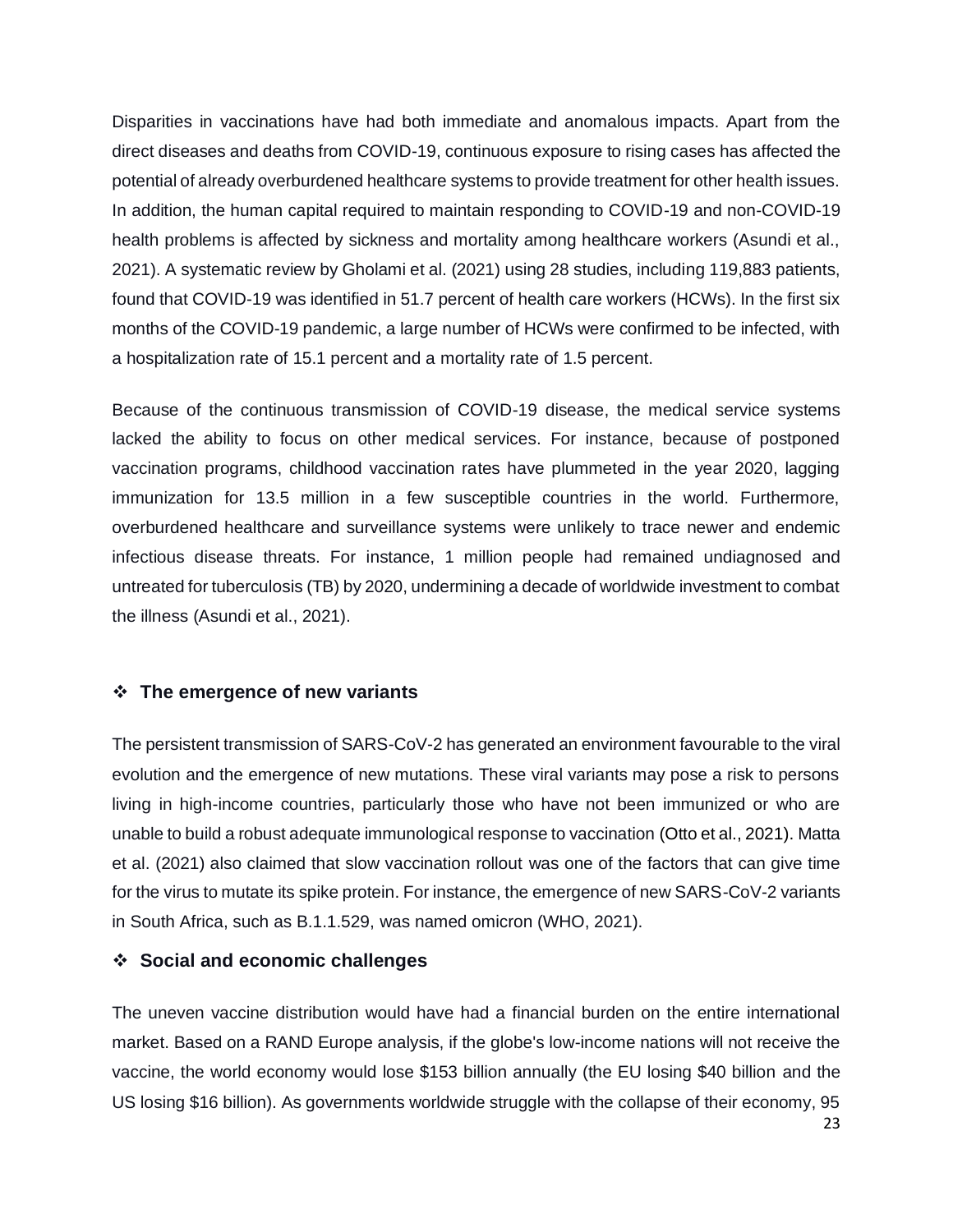Disparities in vaccinations have had both immediate and anomalous impacts. Apart from the direct diseases and deaths from COVID-19, continuous exposure to rising cases has affected the potential of already overburdened healthcare systems to provide treatment for other health issues. In addition, the human capital required to maintain responding to COVID-19 and non-COVID-19 health problems is affected by sickness and mortality among healthcare workers (Asundi et al., 2021). A systematic review by Gholami et al. (2021) using 28 studies, including 119,883 patients, found that COVID-19 was identified in 51.7 percent of health care workers (HCWs). In the first six months of the COVID-19 pandemic, a large number of HCWs were confirmed to be infected, with a hospitalization rate of 15.1 percent and a mortality rate of 1.5 percent.

Because of the continuous transmission of COVID-19 disease, the medical service systems lacked the ability to focus on other medical services. For instance, because of postponed vaccination programs, childhood vaccination rates have plummeted in the year 2020, lagging immunization for 13.5 million in a few susceptible countries in the world. Furthermore, overburdened healthcare and surveillance systems were unlikely to trace newer and endemic infectious disease threats. For instance, 1 million people had remained undiagnosed and untreated for tuberculosis (TB) by 2020, undermining a decade of worldwide investment to combat the illness (Asundi et al., 2021).

## ❖ **The emergence of new variants**

The persistent transmission of SARS-CoV-2 has generated an environment favourable to the viral evolution and the emergence of new mutations. These viral variants may pose a risk to persons living in high-income countries, particularly those who have not been immunized or who are unable to build a robust adequate immunological response to vaccination (Otto et al., 2021). Matta et al. (2021) also claimed that slow vaccination rollout was one of the factors that can give time for the virus to mutate its spike protein. For instance, the emergence of new SARS-CoV-2 variants in South Africa, such as B.1.1.529, was named omicron (WHO, 2021).

## ❖ **Social and economic challenges**

23 The uneven vaccine distribution would have had a financial burden on the entire international market. Based on a RAND Europe analysis, if the globe's low-income nations will not receive the vaccine, the world economy would lose \$153 billion annually (the EU losing \$40 billion and the US losing \$16 billion). As governments worldwide struggle with the collapse of their economy, 95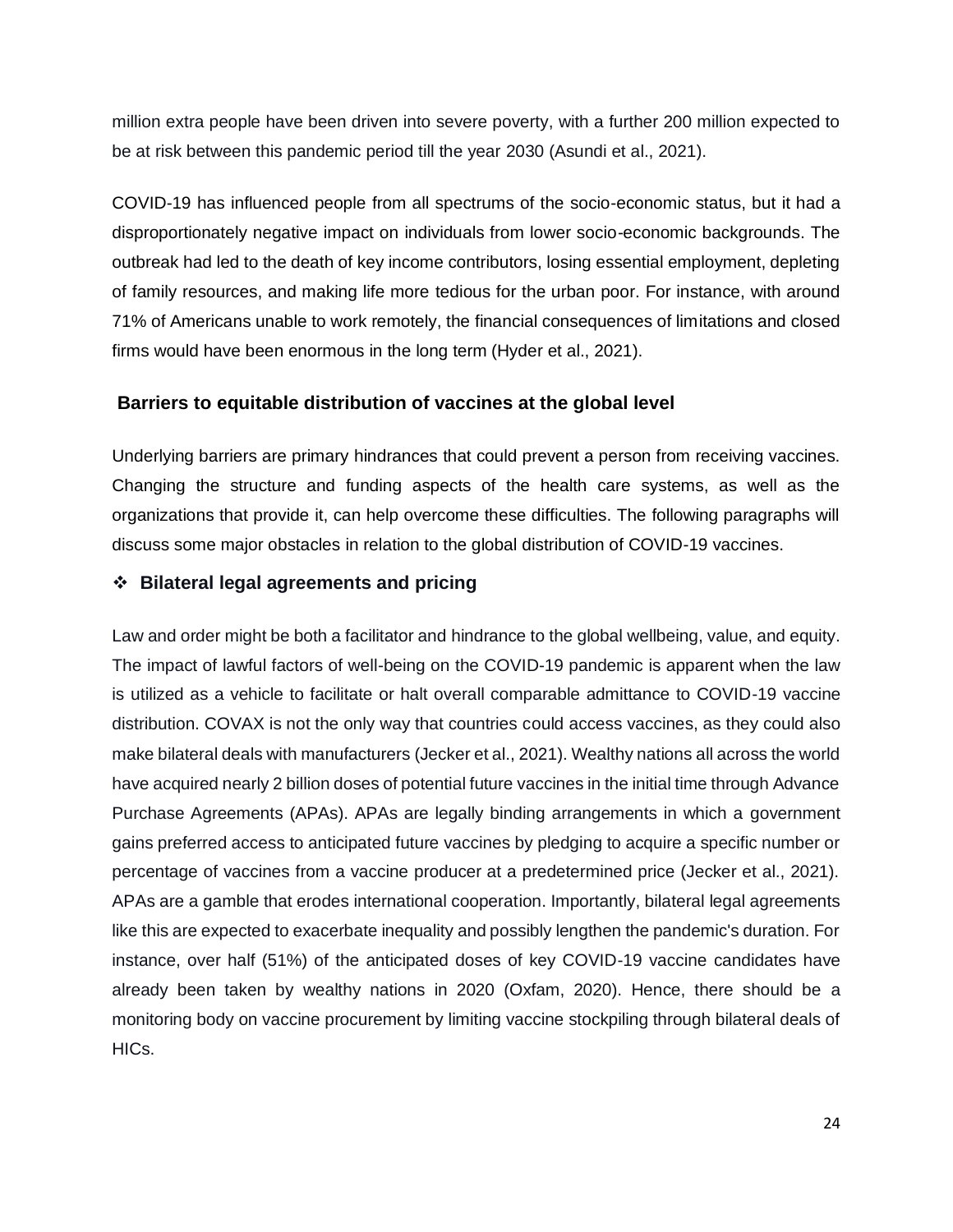million extra people have been driven into severe poverty, with a further 200 million expected to be at risk between this pandemic period till the year 2030 (Asundi et al., 2021).

COVID-19 has influenced people from all spectrums of the socio-economic status, but it had a disproportionately negative impact on individuals from lower socio-economic backgrounds. The outbreak had led to the death of key income contributors, losing essential employment, depleting of family resources, and making life more tedious for the urban poor. For instance, with around 71% of Americans unable to work remotely, the financial consequences of limitations and closed firms would have been enormous in the long term (Hyder et al., 2021).

## **Barriers to equitable distribution of vaccines at the global level**

Underlying barriers are primary hindrances that could prevent a person from receiving vaccines. Changing the structure and funding aspects of the health care systems, as well as the organizations that provide it, can help overcome these difficulties. The following paragraphs will discuss some major obstacles in relation to the global distribution of COVID-19 vaccines.

## ❖ **Bilateral legal agreements and pricing**

Law and order might be both a facilitator and hindrance to the global wellbeing, value, and equity. The impact of lawful factors of well-being on the COVID-19 pandemic is apparent when the law is utilized as a vehicle to facilitate or halt overall comparable admittance to COVID-19 vaccine distribution. COVAX is not the only way that countries could access vaccines, as they could also make bilateral deals with manufacturers (Jecker et al., 2021). Wealthy nations all across the world have acquired nearly 2 billion doses of potential future vaccines in the initial time through Advance Purchase Agreements (APAs). APAs are legally binding arrangements in which a government gains preferred access to anticipated future vaccines by pledging to acquire a specific number or percentage of vaccines from a vaccine producer at a predetermined price (Jecker et al., 2021). APAs are a gamble that erodes international cooperation. Importantly, bilateral legal agreements like this are expected to exacerbate inequality and possibly lengthen the pandemic's duration. For instance, over half (51%) of the anticipated doses of key COVID-19 vaccine candidates have already been taken by wealthy nations in 2020 (Oxfam, 2020). Hence, there should be a monitoring body on vaccine procurement by limiting vaccine stockpiling through bilateral deals of HICs.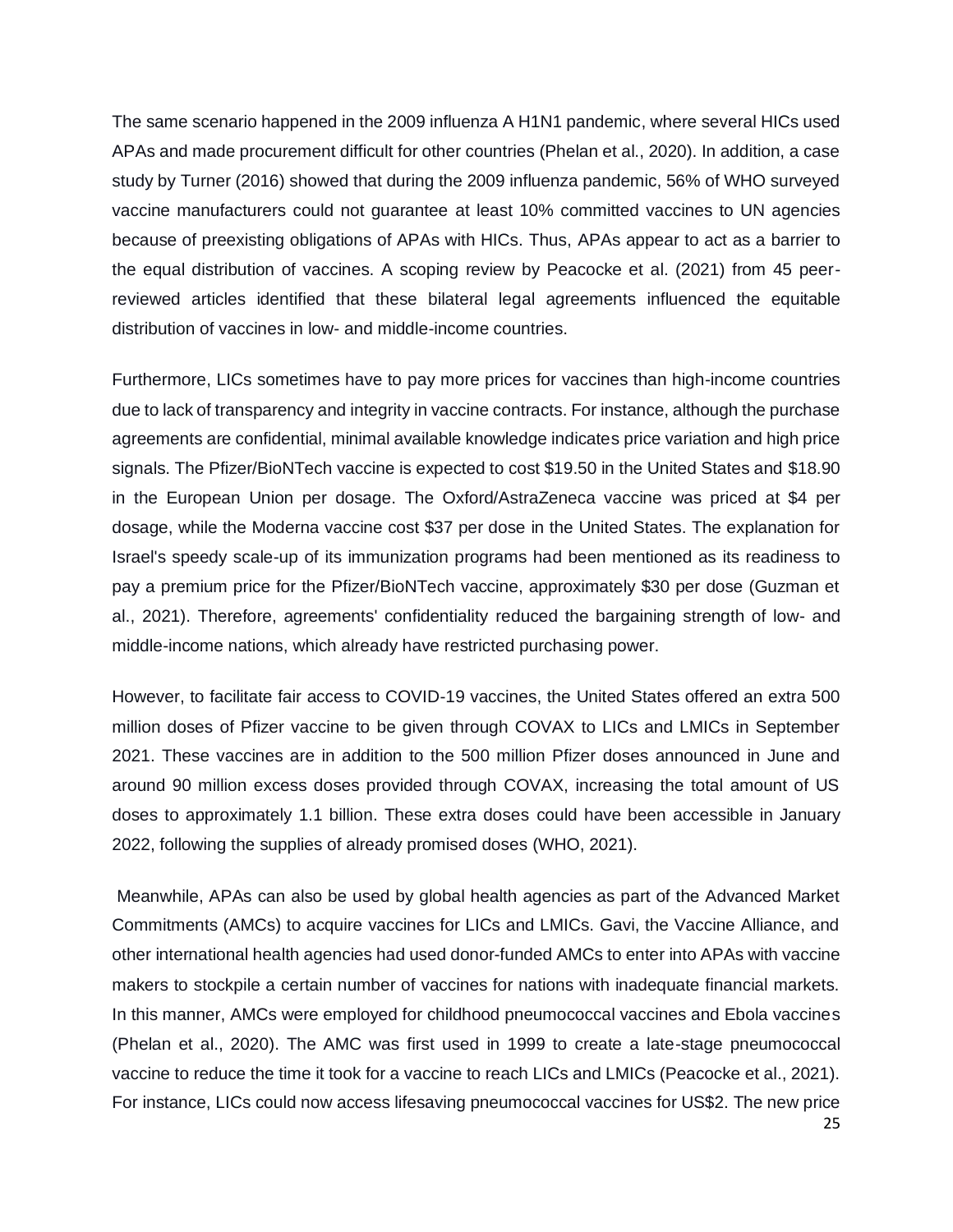The same scenario happened in the 2009 influenza A H1N1 pandemic, where several HICs used APAs and made procurement difficult for other countries (Phelan et al., 2020). In addition, a case study by Turner (2016) showed that during the 2009 influenza pandemic, 56% of WHO surveyed vaccine manufacturers could not guarantee at least 10% committed vaccines to UN agencies because of preexisting obligations of APAs with HICs. Thus, APAs appear to act as a barrier to the equal distribution of vaccines. A scoping review by Peacocke et al. (2021) from 45 peerreviewed articles identified that these bilateral legal agreements influenced the equitable distribution of vaccines in low- and middle-income countries.

Furthermore, LICs sometimes have to pay more prices for vaccines than high-income countries due to lack of transparency and integrity in vaccine contracts. For instance, although the purchase agreements are confidential, minimal available knowledge indicates price variation and high price signals. The Pfizer/BioNTech vaccine is expected to cost \$19.50 in the United States and \$18.90 in the European Union per dosage. The Oxford/AstraZeneca vaccine was priced at \$4 per dosage, while the Moderna vaccine cost \$37 per dose in the United States. The explanation for Israel's speedy scale-up of its immunization programs had been mentioned as its readiness to pay a premium price for the Pfizer/BioNTech vaccine, approximately \$30 per dose (Guzman et al., 2021). Therefore, agreements' confidentiality reduced the bargaining strength of low- and middle-income nations, which already have restricted purchasing power.

However, to facilitate fair access to COVID-19 vaccines, the United States offered an extra 500 million doses of Pfizer vaccine to be given through COVAX to LICs and LMICs in September 2021. These vaccines are in addition to the 500 million Pfizer doses announced in June and around 90 million excess doses provided through COVAX, increasing the total amount of US doses to approximately 1.1 billion. These extra doses could have been accessible in January 2022, following the supplies of already promised doses (WHO, 2021).

25 Meanwhile, APAs can also be used by global health agencies as part of the Advanced Market Commitments (AMCs) to acquire vaccines for LICs and LMICs. Gavi, the Vaccine Alliance, and other international health agencies had used donor-funded AMCs to enter into APAs with vaccine makers to stockpile a certain number of vaccines for nations with inadequate financial markets. In this manner, AMCs were employed for childhood pneumococcal vaccines and Ebola vaccines (Phelan et al., 2020). The AMC was first used in 1999 to create a late-stage pneumococcal vaccine to reduce the time it took for a vaccine to reach LICs and LMICs (Peacocke et al., 2021). For instance, LICs could now access lifesaving pneumococcal vaccines for US\$2. The new price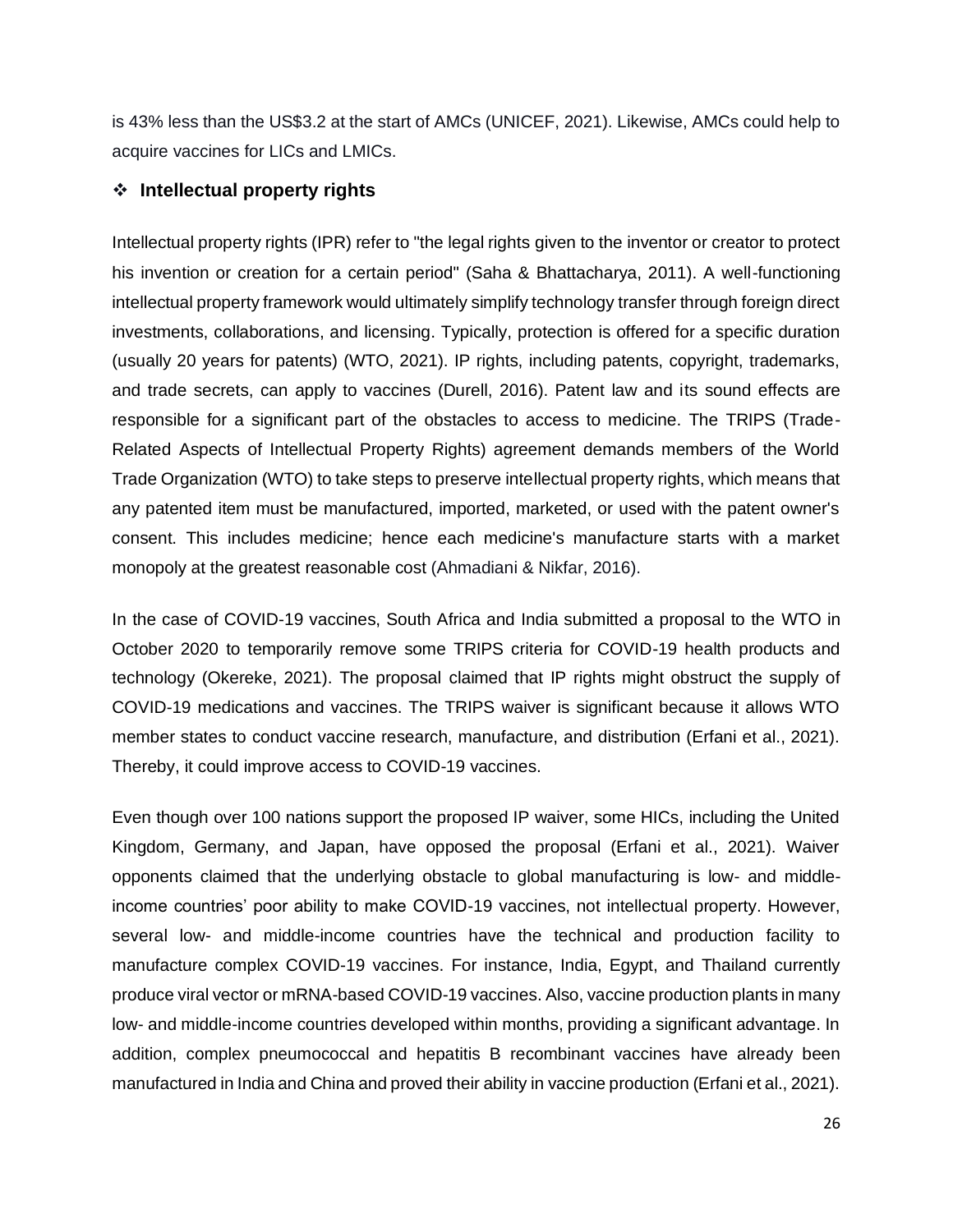is 43% less than the US\$3.2 at the start of AMCs (UNICEF, 2021). Likewise, AMCs could help to acquire vaccines for LICs and LMICs.

## ❖ **Intellectual property rights**

Intellectual property rights (IPR) refer to "the legal rights given to the inventor or creator to protect his invention or creation for a certain period" (Saha & Bhattacharya, 2011). A well-functioning intellectual property framework would ultimately simplify technology transfer through foreign direct investments, collaborations, and licensing. Typically, protection is offered for a specific duration (usually 20 years for patents) (WTO, 2021). IP rights, including patents, copyright, trademarks, and trade secrets, can apply to vaccines (Durell, 2016). Patent law and its sound effects are responsible for a significant part of the obstacles to access to medicine. The TRIPS (Trade-Related Aspects of Intellectual Property Rights) agreement demands members of the World Trade Organization (WTO) to take steps to preserve intellectual property rights, which means that any patented item must be manufactured, imported, marketed, or used with the patent owner's consent. This includes medicine; hence each medicine's manufacture starts with a market monopoly at the greatest reasonable cost (Ahmadiani & Nikfar, 2016).

In the case of COVID-19 vaccines, South Africa and India submitted a proposal to the WTO in October 2020 to temporarily remove some TRIPS criteria for COVID-19 health products and technology (Okereke, 2021). The proposal claimed that IP rights might obstruct the supply of COVID-19 medications and vaccines. The TRIPS waiver is significant because it allows WTO member states to conduct vaccine research, manufacture, and distribution (Erfani et al., 2021). Thereby, it could improve access to COVID-19 vaccines.

Even though over 100 nations support the proposed IP waiver, some HICs, including the United Kingdom, Germany, and Japan, have opposed the proposal (Erfani et al., 2021). Waiver opponents claimed that the underlying obstacle to global manufacturing is low- and middleincome countries' poor ability to make COVID-19 vaccines, not intellectual property. However, several low- and middle-income countries have the technical and production facility to manufacture complex COVID-19 vaccines. For instance, India, Egypt, and Thailand currently produce viral vector or mRNA-based COVID-19 vaccines. Also, vaccine production plants in many low- and middle-income countries developed within months, providing a significant advantage. In addition, complex pneumococcal and hepatitis B recombinant vaccines have already been manufactured in India and China and proved their ability in vaccine production (Erfani et al., 2021).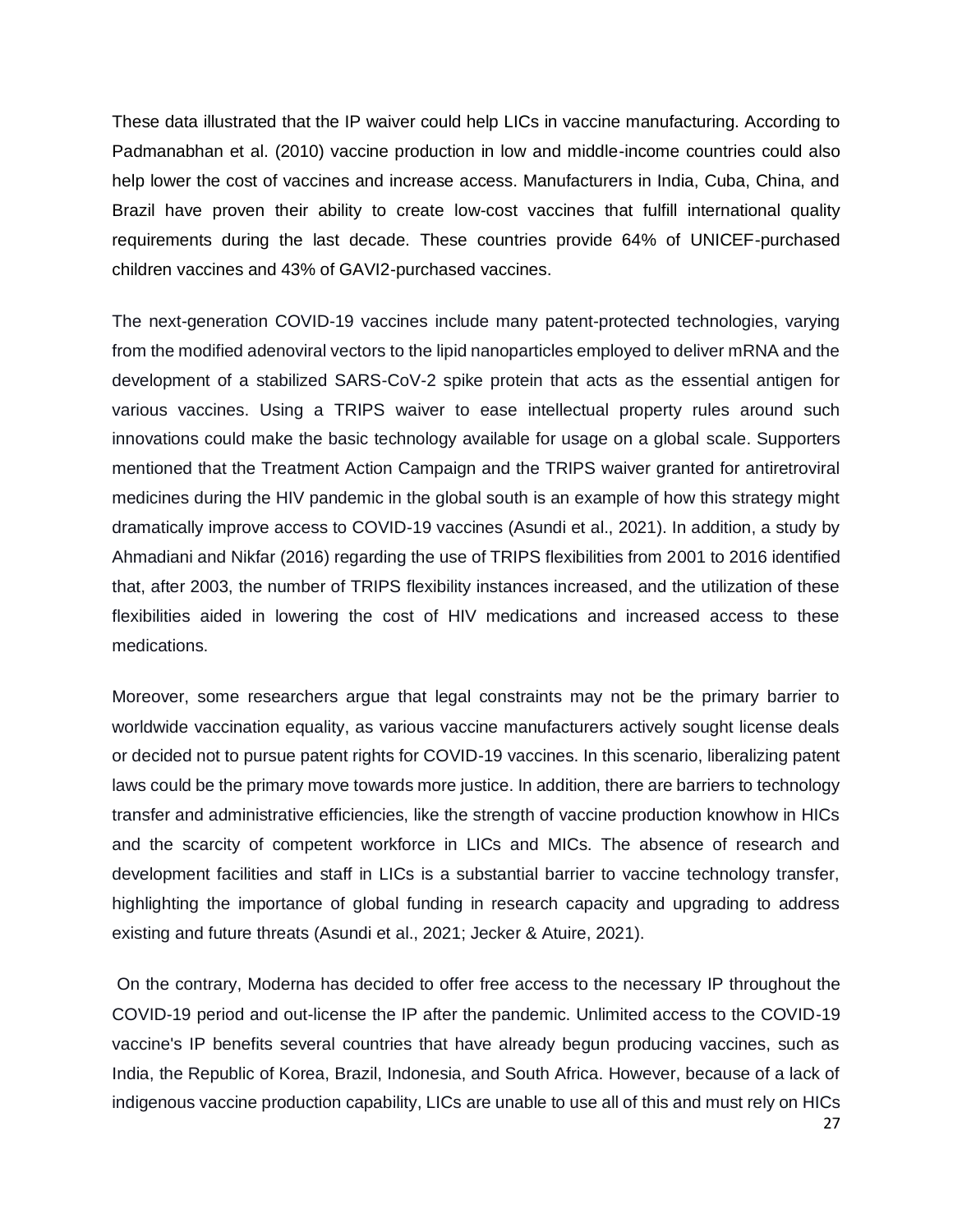These data illustrated that the IP waiver could help LICs in vaccine manufacturing. According to Padmanabhan et al. (2010) vaccine production in low and middle-income countries could also help lower the cost of vaccines and increase access. Manufacturers in India, Cuba, China, and Brazil have proven their ability to create low-cost vaccines that fulfill international quality requirements during the last decade. These countries provide 64% of UNICEF-purchased children vaccines and 43% of GAVI2-purchased vaccines.

The next-generation COVID-19 vaccines include many patent-protected technologies, varying from the modified adenoviral vectors to the lipid nanoparticles employed to deliver mRNA and the development of a stabilized SARS-CoV-2 spike protein that acts as the essential antigen for various vaccines. Using a TRIPS waiver to ease intellectual property rules around such innovations could make the basic technology available for usage on a global scale. Supporters mentioned that the Treatment Action Campaign and the TRIPS waiver granted for antiretroviral medicines during the HIV pandemic in the global south is an example of how this strategy might dramatically improve access to COVID-19 vaccines (Asundi et al., 2021). In addition, a study by Ahmadiani and Nikfar (2016) regarding the use of TRIPS flexibilities from 2001 to 2016 identified that, after 2003, the number of TRIPS flexibility instances increased, and the utilization of these flexibilities aided in lowering the cost of HIV medications and increased access to these medications.

Moreover, some researchers argue that legal constraints may not be the primary barrier to worldwide vaccination equality, as various vaccine manufacturers actively sought license deals or decided not to pursue patent rights for COVID-19 vaccines. In this scenario, liberalizing patent laws could be the primary move towards more justice. In addition, there are barriers to technology transfer and administrative efficiencies, like the strength of vaccine production knowhow in HICs and the scarcity of competent workforce in LICs and MICs. The absence of research and development facilities and staff in LICs is a substantial barrier to vaccine technology transfer, highlighting the importance of global funding in research capacity and upgrading to address existing and future threats (Asundi et al., 2021; Jecker & Atuire, 2021).

On the contrary, Moderna has decided to offer free access to the necessary IP throughout the COVID-19 period and out-license the IP after the pandemic. Unlimited access to the COVID-19 vaccine's IP benefits several countries that have already begun producing vaccines, such as India, the Republic of Korea, Brazil, Indonesia, and South Africa. However, because of a lack of indigenous vaccine production capability, LICs are unable to use all of this and must rely on HICs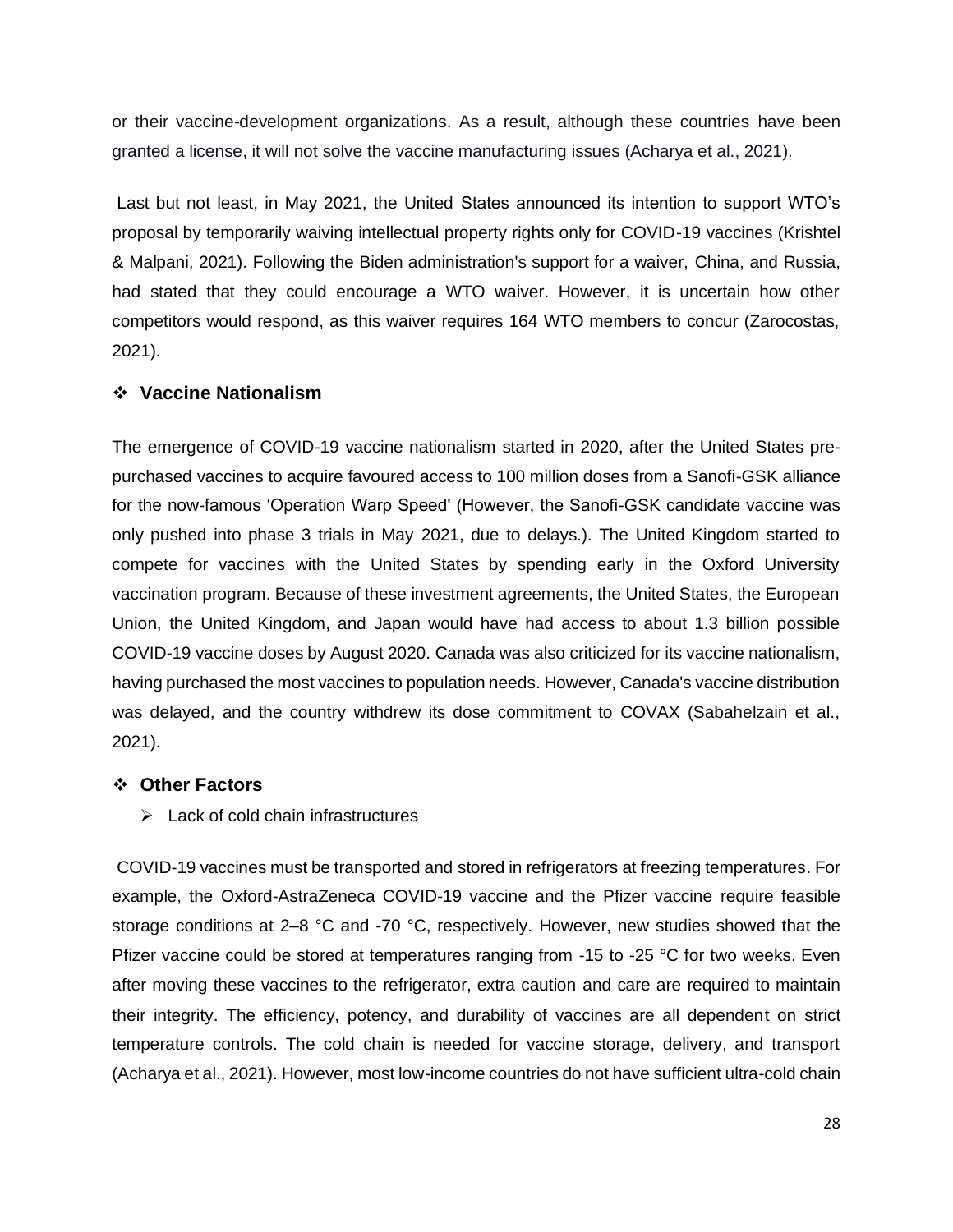or their vaccine-development organizations. As a result, although these countries have been granted a license, it will not solve the vaccine manufacturing issues (Acharya et al., 2021).

Last but not least, in May 2021, the United States announced its intention to support WTO's proposal by temporarily waiving intellectual property rights only for COVID-19 vaccines (Krishtel & Malpani, 2021). Following the Biden administration's support for a waiver, China, and Russia, had stated that they could encourage a WTO waiver. However, it is uncertain how other competitors would respond, as this waiver requires 164 WTO members to concur (Zarocostas, 2021).

#### ❖ **Vaccine Nationalism**

The emergence of COVID-19 vaccine nationalism started in 2020, after the United States prepurchased vaccines to acquire favoured access to 100 million doses from a Sanofi-GSK alliance for the now-famous 'Operation Warp Speed' (However, the Sanofi-GSK candidate vaccine was only pushed into phase 3 trials in May 2021, due to delays.). The United Kingdom started to compete for vaccines with the United States by spending early in the Oxford University vaccination program. Because of these investment agreements, the United States, the European Union, the United Kingdom, and Japan would have had access to about 1.3 billion possible COVID-19 vaccine doses by August 2020. Canada was also criticized for its vaccine nationalism, having purchased the most vaccines to population needs. However, Canada's vaccine distribution was delayed, and the country withdrew its dose commitment to COVAX (Sabahelzain et al., 2021).

#### ❖ **Other Factors**

 $\triangleright$  Lack of cold chain infrastructures

COVID-19 vaccines must be transported and stored in refrigerators at freezing temperatures. For example, the Oxford-AstraZeneca COVID-19 vaccine and the Pfizer vaccine require feasible storage conditions at 2–8 °C and -70 °C, respectively. However, new studies showed that the Pfizer vaccine could be stored at temperatures ranging from -15 to -25 °C for two weeks. Even after moving these vaccines to the refrigerator, extra caution and care are required to maintain their integrity. The efficiency, potency, and durability of vaccines are all dependent on strict temperature controls. The cold chain is needed for vaccine storage, delivery, and transport (Acharya et al., 2021). However, most low-income countries do not have sufficient ultra-cold chain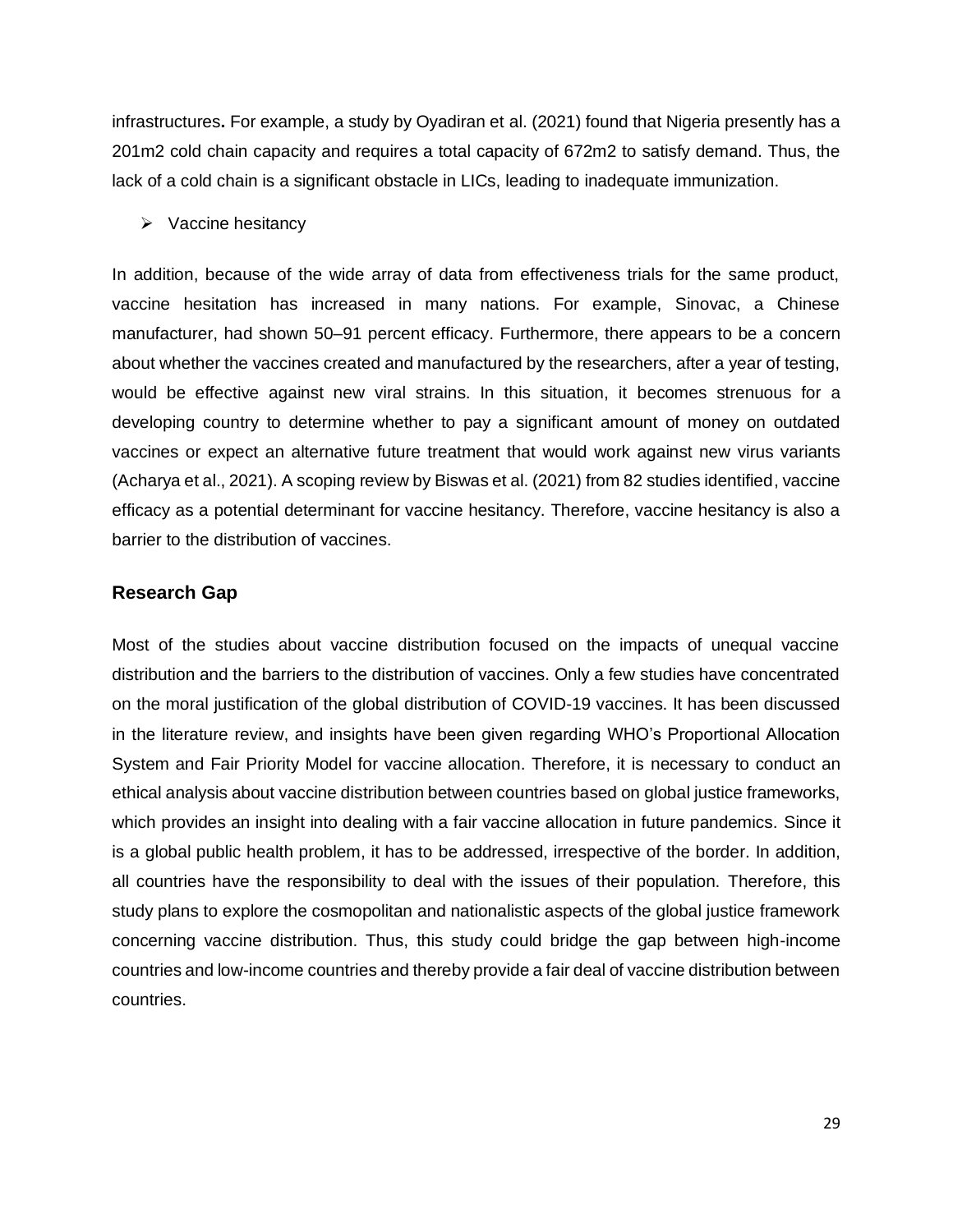infrastructures**.** For example, a study by Oyadiran et al. (2021) found that Nigeria presently has a 201m2 cold chain capacity and requires a total capacity of 672m2 to satisfy demand. Thus, the lack of a cold chain is a significant obstacle in LICs, leading to inadequate immunization.

➢ Vaccine hesitancy

In addition, because of the wide array of data from effectiveness trials for the same product, vaccine hesitation has increased in many nations. For example, Sinovac, a Chinese manufacturer, had shown 50–91 percent efficacy. Furthermore, there appears to be a concern about whether the vaccines created and manufactured by the researchers, after a year of testing, would be effective against new viral strains. In this situation, it becomes strenuous for a developing country to determine whether to pay a significant amount of money on outdated vaccines or expect an alternative future treatment that would work against new virus variants (Acharya et al., 2021). A scoping review by Biswas et al. (2021) from 82 studies identified, vaccine efficacy as a potential determinant for vaccine hesitancy. Therefore, vaccine hesitancy is also a barrier to the distribution of vaccines.

#### **Research Gap**

Most of the studies about vaccine distribution focused on the impacts of unequal vaccine distribution and the barriers to the distribution of vaccines. Only a few studies have concentrated on the moral justification of the global distribution of COVID-19 vaccines. It has been discussed in the literature review, and insights have been given regarding WHO's Proportional Allocation System and Fair Priority Model for vaccine allocation. Therefore, it is necessary to conduct an ethical analysis about vaccine distribution between countries based on global justice frameworks, which provides an insight into dealing with a fair vaccine allocation in future pandemics. Since it is a global public health problem, it has to be addressed, irrespective of the border. In addition, all countries have the responsibility to deal with the issues of their population. Therefore, this study plans to explore the cosmopolitan and nationalistic aspects of the global justice framework concerning vaccine distribution. Thus, this study could bridge the gap between high-income countries and low-income countries and thereby provide a fair deal of vaccine distribution between countries.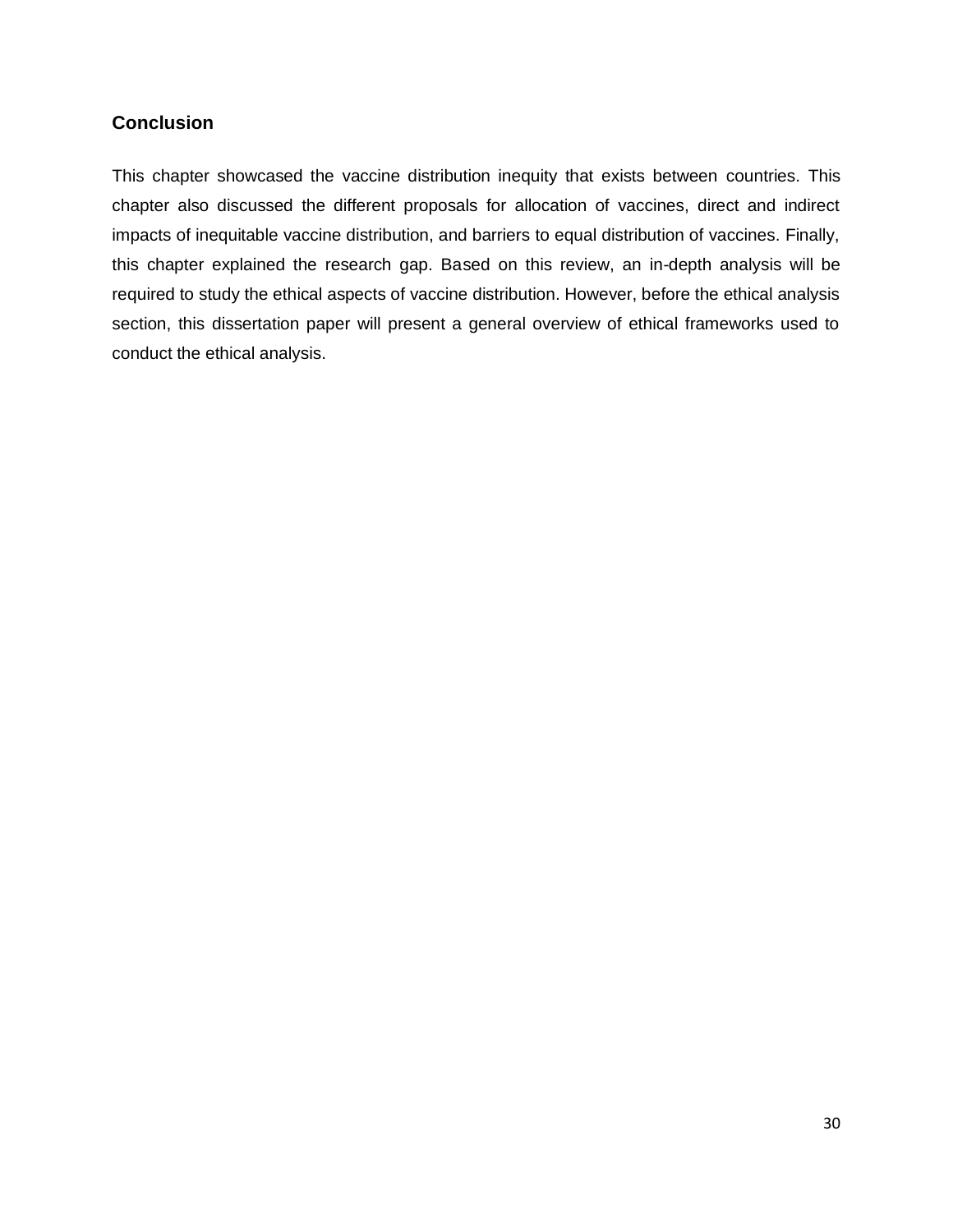## **Conclusion**

This chapter showcased the vaccine distribution inequity that exists between countries. This chapter also discussed the different proposals for allocation of vaccines, direct and indirect impacts of inequitable vaccine distribution, and barriers to equal distribution of vaccines. Finally, this chapter explained the research gap. Based on this review, an in-depth analysis will be required to study the ethical aspects of vaccine distribution. However, before the ethical analysis section, this dissertation paper will present a general overview of ethical frameworks used to conduct the ethical analysis.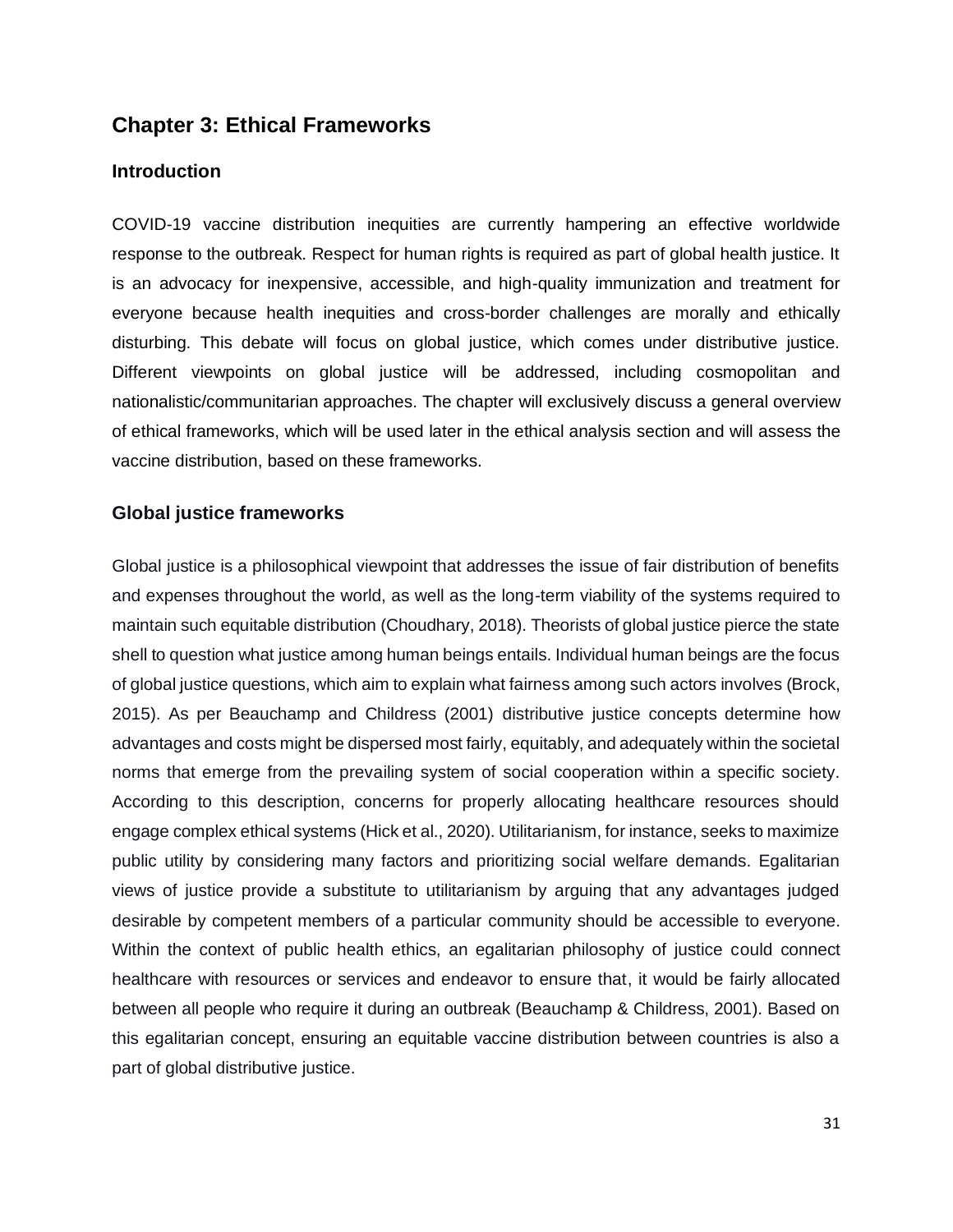## **Chapter 3: Ethical Frameworks**

#### **Introduction**

COVID-19 vaccine distribution inequities are currently hampering an effective worldwide response to the outbreak. Respect for human rights is required as part of global health justice. It is an advocacy for inexpensive, accessible, and high-quality immunization and treatment for everyone because health inequities and cross-border challenges are morally and ethically disturbing. This debate will focus on global justice, which comes under distributive justice. Different viewpoints on global justice will be addressed, including cosmopolitan and nationalistic/communitarian approaches. The chapter will exclusively discuss a general overview of ethical frameworks, which will be used later in the ethical analysis section and will assess the vaccine distribution, based on these frameworks.

## **Global justice frameworks**

Global justice is a philosophical viewpoint that addresses the issue of fair distribution of benefits and expenses throughout the world, as well as the long-term viability of the systems required to maintain such equitable distribution (Choudhary, 2018). Theorists of global justice pierce the state shell to question what justice among human beings entails. Individual human beings are the focus of global justice questions, which aim to explain what fairness among such actors involves (Brock, 2015). As per Beauchamp and Childress (2001) distributive justice concepts determine how advantages and costs might be dispersed most fairly, equitably, and adequately within the societal norms that emerge from the prevailing system of social cooperation within a specific society. According to this description, concerns for properly allocating healthcare resources should engage complex ethical systems (Hick et al., 2020). Utilitarianism, for instance, seeks to maximize public utility by considering many factors and prioritizing social welfare demands. Egalitarian views of justice provide a substitute to utilitarianism by arguing that any advantages judged desirable by competent members of a particular community should be accessible to everyone. Within the context of public health ethics, an egalitarian philosophy of justice could connect healthcare with resources or services and endeavor to ensure that, it would be fairly allocated between all people who require it during an outbreak (Beauchamp & Childress, 2001). Based on this egalitarian concept, ensuring an equitable vaccine distribution between countries is also a part of global distributive justice.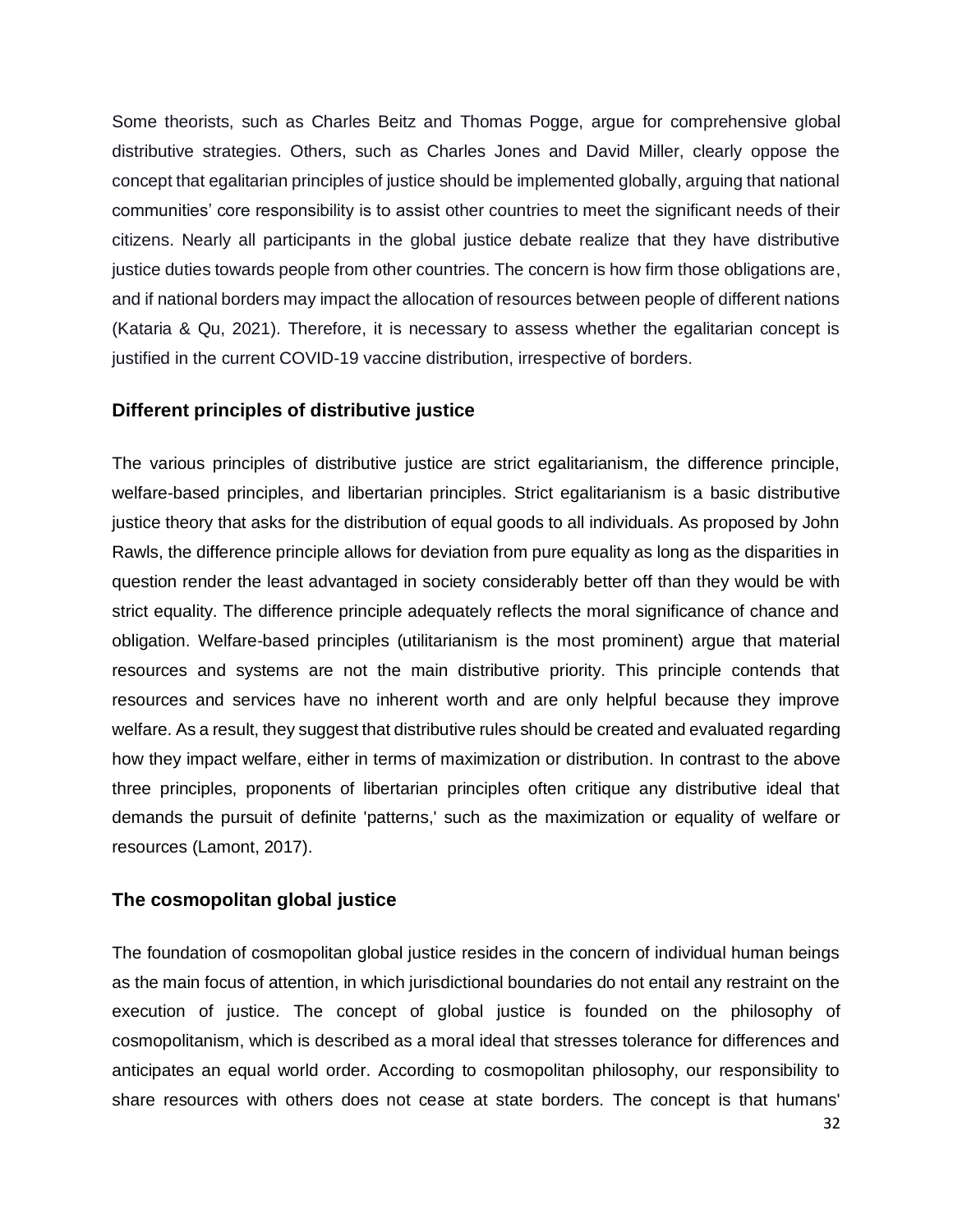Some theorists, such as Charles Beitz and Thomas Pogge, argue for comprehensive global distributive strategies. Others, such as Charles Jones and David Miller, clearly oppose the concept that egalitarian principles of justice should be implemented globally, arguing that national communities' core responsibility is to assist other countries to meet the significant needs of their citizens. Nearly all participants in the global justice debate realize that they have distributive justice duties towards people from other countries. The concern is how firm those obligations are, and if national borders may impact the allocation of resources between people of different nations (Kataria & Qu, 2021). Therefore, it is necessary to assess whether the egalitarian concept is justified in the current COVID-19 vaccine distribution, irrespective of borders.

## **Different principles of distributive justice**

The various principles of distributive justice are strict egalitarianism, the difference principle, welfare-based principles, and libertarian principles. Strict egalitarianism is a basic distributive justice theory that asks for the distribution of equal goods to all individuals. As proposed by John Rawls, the difference principle allows for deviation from pure equality as long as the disparities in question render the least advantaged in society considerably better off than they would be with strict equality. The difference principle adequately reflects the moral significance of chance and obligation. Welfare-based principles (utilitarianism is the most prominent) argue that material resources and systems are not the main distributive priority. This principle contends that resources and services have no inherent worth and are only helpful because they improve welfare. As a result, they suggest that distributive rules should be created and evaluated regarding how they impact welfare, either in terms of maximization or distribution. In contrast to the above three principles, proponents of libertarian principles often critique any distributive ideal that demands the pursuit of definite 'patterns,' such as the maximization or equality of welfare or resources (Lamont, 2017).

#### **The cosmopolitan global justice**

The foundation of cosmopolitan global justice resides in the concern of individual human beings as the main focus of attention, in which jurisdictional boundaries do not entail any restraint on the execution of justice. The concept of global justice is founded on the philosophy of cosmopolitanism, which is described as a moral ideal that stresses tolerance for differences and anticipates an equal world order. According to cosmopolitan philosophy, our responsibility to share resources with others does not cease at state borders. The concept is that humans'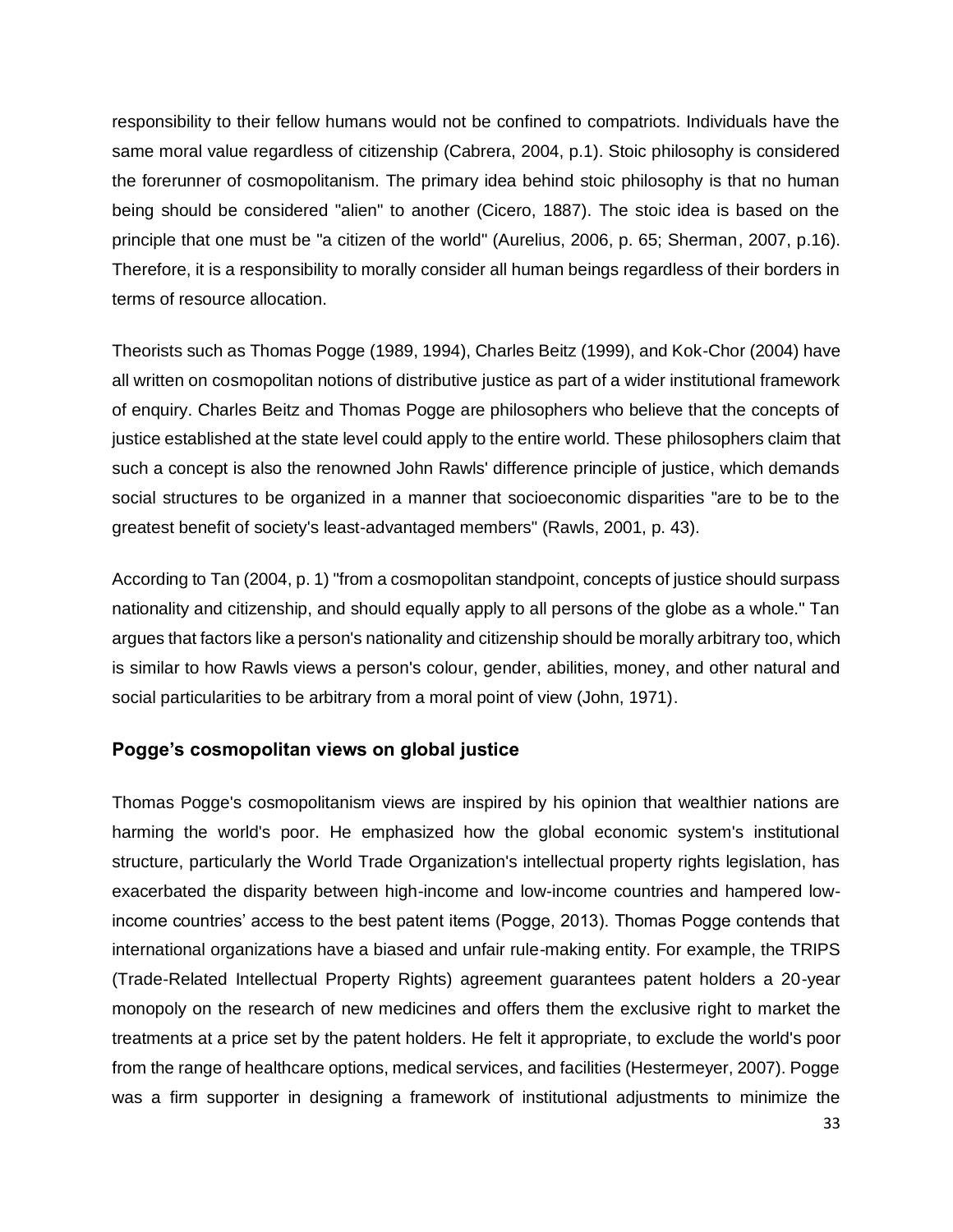responsibility to their fellow humans would not be confined to compatriots. Individuals have the same moral value regardless of citizenship (Cabrera, 2004, p.1). Stoic philosophy is considered the forerunner of cosmopolitanism. The primary idea behind stoic philosophy is that no human being should be considered "alien" to another (Cicero, 1887). The stoic idea is based on the principle that one must be "a citizen of the world" (Aurelius, 2006, p. 65; Sherman, 2007, p.16). Therefore, it is a responsibility to morally consider all human beings regardless of their borders in terms of resource allocation.

Theorists such as Thomas Pogge (1989, 1994), Charles Beitz (1999), and Kok-Chor (2004) have all written on cosmopolitan notions of distributive justice as part of a wider institutional framework of enquiry. Charles Beitz and Thomas Pogge are philosophers who believe that the concepts of justice established at the state level could apply to the entire world. These philosophers claim that such a concept is also the renowned John Rawls' difference principle of justice, which demands social structures to be organized in a manner that socioeconomic disparities "are to be to the greatest benefit of society's least-advantaged members" (Rawls, 2001, p. 43).

According to Tan (2004, p. 1) "from a cosmopolitan standpoint, concepts of justice should surpass nationality and citizenship, and should equally apply to all persons of the globe as a whole." Tan argues that factors like a person's nationality and citizenship should be morally arbitrary too, which is similar to how Rawls views a person's colour, gender, abilities, money, and other natural and social particularities to be arbitrary from a moral point of view (John, 1971).

## **Pogge's cosmopolitan views on global justice**

Thomas Pogge's cosmopolitanism views are inspired by his opinion that wealthier nations are harming the world's poor. He emphasized how the global economic system's institutional structure, particularly the World Trade Organization's intellectual property rights legislation, has exacerbated the disparity between high-income and low-income countries and hampered lowincome countries' access to the best patent items (Pogge, 2013). Thomas Pogge contends that international organizations have a biased and unfair rule-making entity. For example, the TRIPS (Trade-Related Intellectual Property Rights) agreement guarantees patent holders a 20-year monopoly on the research of new medicines and offers them the exclusive right to market the treatments at a price set by the patent holders. He felt it appropriate, to exclude the world's poor from the range of healthcare options, medical services, and facilities (Hestermeyer, 2007). Pogge was a firm supporter in designing a framework of institutional adjustments to minimize the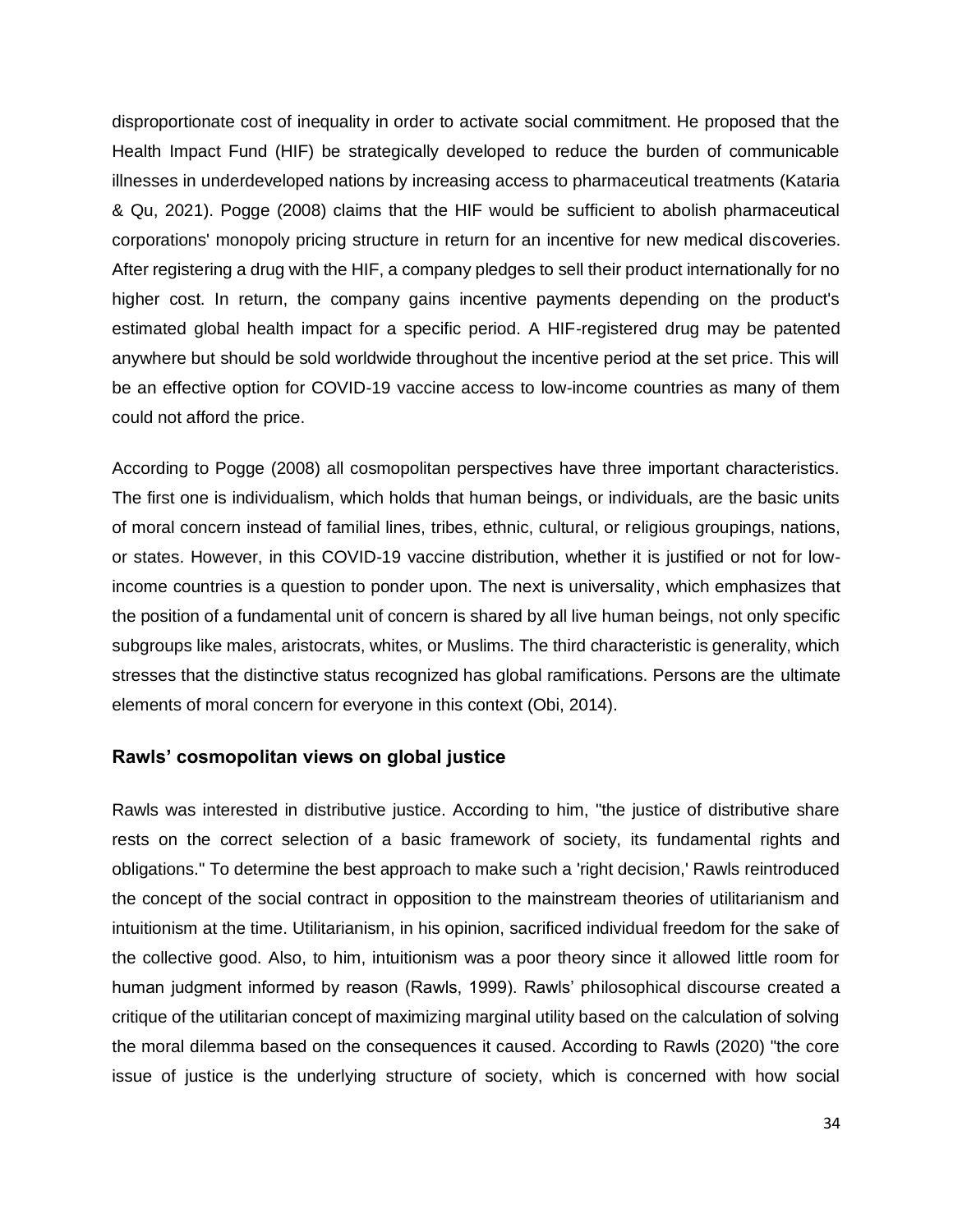disproportionate cost of inequality in order to activate social commitment. He proposed that the Health Impact Fund (HIF) be strategically developed to reduce the burden of communicable illnesses in underdeveloped nations by increasing access to pharmaceutical treatments (Kataria & Qu, 2021). Pogge (2008) claims that the HIF would be sufficient to abolish pharmaceutical corporations' monopoly pricing structure in return for an incentive for new medical discoveries. After registering a drug with the HIF, a company pledges to sell their product internationally for no higher cost. In return, the company gains incentive payments depending on the product's estimated global health impact for a specific period. A HIF-registered drug may be patented anywhere but should be sold worldwide throughout the incentive period at the set price. This will be an effective option for COVID-19 vaccine access to low-income countries as many of them could not afford the price.

According to Pogge (2008) all cosmopolitan perspectives have three important characteristics. The first one is individualism, which holds that human beings, or individuals, are the basic units of moral concern instead of familial lines, tribes, ethnic, cultural, or religious groupings, nations, or states. However, in this COVID-19 vaccine distribution, whether it is justified or not for lowincome countries is a question to ponder upon. The next is universality, which emphasizes that the position of a fundamental unit of concern is shared by all live human beings, not only specific subgroups like males, aristocrats, whites, or Muslims. The third characteristic is generality, which stresses that the distinctive status recognized has global ramifications. Persons are the ultimate elements of moral concern for everyone in this context (Obi, 2014).

#### **Rawls' cosmopolitan views on global justice**

Rawls was interested in distributive justice. According to him, "the justice of distributive share rests on the correct selection of a basic framework of society, its fundamental rights and obligations." To determine the best approach to make such a 'right decision,' Rawls reintroduced the concept of the social contract in opposition to the mainstream theories of utilitarianism and intuitionism at the time. Utilitarianism, in his opinion, sacrificed individual freedom for the sake of the collective good. Also, to him, intuitionism was a poor theory since it allowed little room for human judgment informed by reason (Rawls, 1999). Rawls' philosophical discourse created a critique of the utilitarian concept of maximizing marginal utility based on the calculation of solving the moral dilemma based on the consequences it caused. According to Rawls (2020) "the core issue of justice is the underlying structure of society, which is concerned with how social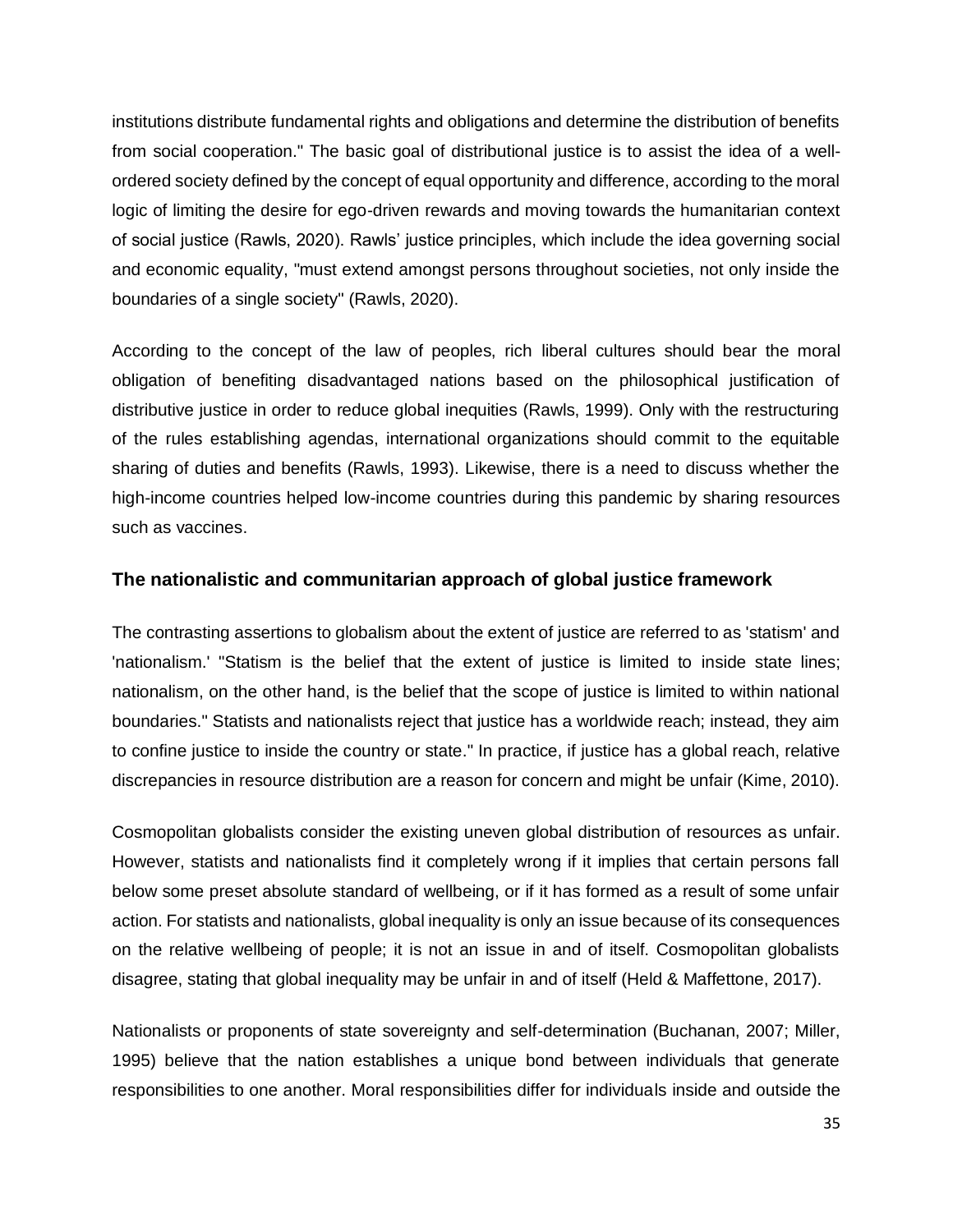institutions distribute fundamental rights and obligations and determine the distribution of benefits from social cooperation." The basic goal of distributional justice is to assist the idea of a wellordered society defined by the concept of equal opportunity and difference, according to the moral logic of limiting the desire for ego-driven rewards and moving towards the humanitarian context of social justice (Rawls, 2020). Rawls' justice principles, which include the idea governing social and economic equality, "must extend amongst persons throughout societies, not only inside the boundaries of a single society" (Rawls, 2020).

According to the concept of the law of peoples, rich liberal cultures should bear the moral obligation of benefiting disadvantaged nations based on the philosophical justification of distributive justice in order to reduce global inequities (Rawls, 1999). Only with the restructuring of the rules establishing agendas, international organizations should commit to the equitable sharing of duties and benefits (Rawls, 1993). Likewise, there is a need to discuss whether the high-income countries helped low-income countries during this pandemic by sharing resources such as vaccines.

## **The nationalistic and communitarian approach of global justice framework**

The contrasting assertions to globalism about the extent of justice are referred to as 'statism' and 'nationalism.' "Statism is the belief that the extent of justice is limited to inside state lines; nationalism, on the other hand, is the belief that the scope of justice is limited to within national boundaries." Statists and nationalists reject that justice has a worldwide reach; instead, they aim to confine justice to inside the country or state." In practice, if justice has a global reach, relative discrepancies in resource distribution are a reason for concern and might be unfair (Kime, 2010).

Cosmopolitan globalists consider the existing uneven global distribution of resources as unfair. However, statists and nationalists find it completely wrong if it implies that certain persons fall below some preset absolute standard of wellbeing, or if it has formed as a result of some unfair action. For statists and nationalists, global inequality is only an issue because of its consequences on the relative wellbeing of people; it is not an issue in and of itself. Cosmopolitan globalists disagree, stating that global inequality may be unfair in and of itself (Held & Maffettone, 2017).

Nationalists or proponents of state sovereignty and self-determination (Buchanan, 2007; Miller, 1995) believe that the nation establishes a unique bond between individuals that generate responsibilities to one another. Moral responsibilities differ for individuals inside and outside the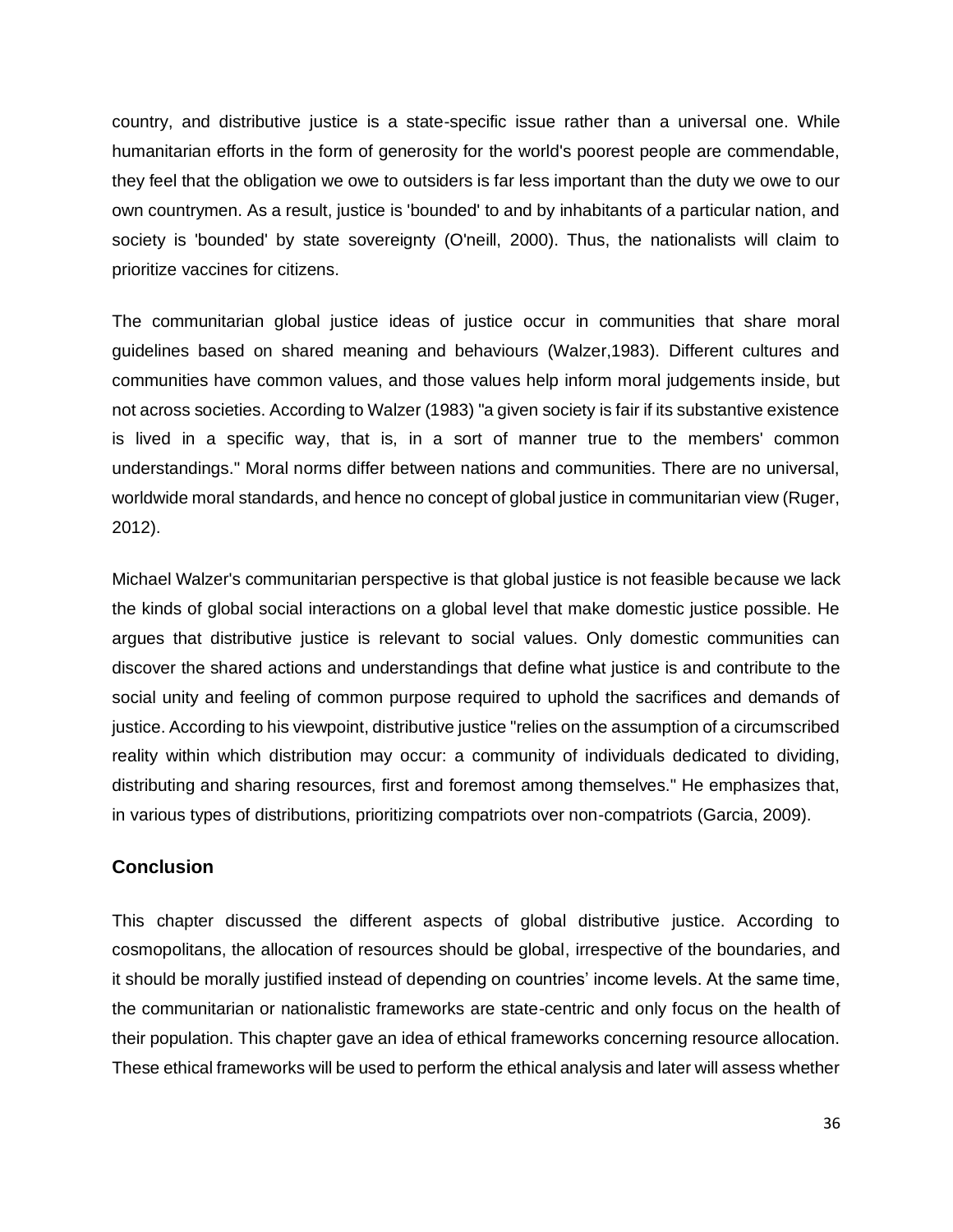country, and distributive justice is a state-specific issue rather than a universal one. While humanitarian efforts in the form of generosity for the world's poorest people are commendable, they feel that the obligation we owe to outsiders is far less important than the duty we owe to our own countrymen. As a result, justice is 'bounded' to and by inhabitants of a particular nation, and society is 'bounded' by state sovereignty (O'neill, 2000). Thus, the nationalists will claim to prioritize vaccines for citizens.

The communitarian global justice ideas of justice occur in communities that share moral guidelines based on shared meaning and behaviours (Walzer,1983). Different cultures and communities have common values, and those values help inform moral judgements inside, but not across societies. According to Walzer (1983) "a given society is fair if its substantive existence is lived in a specific way, that is, in a sort of manner true to the members' common understandings." Moral norms differ between nations and communities. There are no universal, worldwide moral standards, and hence no concept of global justice in communitarian view (Ruger, 2012).

Michael Walzer's communitarian perspective is that global justice is not feasible because we lack the kinds of global social interactions on a global level that make domestic justice possible. He argues that distributive justice is relevant to social values. Only domestic communities can discover the shared actions and understandings that define what justice is and contribute to the social unity and feeling of common purpose required to uphold the sacrifices and demands of justice. According to his viewpoint, distributive justice "relies on the assumption of a circumscribed reality within which distribution may occur: a community of individuals dedicated to dividing, distributing and sharing resources, first and foremost among themselves." He emphasizes that, in various types of distributions, prioritizing compatriots over non-compatriots (Garcia, 2009).

#### **Conclusion**

This chapter discussed the different aspects of global distributive justice. According to cosmopolitans, the allocation of resources should be global, irrespective of the boundaries, and it should be morally justified instead of depending on countries' income levels. At the same time, the communitarian or nationalistic frameworks are state-centric and only focus on the health of their population. This chapter gave an idea of ethical frameworks concerning resource allocation. These ethical frameworks will be used to perform the ethical analysis and later will assess whether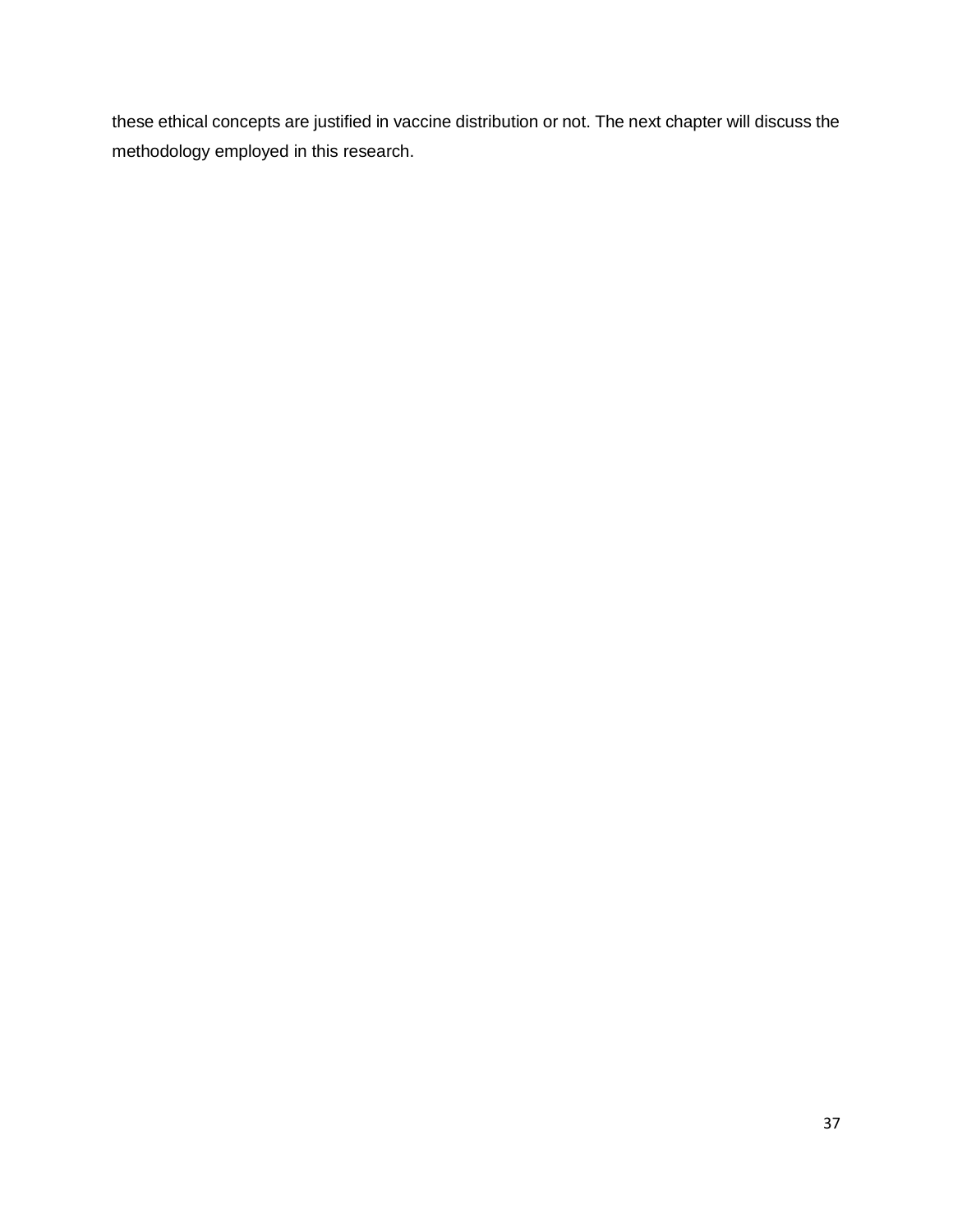these ethical concepts are justified in vaccine distribution or not. The next chapter will discuss the methodology employed in this research.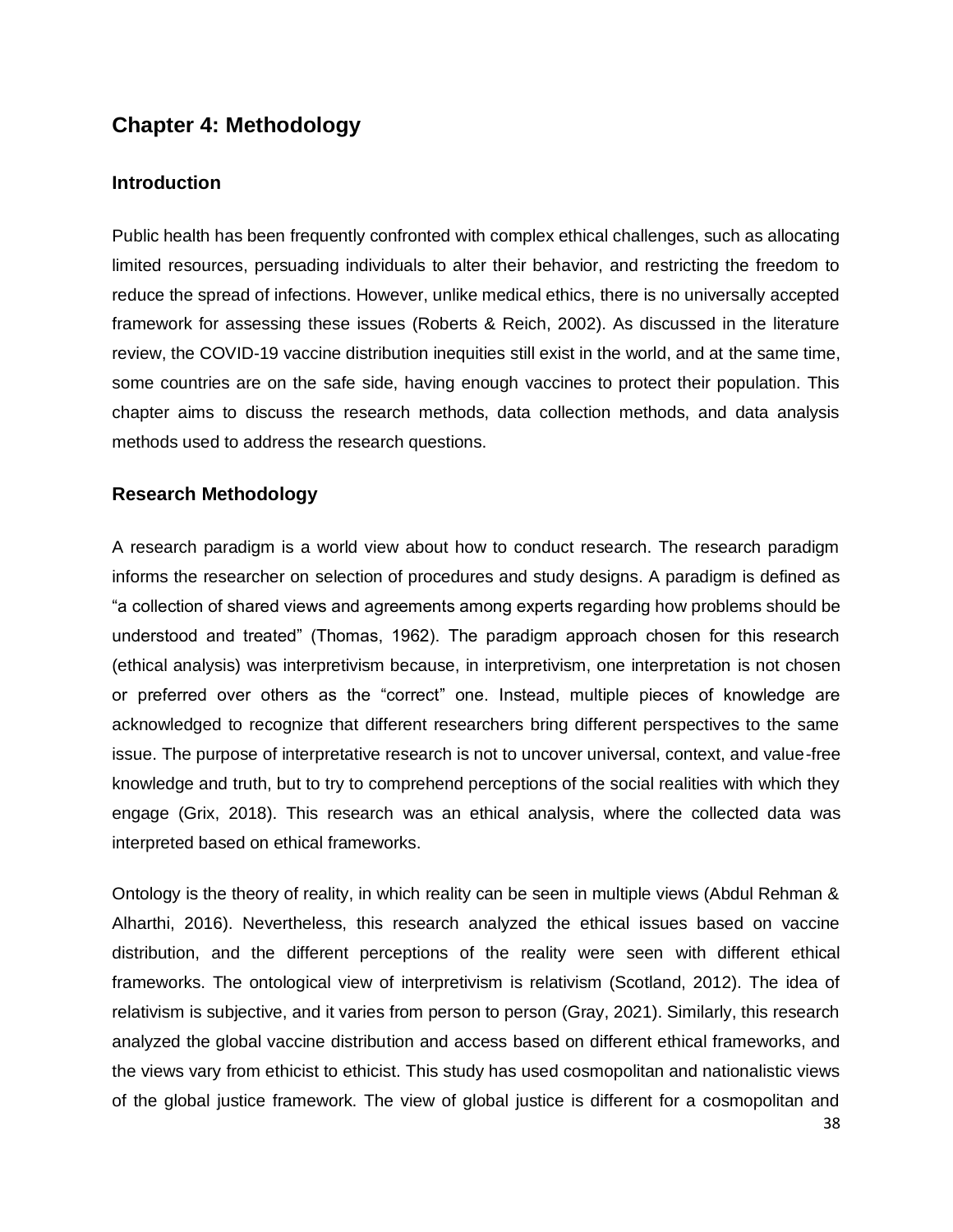## **Chapter 4: Methodology**

#### **Introduction**

Public health has been frequently confronted with complex ethical challenges, such as allocating limited resources, persuading individuals to alter their behavior, and restricting the freedom to reduce the spread of infections. However, unlike medical ethics, there is no universally accepted framework for assessing these issues (Roberts & Reich, 2002). As discussed in the literature review, the COVID-19 vaccine distribution inequities still exist in the world, and at the same time, some countries are on the safe side, having enough vaccines to protect their population. This chapter aims to discuss the research methods, data collection methods, and data analysis methods used to address the research questions.

#### **Research Methodology**

A research paradigm is a world view about how to conduct research. The research paradigm informs the researcher on selection of procedures and study designs. A paradigm is defined as "a collection of shared views and agreements among experts regarding how problems should be understood and treated" (Thomas, 1962). The paradigm approach chosen for this research (ethical analysis) was interpretivism because, in interpretivism, one interpretation is not chosen or preferred over others as the "correct" one. Instead, multiple pieces of knowledge are acknowledged to recognize that different researchers bring different perspectives to the same issue. The purpose of interpretative research is not to uncover universal, context, and value-free knowledge and truth, but to try to comprehend perceptions of the social realities with which they engage (Grix, 2018). This research was an ethical analysis, where the collected data was interpreted based on ethical frameworks.

Ontology is the theory of reality, in which reality can be seen in multiple views (Abdul Rehman & Alharthi, 2016). Nevertheless, this research analyzed the ethical issues based on vaccine distribution, and the different perceptions of the reality were seen with different ethical frameworks. The ontological view of interpretivism is relativism (Scotland, 2012). The idea of relativism is subjective, and it varies from person to person (Gray, 2021). Similarly, this research analyzed the global vaccine distribution and access based on different ethical frameworks, and the views vary from ethicist to ethicist. This study has used cosmopolitan and nationalistic views of the global justice framework. The view of global justice is different for a cosmopolitan and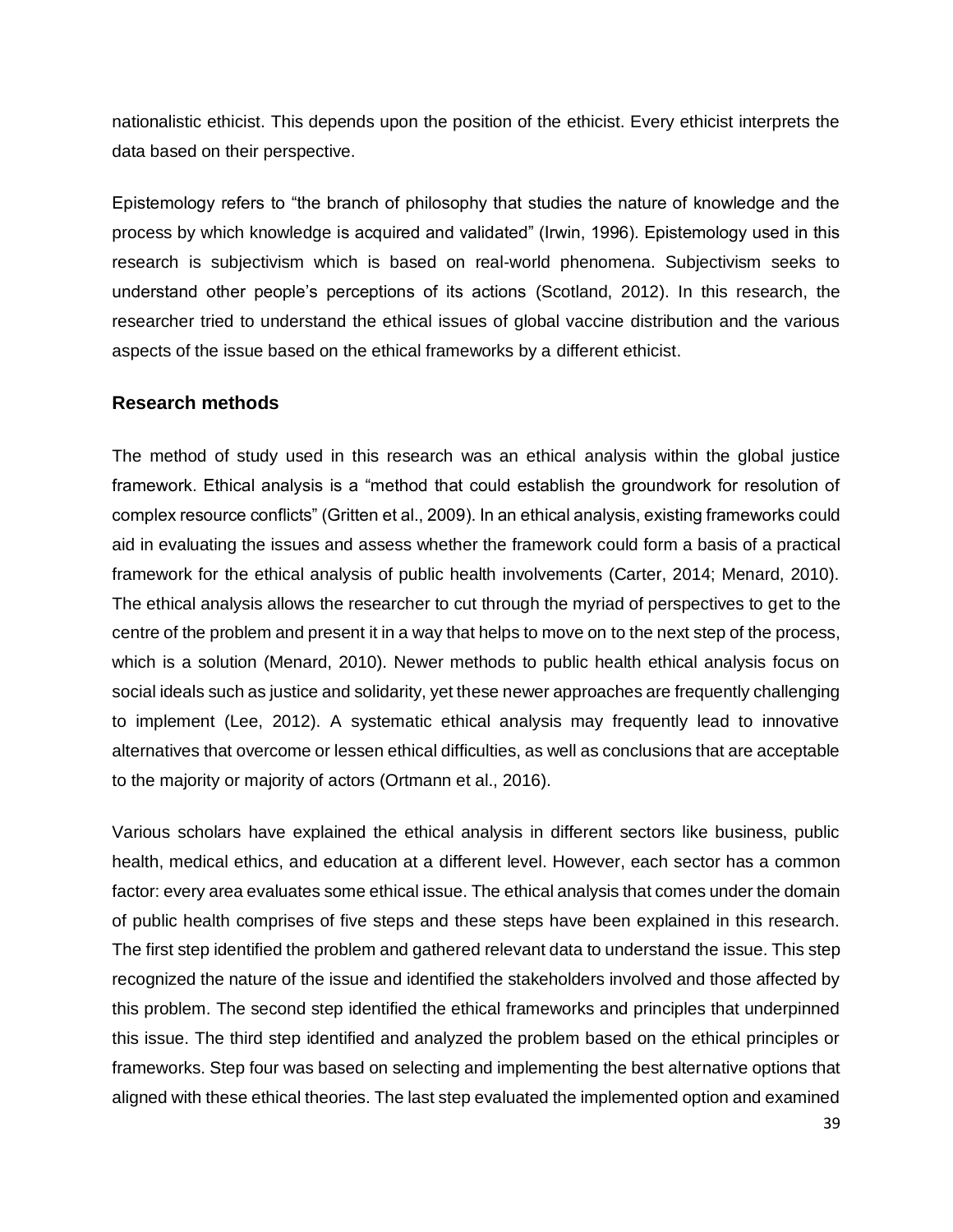nationalistic ethicist. This depends upon the position of the ethicist. Every ethicist interprets the data based on their perspective.

Epistemology refers to "the branch of philosophy that studies the nature of knowledge and the process by which knowledge is acquired and validated" (Irwin, 1996). Epistemology used in this research is subjectivism which is based on real-world phenomena. Subjectivism seeks to understand other people's perceptions of its actions (Scotland, 2012). In this research, the researcher tried to understand the ethical issues of global vaccine distribution and the various aspects of the issue based on the ethical frameworks by a different ethicist.

#### **Research methods**

The method of study used in this research was an ethical analysis within the global justice framework. Ethical analysis is a "method that could establish the groundwork for resolution of complex resource conflicts" (Gritten et al., 2009). In an ethical analysis, existing frameworks could aid in evaluating the issues and assess whether the framework could form a basis of a practical framework for the ethical analysis of public health involvements (Carter, 2014; Menard, 2010). The ethical analysis allows the researcher to cut through the myriad of perspectives to get to the centre of the problem and present it in a way that helps to move on to the next step of the process, which is a solution (Menard, 2010). Newer methods to public health ethical analysis focus on social ideals such as justice and solidarity, yet these newer approaches are frequently challenging to implement (Lee, 2012). A systematic ethical analysis may frequently lead to innovative alternatives that overcome or lessen ethical difficulties, as well as conclusions that are acceptable to the majority or majority of actors (Ortmann et al., 2016).

Various scholars have explained the ethical analysis in different sectors like business, public health, medical ethics, and education at a different level. However, each sector has a common factor: every area evaluates some ethical issue. The ethical analysis that comes under the domain of public health comprises of five steps and these steps have been explained in this research. The first step identified the problem and gathered relevant data to understand the issue. This step recognized the nature of the issue and identified the stakeholders involved and those affected by this problem. The second step identified the ethical frameworks and principles that underpinned this issue. The third step identified and analyzed the problem based on the ethical principles or frameworks. Step four was based on selecting and implementing the best alternative options that aligned with these ethical theories. The last step evaluated the implemented option and examined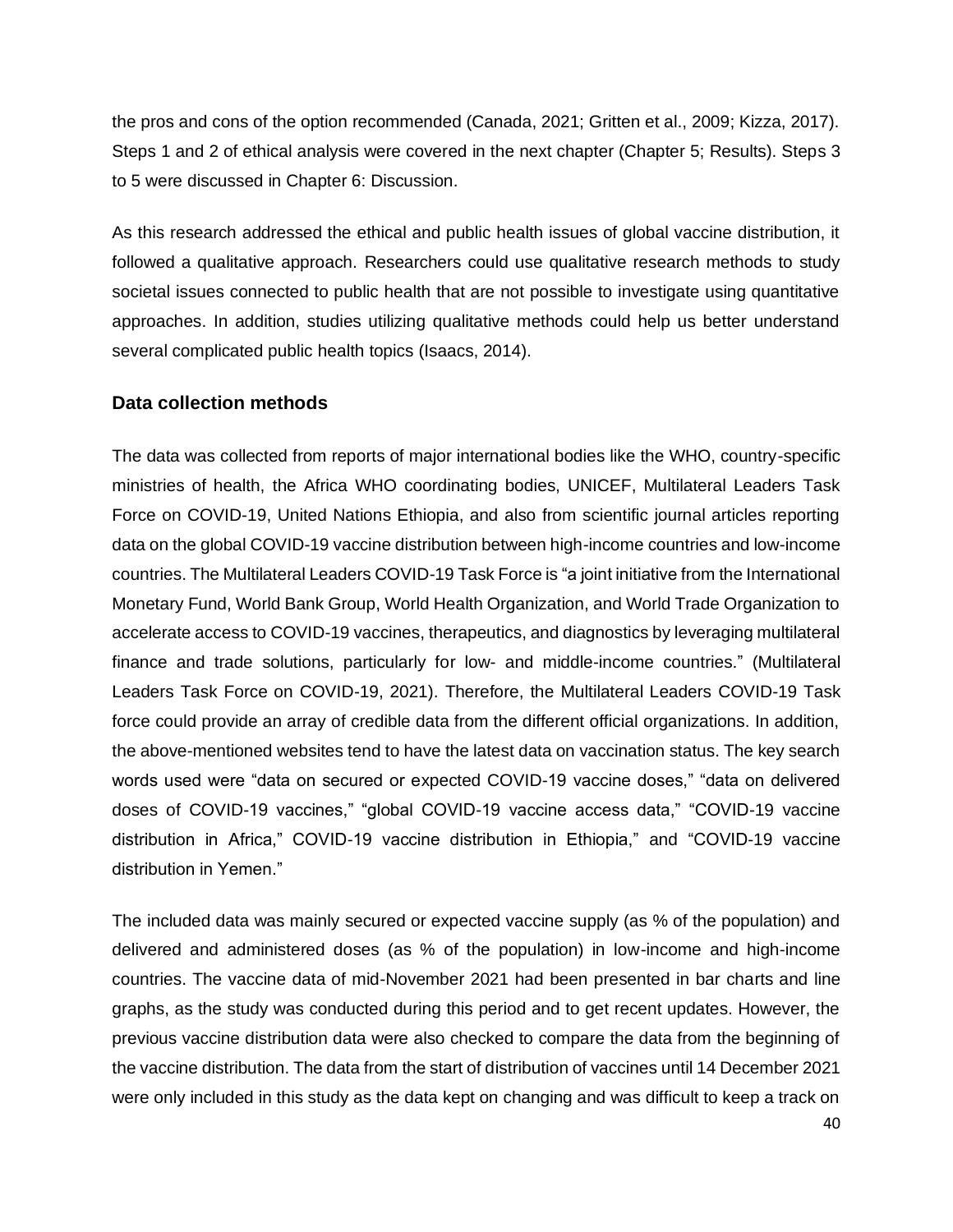the pros and cons of the option recommended (Canada, 2021; Gritten et al., 2009; Kizza, 2017). Steps 1 and 2 of ethical analysis were covered in the next chapter (Chapter 5; Results). Steps 3 to 5 were discussed in Chapter 6: Discussion.

As this research addressed the ethical and public health issues of global vaccine distribution, it followed a qualitative approach. Researchers could use qualitative research methods to study societal issues connected to public health that are not possible to investigate using quantitative approaches. In addition, studies utilizing qualitative methods could help us better understand several complicated public health topics (Isaacs, 2014).

#### **Data collection methods**

The data was collected from reports of major international bodies like the WHO, country-specific ministries of health, the Africa WHO coordinating bodies, UNICEF, Multilateral Leaders Task Force on COVID-19, United Nations Ethiopia, and also from scientific journal articles reporting data on the global COVID-19 vaccine distribution between high-income countries and low-income countries. The Multilateral Leaders COVID-19 Task Force is "a joint initiative from the International Monetary Fund, World Bank Group, World Health Organization, and World Trade Organization to accelerate access to COVID-19 vaccines, therapeutics, and diagnostics by leveraging multilateral finance and trade solutions, particularly for low- and middle-income countries." (Multilateral Leaders Task Force on COVID-19, 2021). Therefore, the Multilateral Leaders COVID-19 Task force could provide an array of credible data from the different official organizations. In addition, the above-mentioned websites tend to have the latest data on vaccination status. The key search words used were "data on secured or expected COVID-19 vaccine doses," "data on delivered doses of COVID-19 vaccines," "global COVID-19 vaccine access data," "COVID-19 vaccine distribution in Africa," COVID-19 vaccine distribution in Ethiopia," and "COVID-19 vaccine distribution in Yemen."

The included data was mainly secured or expected vaccine supply (as % of the population) and delivered and administered doses (as % of the population) in low-income and high-income countries. The vaccine data of mid-November 2021 had been presented in bar charts and line graphs, as the study was conducted during this period and to get recent updates. However, the previous vaccine distribution data were also checked to compare the data from the beginning of the vaccine distribution. The data from the start of distribution of vaccines until 14 December 2021 were only included in this study as the data kept on changing and was difficult to keep a track on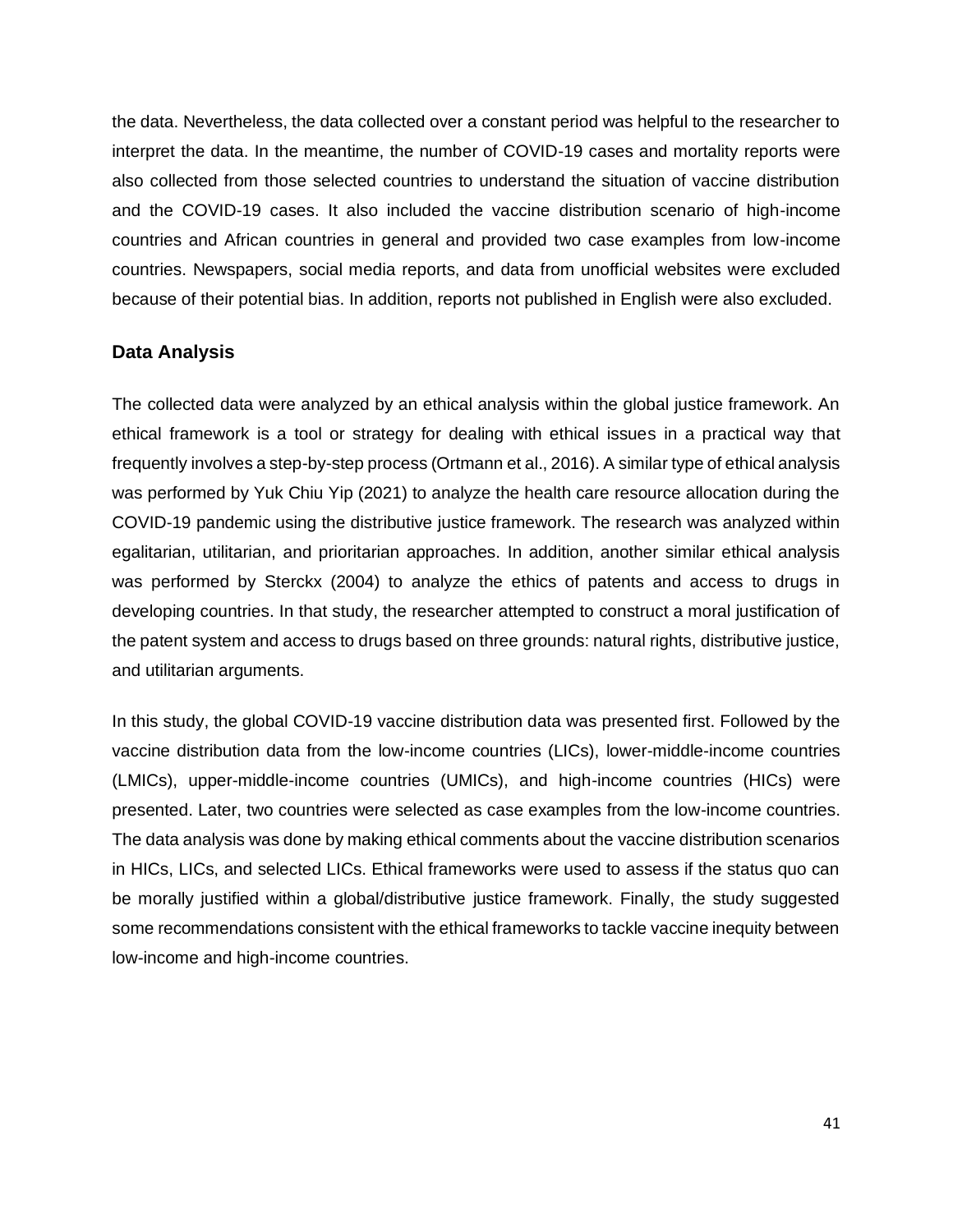the data. Nevertheless, the data collected over a constant period was helpful to the researcher to interpret the data. In the meantime, the number of COVID-19 cases and mortality reports were also collected from those selected countries to understand the situation of vaccine distribution and the COVID-19 cases. It also included the vaccine distribution scenario of high-income countries and African countries in general and provided two case examples from low-income countries. Newspapers, social media reports, and data from unofficial websites were excluded because of their potential bias. In addition, reports not published in English were also excluded.

#### **Data Analysis**

The collected data were analyzed by an ethical analysis within the global justice framework. An ethical framework is a tool or strategy for dealing with ethical issues in a practical way that frequently involves a step-by-step process (Ortmann et al., 2016). A similar type of ethical analysis was performed by Yuk Chiu Yip (2021) to analyze the health care resource allocation during the COVID-19 pandemic using the distributive justice framework. The research was analyzed within egalitarian, utilitarian, and prioritarian approaches. In addition, another similar ethical analysis was performed by Sterckx (2004) to analyze the ethics of patents and access to drugs in developing countries. In that study, the researcher attempted to construct a moral justification of the patent system and access to drugs based on three grounds: natural rights, distributive justice, and utilitarian arguments.

In this study, the global COVID-19 vaccine distribution data was presented first. Followed by the vaccine distribution data from the low-income countries (LICs), lower-middle-income countries (LMICs), upper-middle-income countries (UMICs), and high-income countries (HICs) were presented. Later, two countries were selected as case examples from the low-income countries. The data analysis was done by making ethical comments about the vaccine distribution scenarios in HICs, LICs, and selected LICs. Ethical frameworks were used to assess if the status quo can be morally justified within a global/distributive justice framework. Finally, the study suggested some recommendations consistent with the ethical frameworks to tackle vaccine inequity between low-income and high-income countries.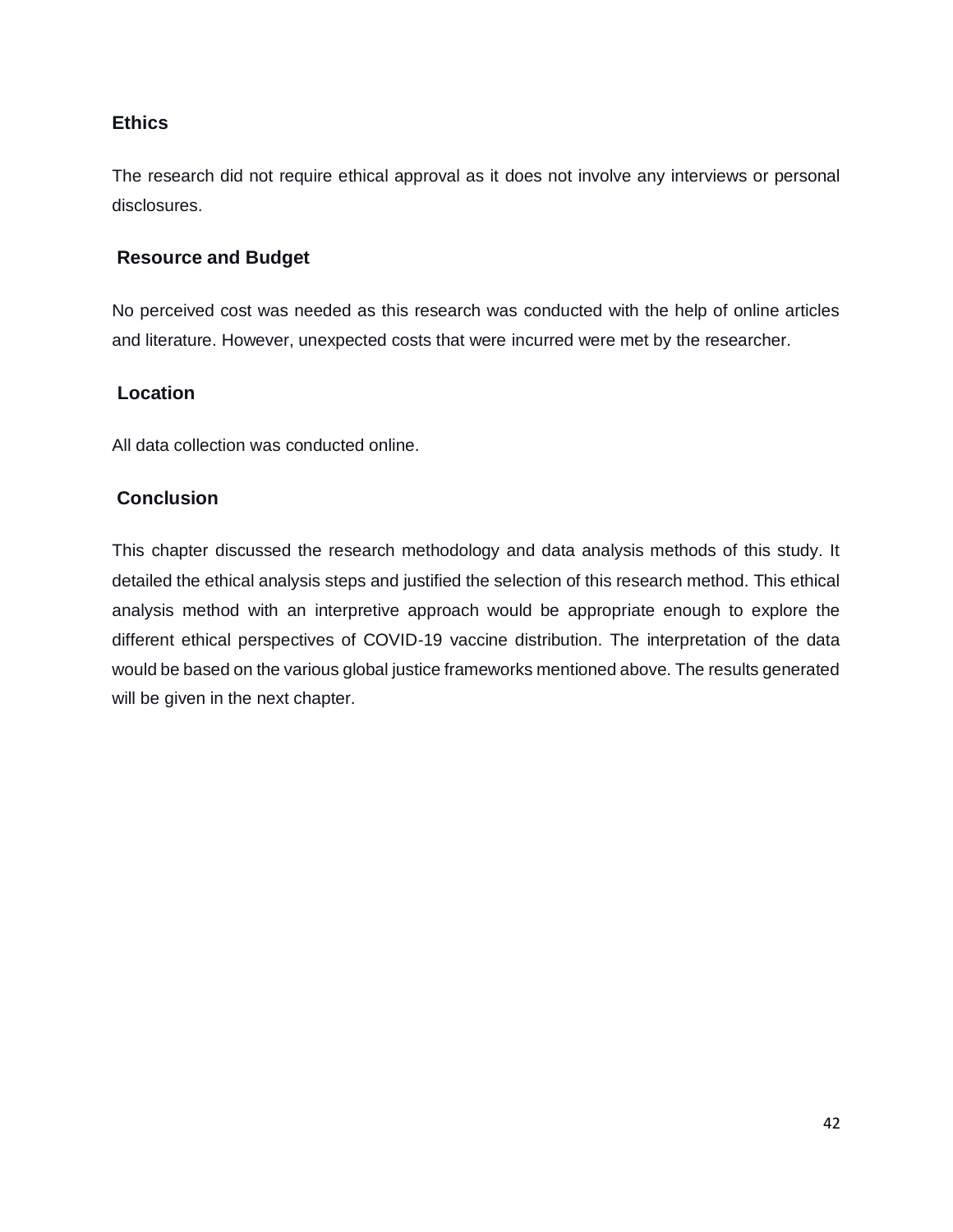#### **Ethics**

The research did not require ethical approval as it does not involve any interviews or personal disclosures.

#### **Resource and Budget**

No perceived cost was needed as this research was conducted with the help of online articles and literature. However, unexpected costs that were incurred were met by the researcher.

#### **Location**

All data collection was conducted online.

#### **Conclusion**

This chapter discussed the research methodology and data analysis methods of this study. It detailed the ethical analysis steps and justified the selection of this research method. This ethical analysis method with an interpretive approach would be appropriate enough to explore the different ethical perspectives of COVID-19 vaccine distribution. The interpretation of the data would be based on the various global justice frameworks mentioned above. The results generated will be given in the next chapter.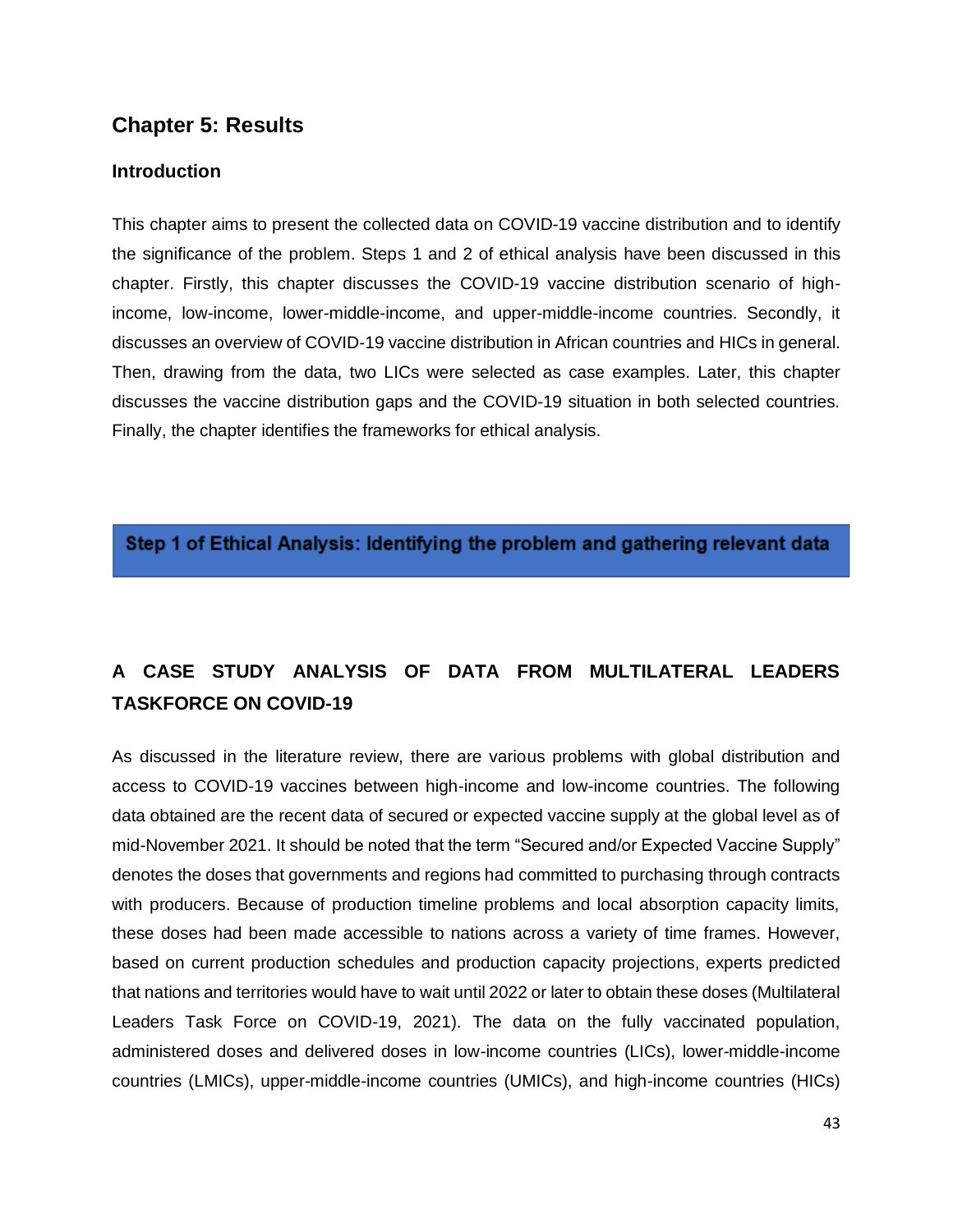## **Chapter 5: Results**

#### **Introduction**

This chapter aims to present the collected data on COVID-19 vaccine distribution and to identify the significance of the problem. Steps 1 and 2 of ethical analysis have been discussed in this chapter. Firstly, this chapter discusses the COVID-19 vaccine distribution scenario of highincome, low-income, lower-middle-income, and upper-middle-income countries. Secondly, it discusses an overview of COVID-19 vaccine distribution in African countries and HICs in general. Then, drawing from the data, two LICs were selected as case examples. Later, this chapter discusses the vaccine distribution gaps and the COVID-19 situation in both selected countries. Finally, the chapter identifies the frameworks for ethical analysis.

Step 1 of Ethical Analysis: Identifying the problem and gathering relevant data

# **A CASE STUDY ANALYSIS OF DATA FROM MULTILATERAL LEADERS TASKFORCE ON COVID-19**

As discussed in the literature review, there are various problems with global distribution and access to COVID-19 vaccines between high-income and low-income countries. The following data obtained are the recent data of secured or expected vaccine supply at the global level as of mid-November 2021. It should be noted that the term "Secured and/or Expected Vaccine Supply" denotes the doses that governments and regions had committed to purchasing through contracts with producers. Because of production timeline problems and local absorption capacity limits, these doses had been made accessible to nations across a variety of time frames. However, based on current production schedules and production capacity projections, experts predicted that nations and territories would have to wait until 2022 or later to obtain these doses (Multilateral Leaders Task Force on COVID-19, 2021). The data on the fully vaccinated population, administered doses and delivered doses in low-income countries (LICs), lower-middle-income countries (LMICs), upper-middle-income countries (UMICs), and high-income countries (HICs)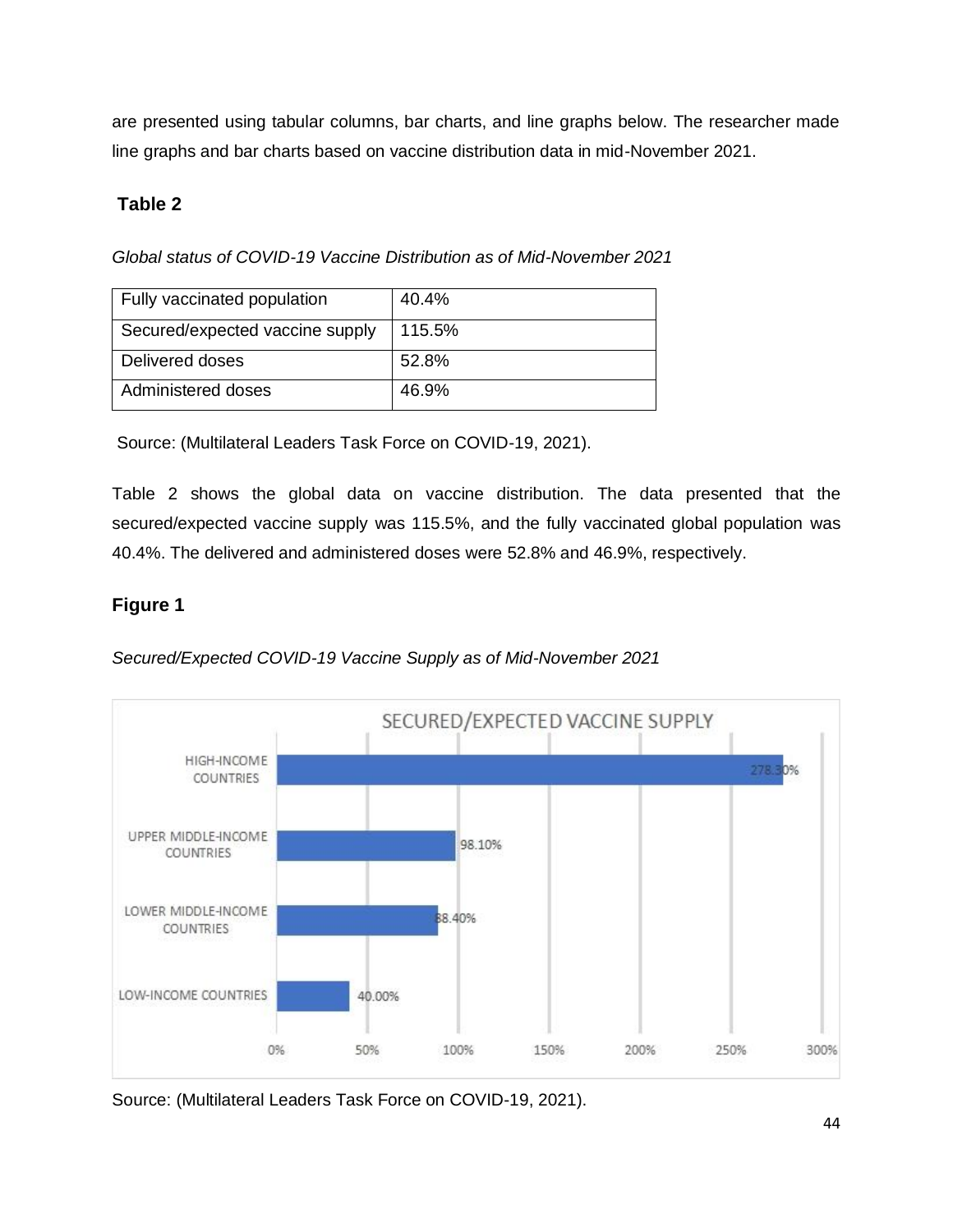are presented using tabular columns, bar charts, and line graphs below. The researcher made line graphs and bar charts based on vaccine distribution data in mid-November 2021.

### **Table 2**

*Global status of COVID-19 Vaccine Distribution as of Mid-November 2021*

| Fully vaccinated population     | 40.4%  |
|---------------------------------|--------|
| Secured/expected vaccine supply | 115.5% |
| Delivered doses                 | 52.8%  |
| Administered doses              | 46.9%  |

Source: (Multilateral Leaders Task Force on COVID-19, 2021).

Table 2 shows the global data on vaccine distribution. The data presented that the secured/expected vaccine supply was 115.5%, and the fully vaccinated global population was 40.4%. The delivered and administered doses were 52.8% and 46.9%, respectively.

## **Figure 1**

*Secured/Expected COVID-19 Vaccine Supply as of Mid-November 2021*



Source: (Multilateral Leaders Task Force on COVID-19, 2021).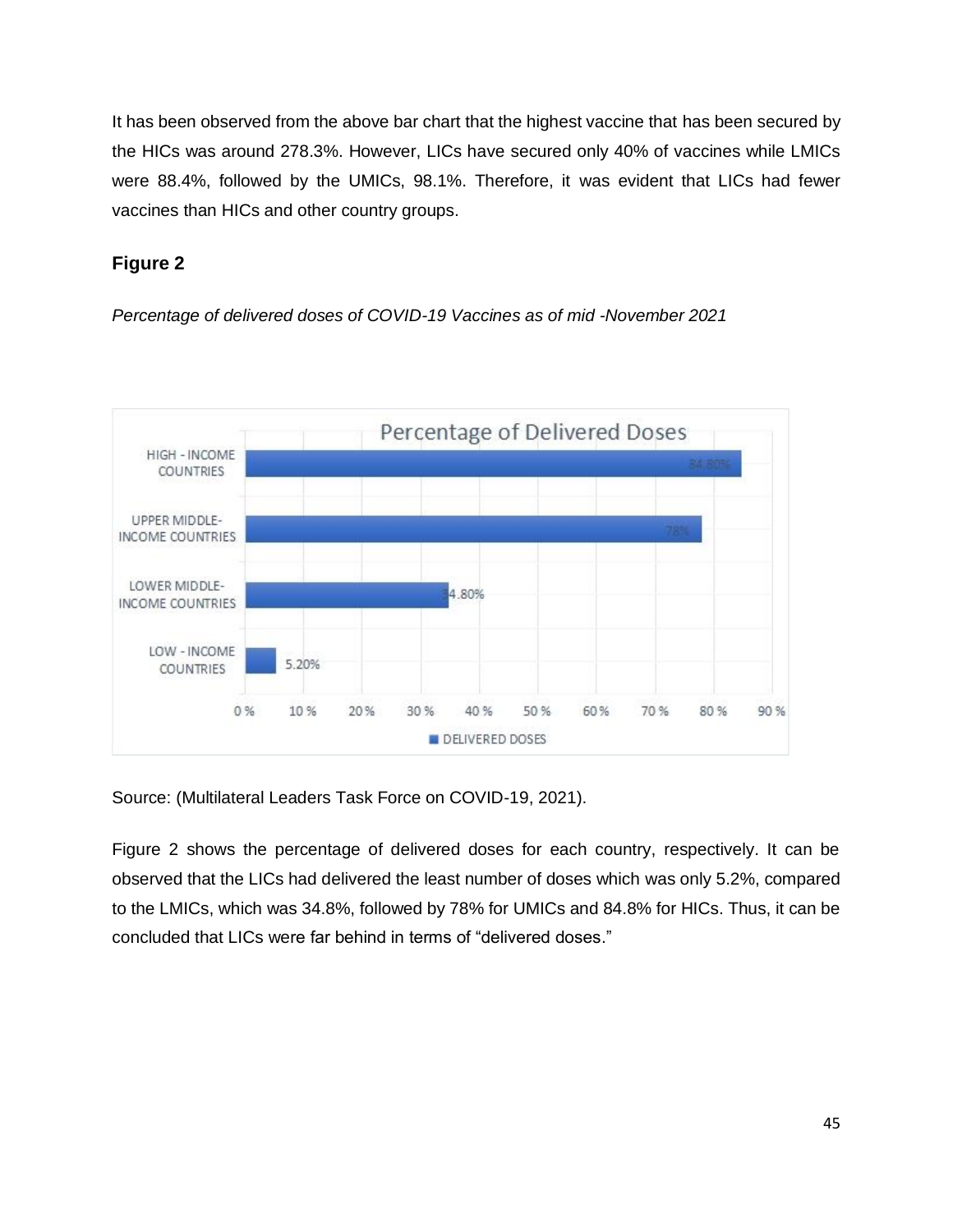It has been observed from the above bar chart that the highest vaccine that has been secured by the HICs was around 278.3%. However, LICs have secured only 40% of vaccines while LMICs were 88.4%, followed by the UMICs, 98.1%. Therefore, it was evident that LICs had fewer vaccines than HICs and other country groups.

## **Figure 2**

*Percentage of delivered doses of COVID-19 Vaccines as of mid -November 2021*



Source: (Multilateral Leaders Task Force on COVID-19, 2021).

Figure 2 shows the percentage of delivered doses for each country, respectively. It can be observed that the LICs had delivered the least number of doses which was only 5.2%, compared to the LMICs, which was 34.8%, followed by 78% for UMICs and 84.8% for HICs. Thus, it can be concluded that LICs were far behind in terms of "delivered doses."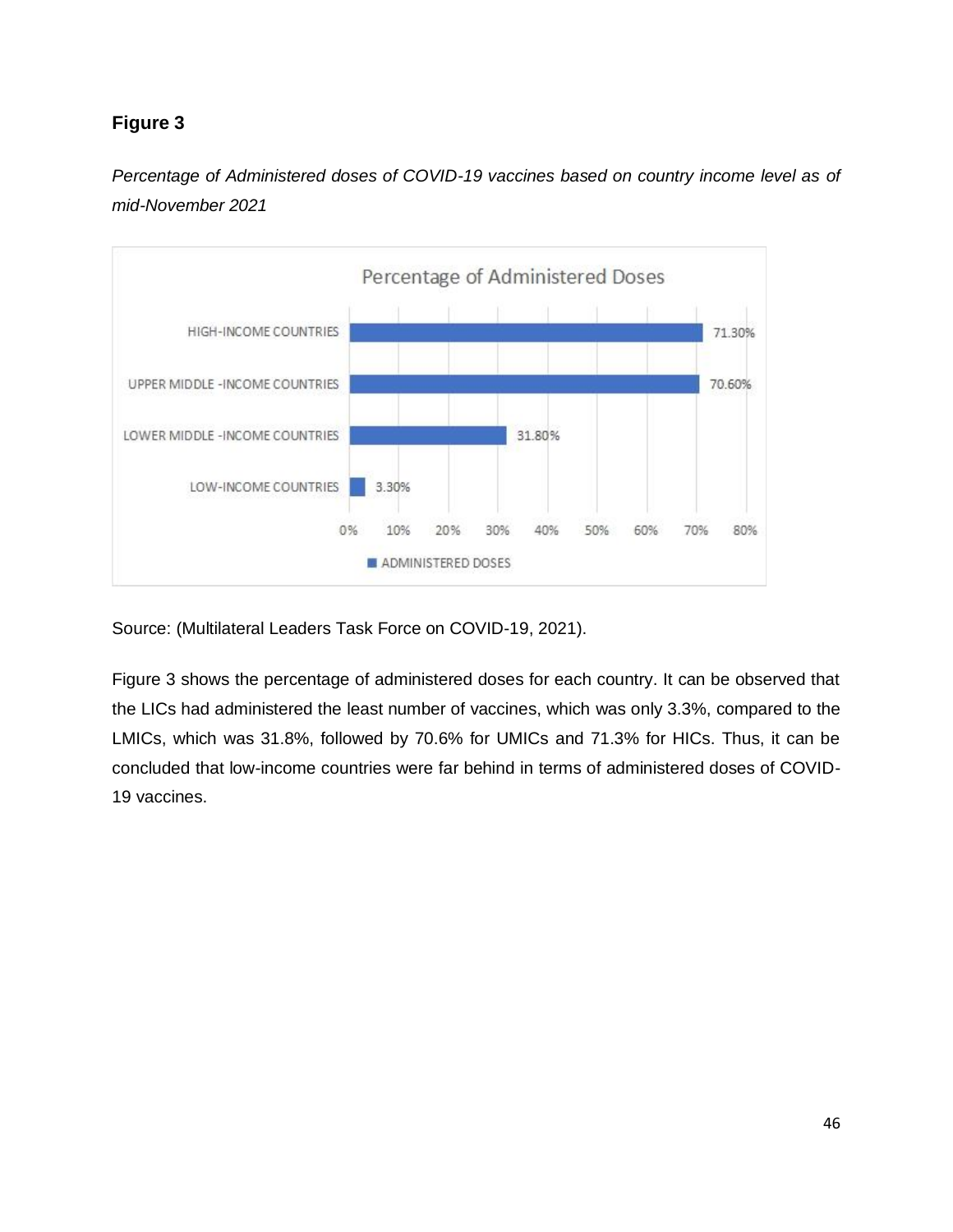



Source: (Multilateral Leaders Task Force on COVID-19, 2021).

Figure 3 shows the percentage of administered doses for each country. It can be observed that the LICs had administered the least number of vaccines, which was only 3.3%, compared to the LMICs, which was 31.8%, followed by 70.6% for UMICs and 71.3% for HICs. Thus, it can be concluded that low-income countries were far behind in terms of administered doses of COVID-19 vaccines.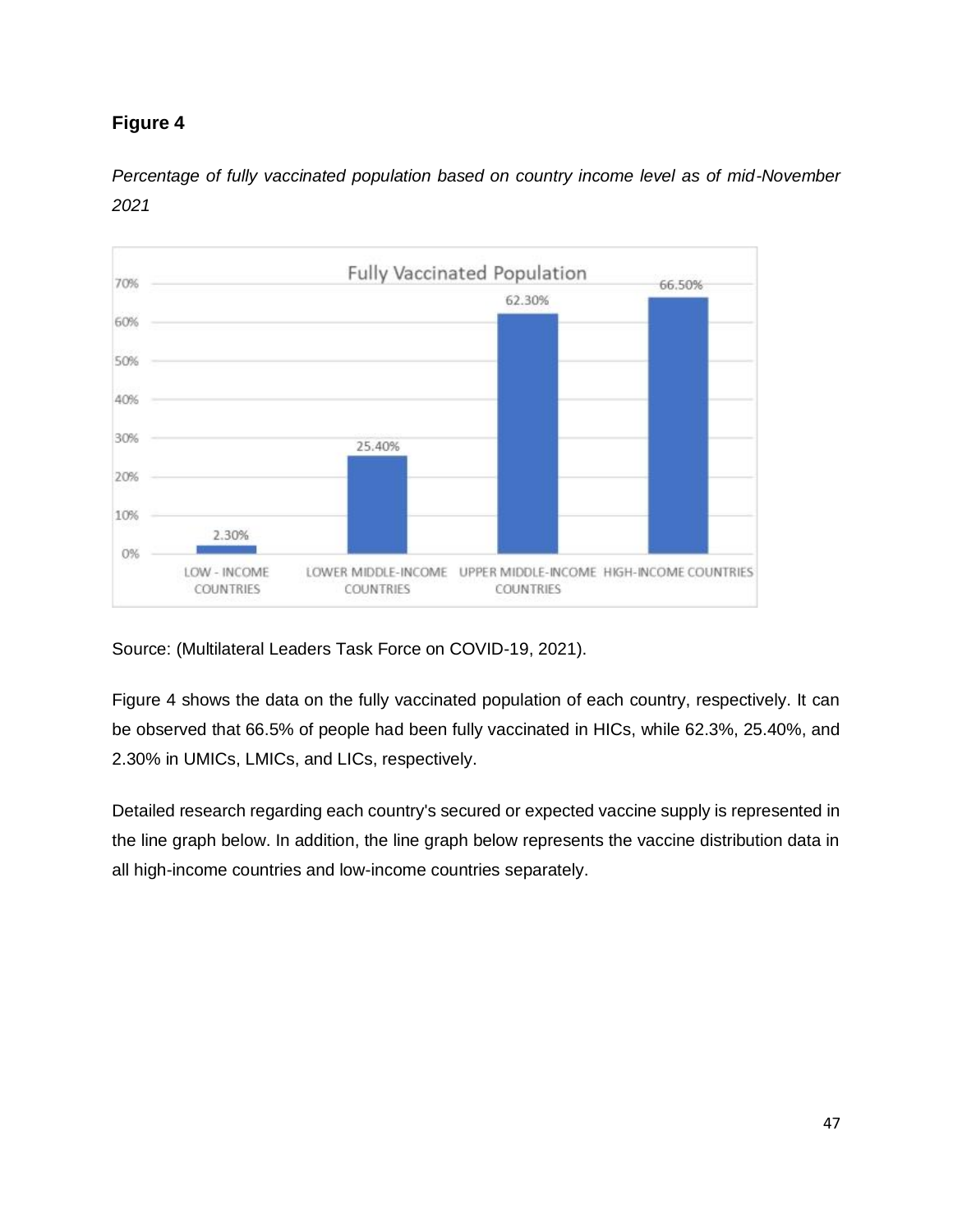

*Percentage of fully vaccinated population based on country income level as of mid-November 2021*

Source: (Multilateral Leaders Task Force on COVID-19, 2021).

Figure 4 shows the data on the fully vaccinated population of each country, respectively. It can be observed that 66.5% of people had been fully vaccinated in HICs, while 62.3%, 25.40%, and 2.30% in UMICs, LMICs, and LICs, respectively.

Detailed research regarding each country's secured or expected vaccine supply is represented in the line graph below. In addition, the line graph below represents the vaccine distribution data in all high-income countries and low-income countries separately.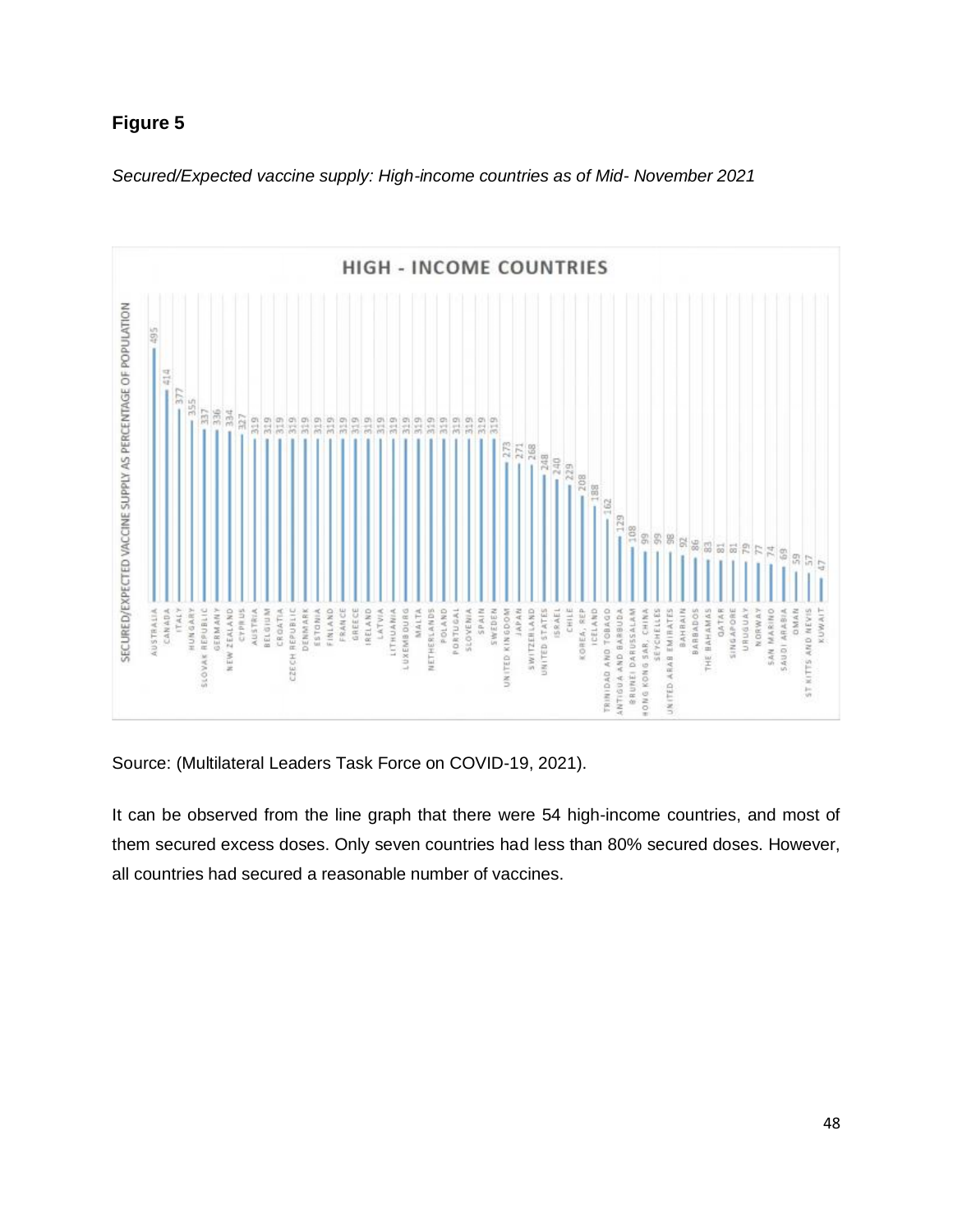



Source: (Multilateral Leaders Task Force on COVID-19, 2021).

It can be observed from the line graph that there were 54 high-income countries, and most of them secured excess doses. Only seven countries had less than 80% secured doses. However, all countries had secured a reasonable number of vaccines.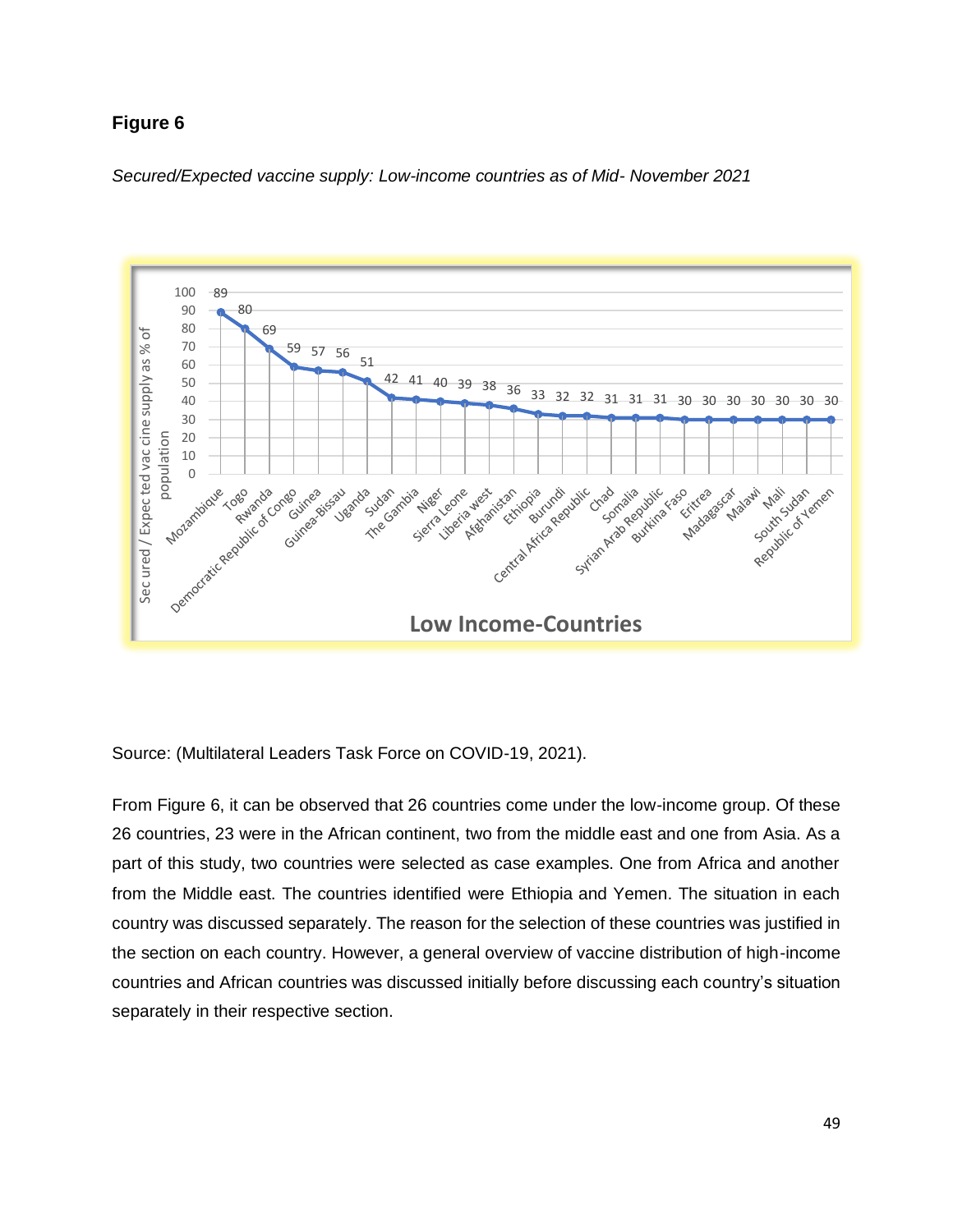



Source: (Multilateral Leaders Task Force on COVID-19, 2021).

From Figure 6, it can be observed that 26 countries come under the low-income group. Of these 26 countries, 23 were in the African continent, two from the middle east and one from Asia. As a part of this study, two countries were selected as case examples. One from Africa and another from the Middle east. The countries identified were Ethiopia and Yemen. The situation in each country was discussed separately. The reason for the selection of these countries was justified in the section on each country. However, a general overview of vaccine distribution of high-income countries and African countries was discussed initially before discussing each country's situation separately in their respective section.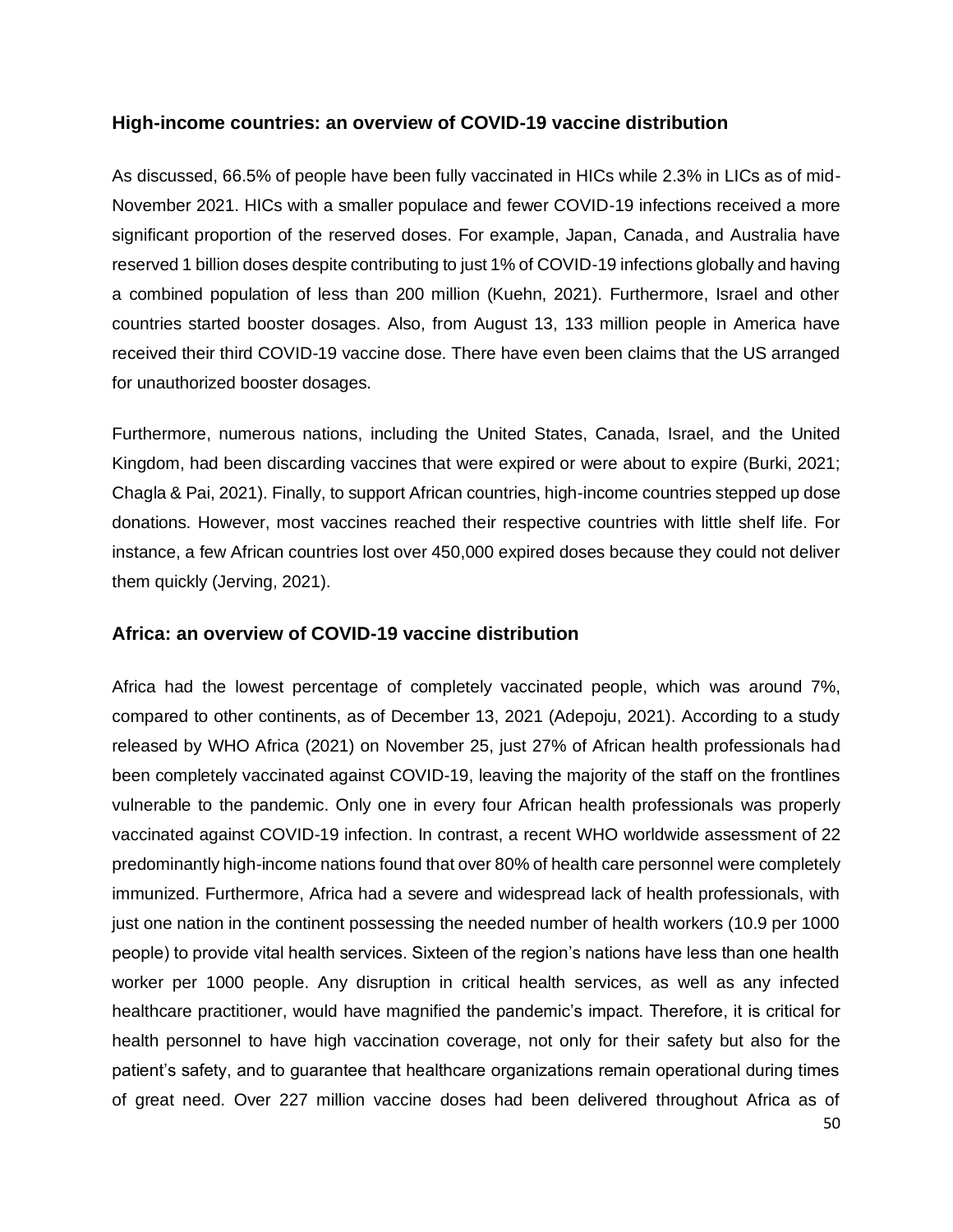#### **High-income countries: an overview of COVID-19 vaccine distribution**

As discussed, 66.5% of people have been fully vaccinated in HICs while 2.3% in LICs as of mid-November 2021. HICs with a smaller populace and fewer COVID-19 infections received a more significant proportion of the reserved doses. For example, Japan, Canada, and Australia have reserved 1 billion doses despite contributing to just 1% of COVID-19 infections globally and having a combined population of less than 200 million (Kuehn, 2021). Furthermore, Israel and other countries started booster dosages. Also, from August 13, 133 million people in America have received their third COVID-19 vaccine dose. There have even been claims that the US arranged for unauthorized booster dosages.

Furthermore, numerous nations, including the United States, Canada, Israel, and the United Kingdom, had been discarding vaccines that were expired or were about to expire (Burki, 2021; Chagla & Pai, 2021). Finally, to support African countries, high-income countries stepped up dose donations. However, most vaccines reached their respective countries with little shelf life. For instance, a few African countries lost over 450,000 expired doses because they could not deliver them quickly (Jerving, 2021).

#### **Africa: an overview of COVID-19 vaccine distribution**

Africa had the lowest percentage of completely vaccinated people, which was around 7%, compared to other continents, as of December 13, 2021 (Adepoju, 2021). According to a study released by WHO Africa (2021) on November 25, just 27% of African health professionals had been completely vaccinated against COVID-19, leaving the majority of the staff on the frontlines vulnerable to the pandemic. Only one in every four African health professionals was properly vaccinated against COVID-19 infection. In contrast, a recent WHO worldwide assessment of 22 predominantly high-income nations found that over 80% of health care personnel were completely immunized. Furthermore, Africa had a severe and widespread lack of health professionals, with just one nation in the continent possessing the needed number of health workers (10.9 per 1000 people) to provide vital health services. Sixteen of the region's nations have less than one health worker per 1000 people. Any disruption in critical health services, as well as any infected healthcare practitioner, would have magnified the pandemic's impact. Therefore, it is critical for health personnel to have high vaccination coverage, not only for their safety but also for the patient's safety, and to guarantee that healthcare organizations remain operational during times of great need. Over 227 million vaccine doses had been delivered throughout Africa as of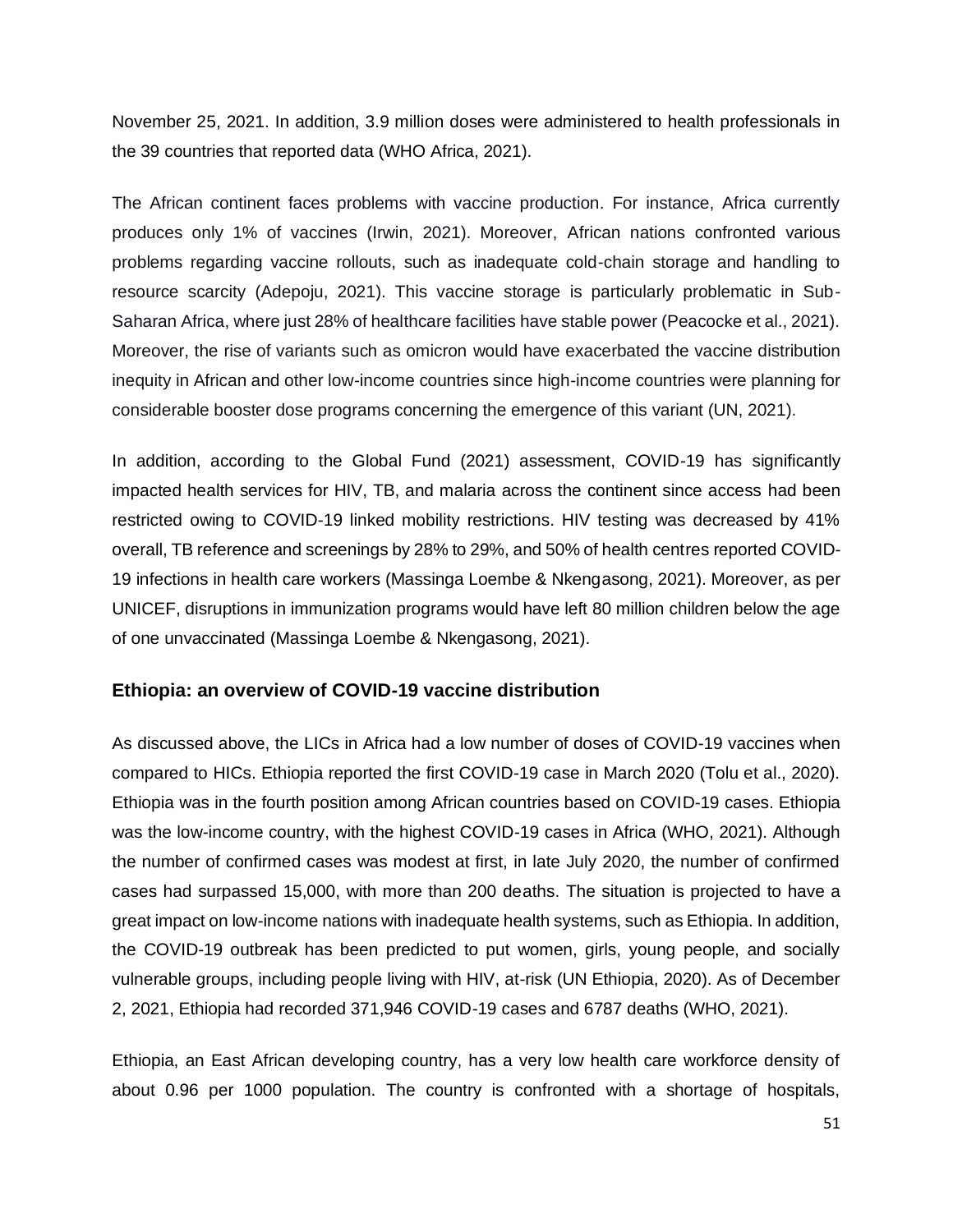November 25, 2021. In addition, 3.9 million doses were administered to health professionals in the 39 countries that reported data (WHO Africa, 2021).

The African continent faces problems with vaccine production. For instance, Africa currently produces only 1% of vaccines (Irwin, 2021). Moreover, African nations confronted various problems regarding vaccine rollouts, such as inadequate cold-chain storage and handling to resource scarcity (Adepoju, 2021). This vaccine storage is particularly problematic in Sub-Saharan Africa, where just 28% of healthcare facilities have stable power (Peacocke et al., 2021). Moreover, the rise of variants such as omicron would have exacerbated the vaccine distribution inequity in African and other low-income countries since high-income countries were planning for considerable booster dose programs concerning the emergence of this variant (UN, 2021).

In addition, according to the Global Fund (2021) assessment, COVID-19 has significantly impacted health services for HIV, TB, and malaria across the continent since access had been restricted owing to COVID-19 linked mobility restrictions. HIV testing was decreased by 41% overall, TB reference and screenings by 28% to 29%, and 50% of health centres reported COVID-19 infections in health care workers (Massinga Loembe & Nkengasong, 2021). Moreover, as per UNICEF, disruptions in immunization programs would have left 80 million children below the age of one unvaccinated (Massinga Loembe & Nkengasong, 2021).

#### **Ethiopia: an overview of COVID-19 vaccine distribution**

As discussed above, the LICs in Africa had a low number of doses of COVID-19 vaccines when compared to HICs. Ethiopia reported the first COVID-19 case in March 2020 (Tolu et al., 2020). Ethiopia was in the fourth position among African countries based on COVID-19 cases. Ethiopia was the low-income country, with the highest COVID-19 cases in Africa (WHO, 2021). Although the number of confirmed cases was modest at first, in late July 2020, the number of confirmed cases had surpassed 15,000, with more than 200 deaths. The situation is projected to have a great impact on low-income nations with inadequate health systems, such as Ethiopia. In addition, the COVID-19 outbreak has been predicted to put women, girls, young people, and socially vulnerable groups, including people living with HIV, at-risk (UN Ethiopia, 2020). As of December 2, 2021, Ethiopia had recorded 371,946 COVID-19 cases and 6787 deaths (WHO, 2021).

Ethiopia, an East African developing country, has a very low health care workforce density of about 0.96 per 1000 population. The country is confronted with a shortage of hospitals,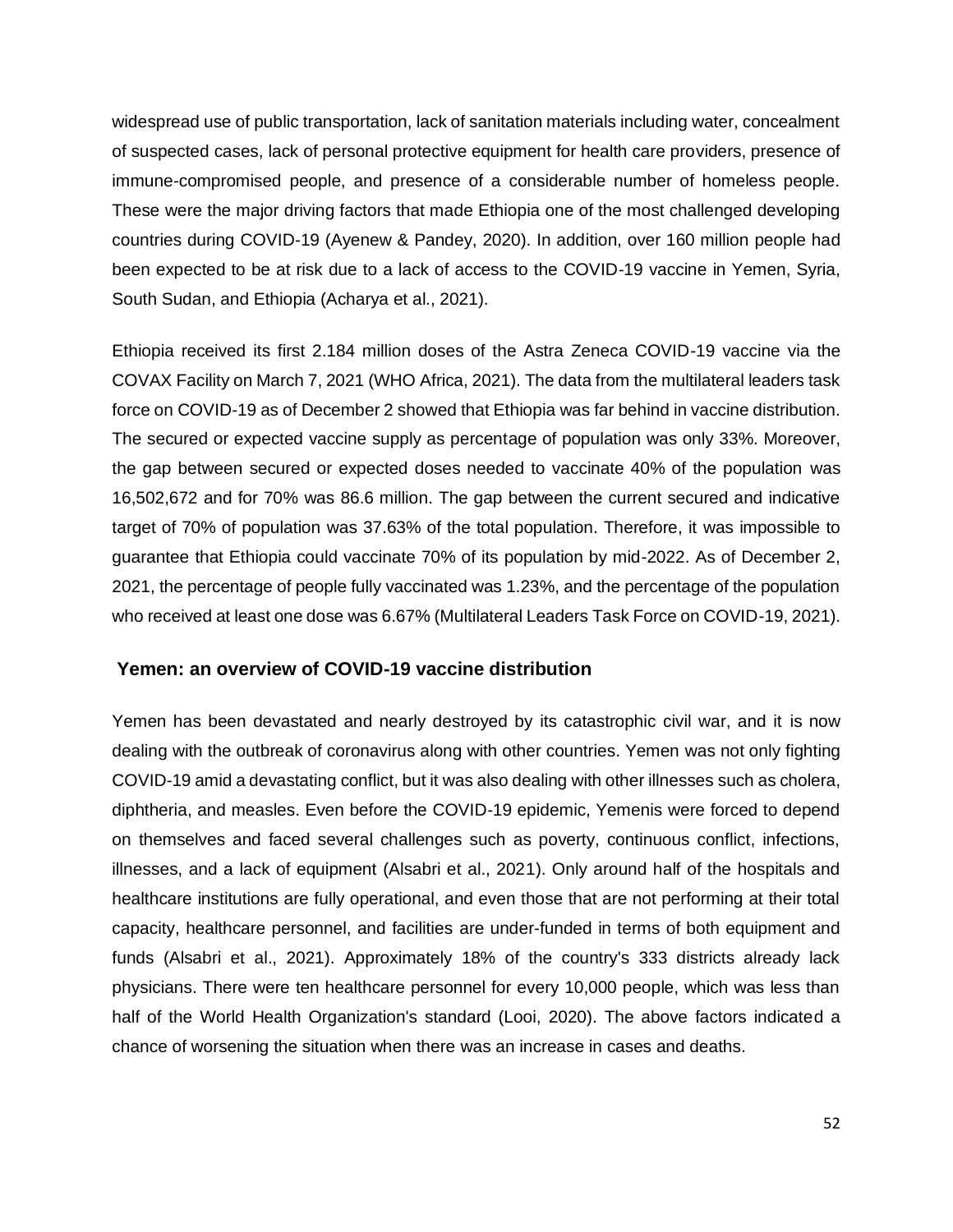widespread use of public transportation, lack of sanitation materials including water, concealment of suspected cases, lack of personal protective equipment for health care providers, presence of immune-compromised people, and presence of a considerable number of homeless people. These were the major driving factors that made Ethiopia one of the most challenged developing countries during COVID-19 (Ayenew & Pandey, 2020). In addition, over 160 million people had been expected to be at risk due to a lack of access to the COVID-19 vaccine in Yemen, Syria, South Sudan, and Ethiopia (Acharya et al., 2021).

Ethiopia received its first 2.184 million doses of the Astra Zeneca COVID-19 vaccine via the COVAX Facility on March 7, 2021 (WHO Africa, 2021). The data from the multilateral leaders task force on COVID-19 as of December 2 showed that Ethiopia was far behind in vaccine distribution. The secured or expected vaccine supply as percentage of population was only 33%. Moreover, the gap between secured or expected doses needed to vaccinate 40% of the population was 16,502,672 and for 70% was 86.6 million. The gap between the current secured and indicative target of 70% of population was 37.63% of the total population. Therefore, it was impossible to guarantee that Ethiopia could vaccinate 70% of its population by mid-2022. As of December 2, 2021, the percentage of people fully vaccinated was 1.23%, and the percentage of the population who received at least one dose was 6.67% (Multilateral Leaders Task Force on COVID-19, 2021).

#### **Yemen: an overview of COVID-19 vaccine distribution**

Yemen has been devastated and nearly destroyed by its catastrophic civil war, and it is now dealing with the outbreak of coronavirus along with other countries. Yemen was not only fighting COVID-19 amid a devastating conflict, but it was also dealing with other illnesses such as cholera, diphtheria, and measles. Even before the COVID-19 epidemic, Yemenis were forced to depend on themselves and faced several challenges such as poverty, continuous conflict, infections, illnesses, and a lack of equipment (Alsabri et al., 2021). Only around half of the hospitals and healthcare institutions are fully operational, and even those that are not performing at their total capacity, healthcare personnel, and facilities are under-funded in terms of both equipment and funds (Alsabri et al., 2021). Approximately 18% of the country's 333 districts already lack physicians. There were ten healthcare personnel for every 10,000 people, which was less than half of the World Health Organization's standard (Looi, 2020). The above factors indicated a chance of worsening the situation when there was an increase in cases and deaths.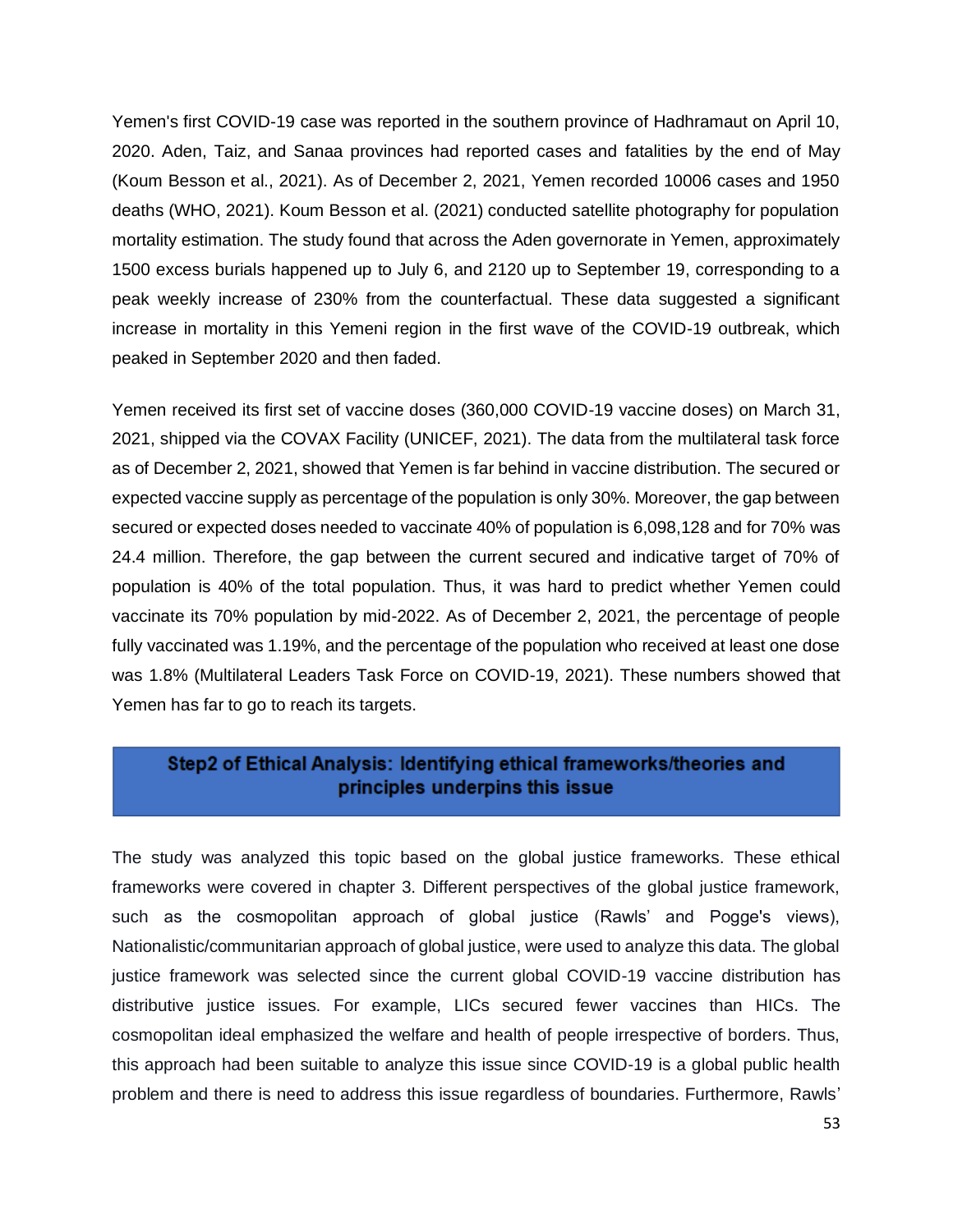Yemen's first COVID-19 case was reported in the southern province of Hadhramaut on April 10, 2020. Aden, Taiz, and Sanaa provinces had reported cases and fatalities by the end of May (Koum Besson et al., 2021). As of December 2, 2021, Yemen recorded 10006 cases and 1950 deaths (WHO, 2021). Koum Besson et al. (2021) conducted satellite photography for population mortality estimation. The study found that across the Aden governorate in Yemen, approximately 1500 excess burials happened up to July 6, and 2120 up to September 19, corresponding to a peak weekly increase of 230% from the counterfactual. These data suggested a significant increase in mortality in this Yemeni region in the first wave of the COVID-19 outbreak, which peaked in September 2020 and then faded.

Yemen received its first set of vaccine doses (360,000 COVID-19 vaccine doses) on March 31, 2021, shipped via the COVAX Facility (UNICEF, 2021). The data from the multilateral task force as of December 2, 2021, showed that Yemen is far behind in vaccine distribution. The secured or expected vaccine supply as percentage of the population is only 30%. Moreover, the gap between secured or expected doses needed to vaccinate 40% of population is 6,098,128 and for 70% was 24.4 million. Therefore, the gap between the current secured and indicative target of 70% of population is 40% of the total population. Thus, it was hard to predict whether Yemen could vaccinate its 70% population by mid-2022. As of December 2, 2021, the percentage of people fully vaccinated was 1.19%, and the percentage of the population who received at least one dose was 1.8% (Multilateral Leaders Task Force on COVID-19, 2021). These numbers showed that Yemen has far to go to reach its targets.

### Step2 of Ethical Analysis: Identifying ethical frameworks/theories and principles underpins this issue

The study was analyzed this topic based on the global justice frameworks. These ethical frameworks were covered in chapter 3. Different perspectives of the global justice framework, such as the cosmopolitan approach of global justice (Rawls' and Pogge's views), Nationalistic/communitarian approach of global justice, were used to analyze this data. The global justice framework was selected since the current global COVID-19 vaccine distribution has distributive justice issues. For example, LICs secured fewer vaccines than HICs. The cosmopolitan ideal emphasized the welfare and health of people irrespective of borders. Thus, this approach had been suitable to analyze this issue since COVID-19 is a global public health problem and there is need to address this issue regardless of boundaries. Furthermore, Rawls'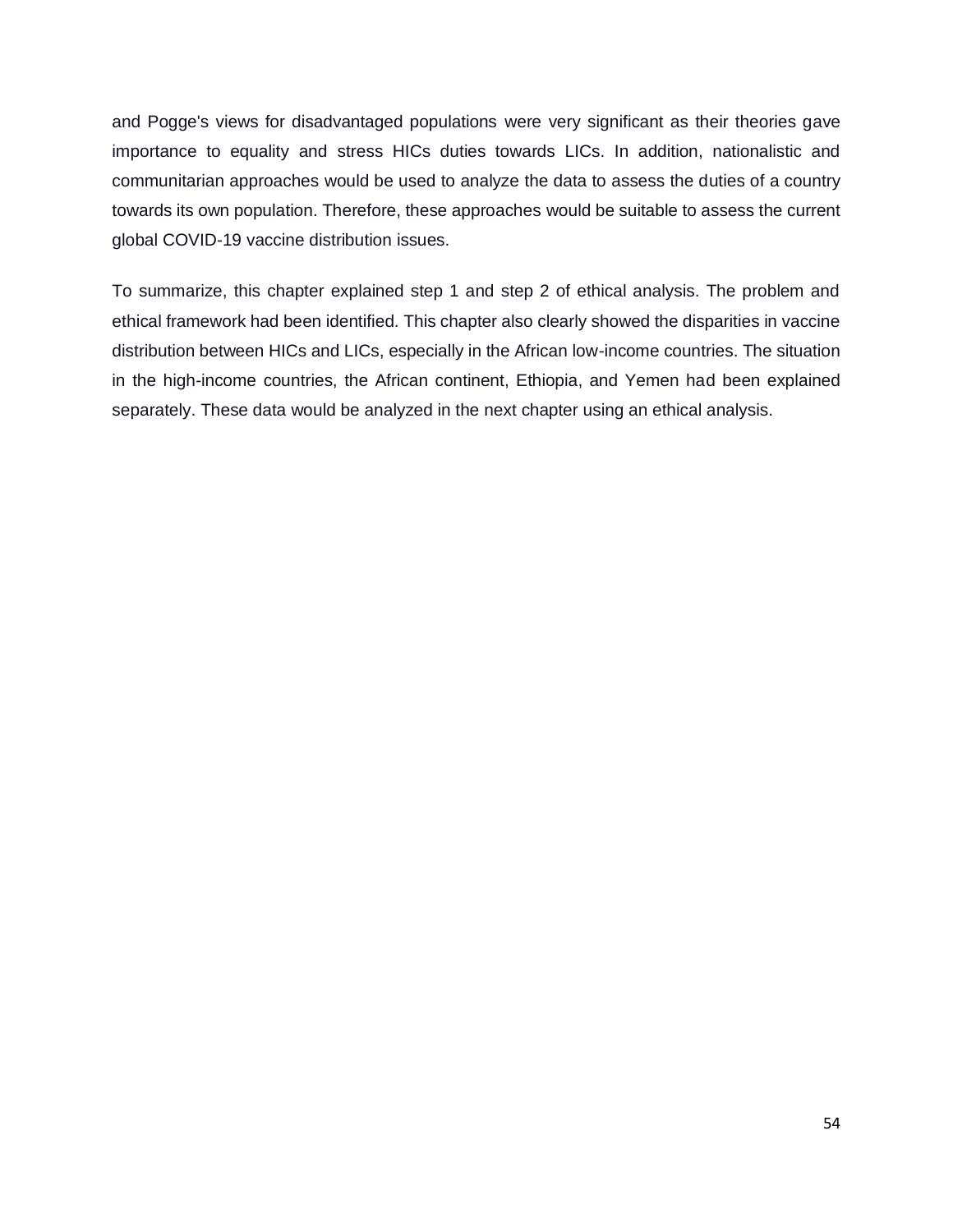and Pogge's views for disadvantaged populations were very significant as their theories gave importance to equality and stress HICs duties towards LICs. In addition, nationalistic and communitarian approaches would be used to analyze the data to assess the duties of a country towards its own population. Therefore, these approaches would be suitable to assess the current global COVID-19 vaccine distribution issues.

To summarize, this chapter explained step 1 and step 2 of ethical analysis. The problem and ethical framework had been identified. This chapter also clearly showed the disparities in vaccine distribution between HICs and LICs, especially in the African low-income countries. The situation in the high-income countries, the African continent, Ethiopia, and Yemen had been explained separately. These data would be analyzed in the next chapter using an ethical analysis.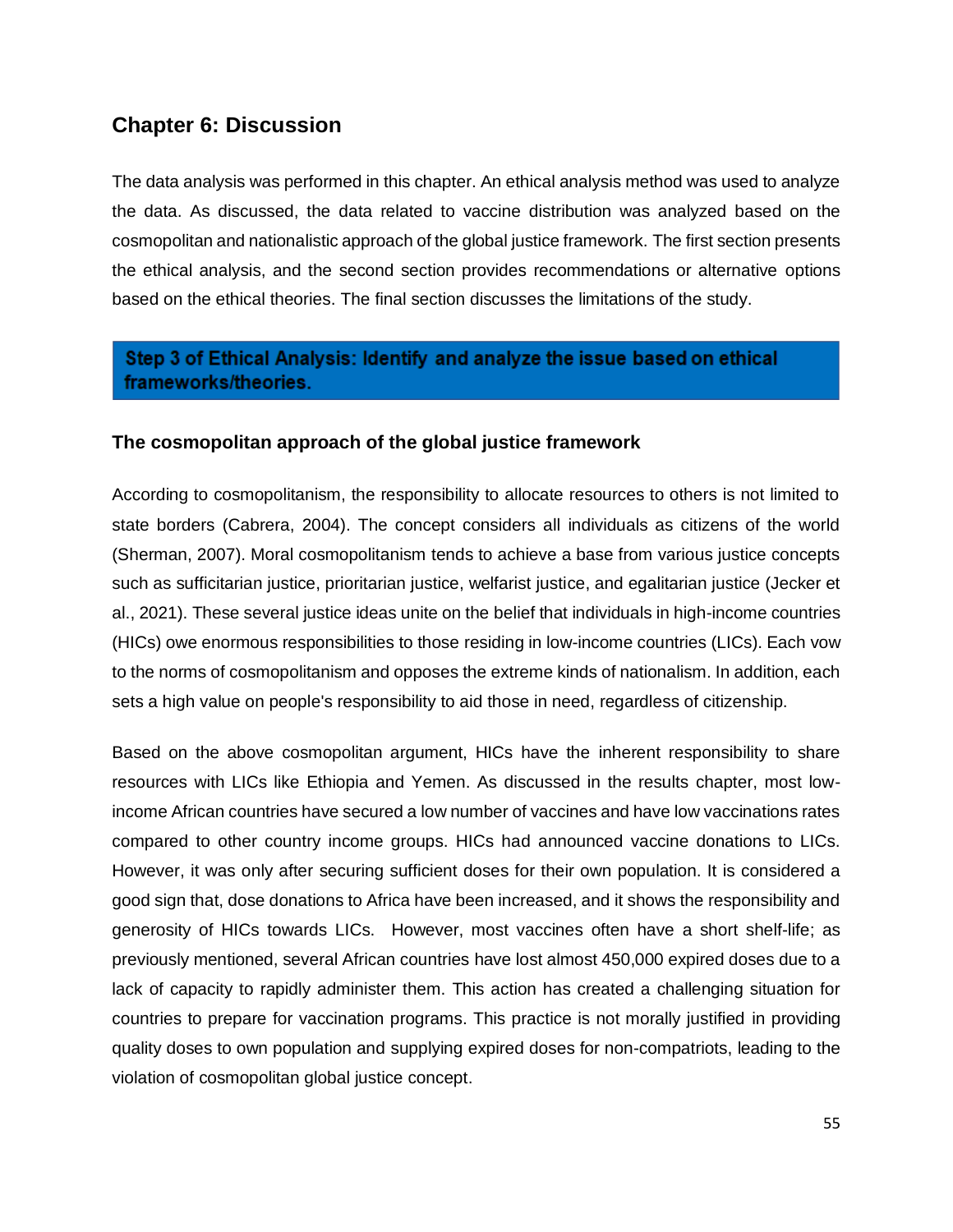## **Chapter 6: Discussion**

The data analysis was performed in this chapter. An ethical analysis method was used to analyze the data. As discussed, the data related to vaccine distribution was analyzed based on the cosmopolitan and nationalistic approach of the global justice framework. The first section presents the ethical analysis, and the second section provides recommendations or alternative options based on the ethical theories. The final section discusses the limitations of the study.

## Step 3 of Ethical Analysis: Identify and analyze the issue based on ethical frameworks/theories.

#### **The cosmopolitan approach of the global justice framework**

According to cosmopolitanism, the responsibility to allocate resources to others is not limited to state borders (Cabrera, 2004). The concept considers all individuals as citizens of the world (Sherman, 2007). Moral cosmopolitanism tends to achieve a base from various justice concepts such as sufficitarian justice, prioritarian justice, welfarist justice, and egalitarian justice (Jecker et al., 2021). These several justice ideas unite on the belief that individuals in high-income countries (HICs) owe enormous responsibilities to those residing in low-income countries (LICs). Each vow to the norms of cosmopolitanism and opposes the extreme kinds of nationalism. In addition, each sets a high value on people's responsibility to aid those in need, regardless of citizenship.

Based on the above cosmopolitan argument, HICs have the inherent responsibility to share resources with LICs like Ethiopia and Yemen. As discussed in the results chapter, most lowincome African countries have secured a low number of vaccines and have low vaccinations rates compared to other country income groups. HICs had announced vaccine donations to LICs. However, it was only after securing sufficient doses for their own population. It is considered a good sign that, dose donations to Africa have been increased, and it shows the responsibility and generosity of HICs towards LICs. However, most vaccines often have a short shelf-life; as previously mentioned, several African countries have lost almost 450,000 expired doses due to a lack of capacity to rapidly administer them. This action has created a challenging situation for countries to prepare for vaccination programs. This practice is not morally justified in providing quality doses to own population and supplying expired doses for non-compatriots, leading to the violation of cosmopolitan global justice concept.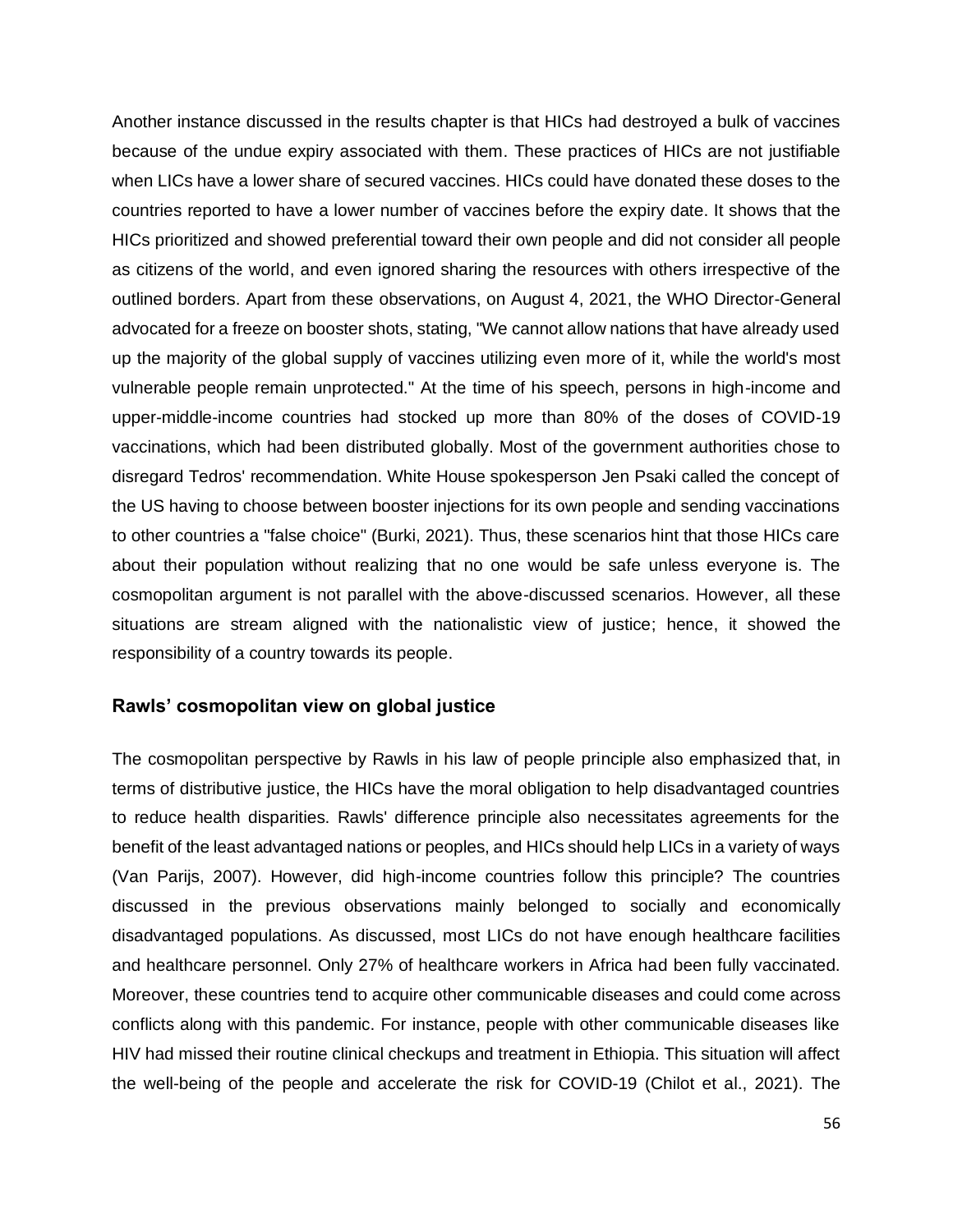Another instance discussed in the results chapter is that HICs had destroyed a bulk of vaccines because of the undue expiry associated with them. These practices of HICs are not justifiable when LICs have a lower share of secured vaccines. HICs could have donated these doses to the countries reported to have a lower number of vaccines before the expiry date. It shows that the HICs prioritized and showed preferential toward their own people and did not consider all people as citizens of the world, and even ignored sharing the resources with others irrespective of the outlined borders. Apart from these observations, on August 4, 2021, the WHO Director-General advocated for a freeze on booster shots, stating, "We cannot allow nations that have already used up the majority of the global supply of vaccines utilizing even more of it, while the world's most vulnerable people remain unprotected." At the time of his speech, persons in high-income and upper-middle-income countries had stocked up more than 80% of the doses of COVID-19 vaccinations, which had been distributed globally. Most of the government authorities chose to disregard Tedros' recommendation. White House spokesperson Jen Psaki called the concept of the US having to choose between booster injections for its own people and sending vaccinations to other countries a "false choice" (Burki, 2021). Thus, these scenarios hint that those HICs care about their population without realizing that no one would be safe unless everyone is. The cosmopolitan argument is not parallel with the above-discussed scenarios. However, all these situations are stream aligned with the nationalistic view of justice; hence, it showed the responsibility of a country towards its people.

#### **Rawls' cosmopolitan view on global justice**

The cosmopolitan perspective by Rawls in his law of people principle also emphasized that, in terms of distributive justice, the HICs have the moral obligation to help disadvantaged countries to reduce health disparities. Rawls' difference principle also necessitates agreements for the benefit of the least advantaged nations or peoples, and HICs should help LICs in a variety of ways (Van Parijs, 2007). However, did high-income countries follow this principle? The countries discussed in the previous observations mainly belonged to socially and economically disadvantaged populations. As discussed, most LICs do not have enough healthcare facilities and healthcare personnel. Only 27% of healthcare workers in Africa had been fully vaccinated. Moreover, these countries tend to acquire other communicable diseases and could come across conflicts along with this pandemic. For instance, people with other communicable diseases like HIV had missed their routine clinical checkups and treatment in Ethiopia. This situation will affect the well-being of the people and accelerate the risk for COVID-19 (Chilot et al., 2021). The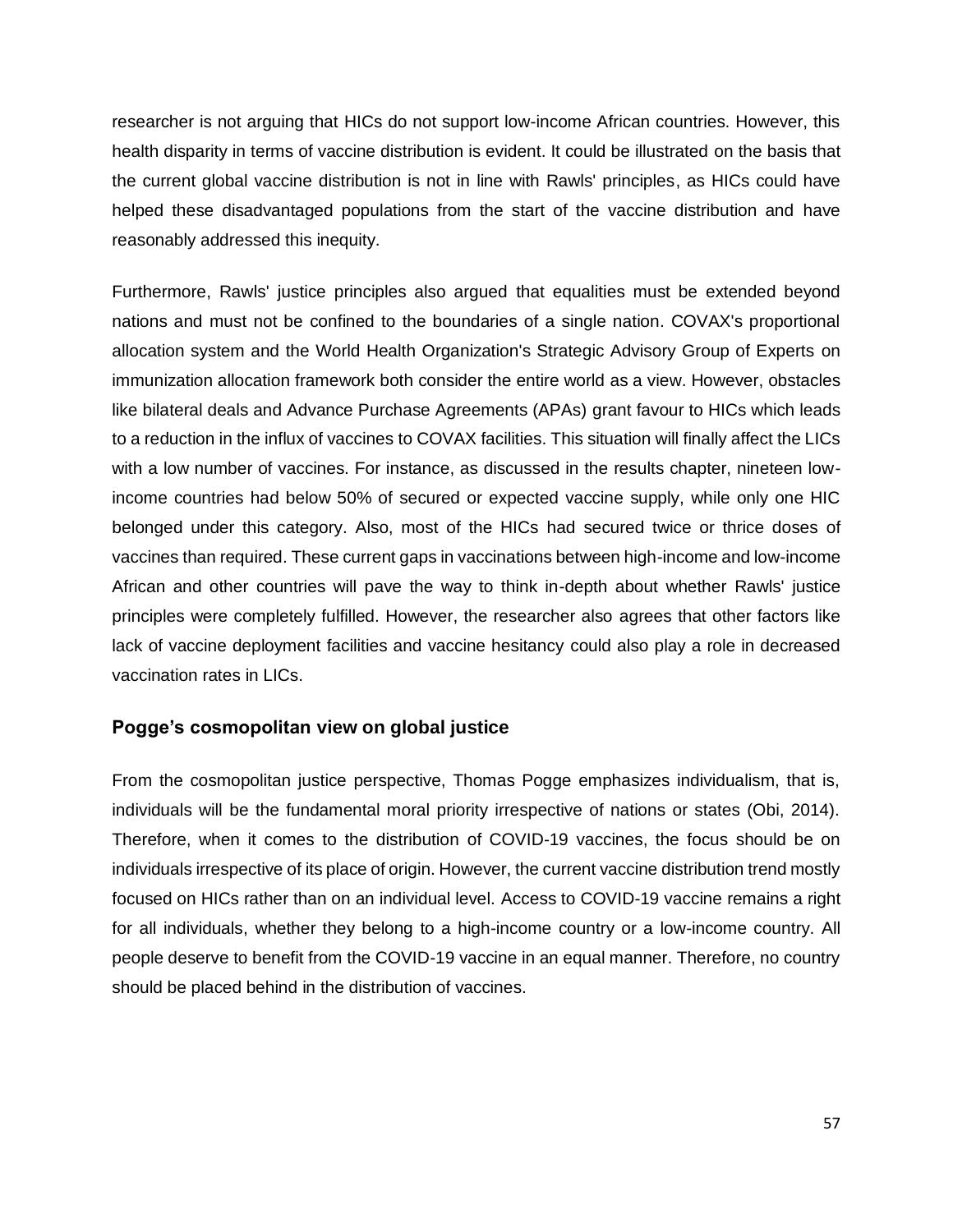researcher is not arguing that HICs do not support low-income African countries. However, this health disparity in terms of vaccine distribution is evident. It could be illustrated on the basis that the current global vaccine distribution is not in line with Rawls' principles, as HICs could have helped these disadvantaged populations from the start of the vaccine distribution and have reasonably addressed this inequity.

Furthermore, Rawls' justice principles also argued that equalities must be extended beyond nations and must not be confined to the boundaries of a single nation. COVAX's proportional allocation system and the World Health Organization's Strategic Advisory Group of Experts on immunization allocation framework both consider the entire world as a view. However, obstacles like bilateral deals and Advance Purchase Agreements (APAs) grant favour to HICs which leads to a reduction in the influx of vaccines to COVAX facilities. This situation will finally affect the LICs with a low number of vaccines. For instance, as discussed in the results chapter, nineteen lowincome countries had below 50% of secured or expected vaccine supply, while only one HIC belonged under this category. Also, most of the HICs had secured twice or thrice doses of vaccines than required. These current gaps in vaccinations between high-income and low-income African and other countries will pave the way to think in-depth about whether Rawls' justice principles were completely fulfilled. However, the researcher also agrees that other factors like lack of vaccine deployment facilities and vaccine hesitancy could also play a role in decreased vaccination rates in LICs.

#### **Pogge's cosmopolitan view on global justice**

From the cosmopolitan justice perspective, Thomas Pogge emphasizes individualism, that is, individuals will be the fundamental moral priority irrespective of nations or states (Obi, 2014). Therefore, when it comes to the distribution of COVID-19 vaccines, the focus should be on individuals irrespective of its place of origin. However, the current vaccine distribution trend mostly focused on HICs rather than on an individual level. Access to COVID-19 vaccine remains a right for all individuals, whether they belong to a high-income country or a low-income country. All people deserve to benefit from the COVID-19 vaccine in an equal manner. Therefore, no country should be placed behind in the distribution of vaccines.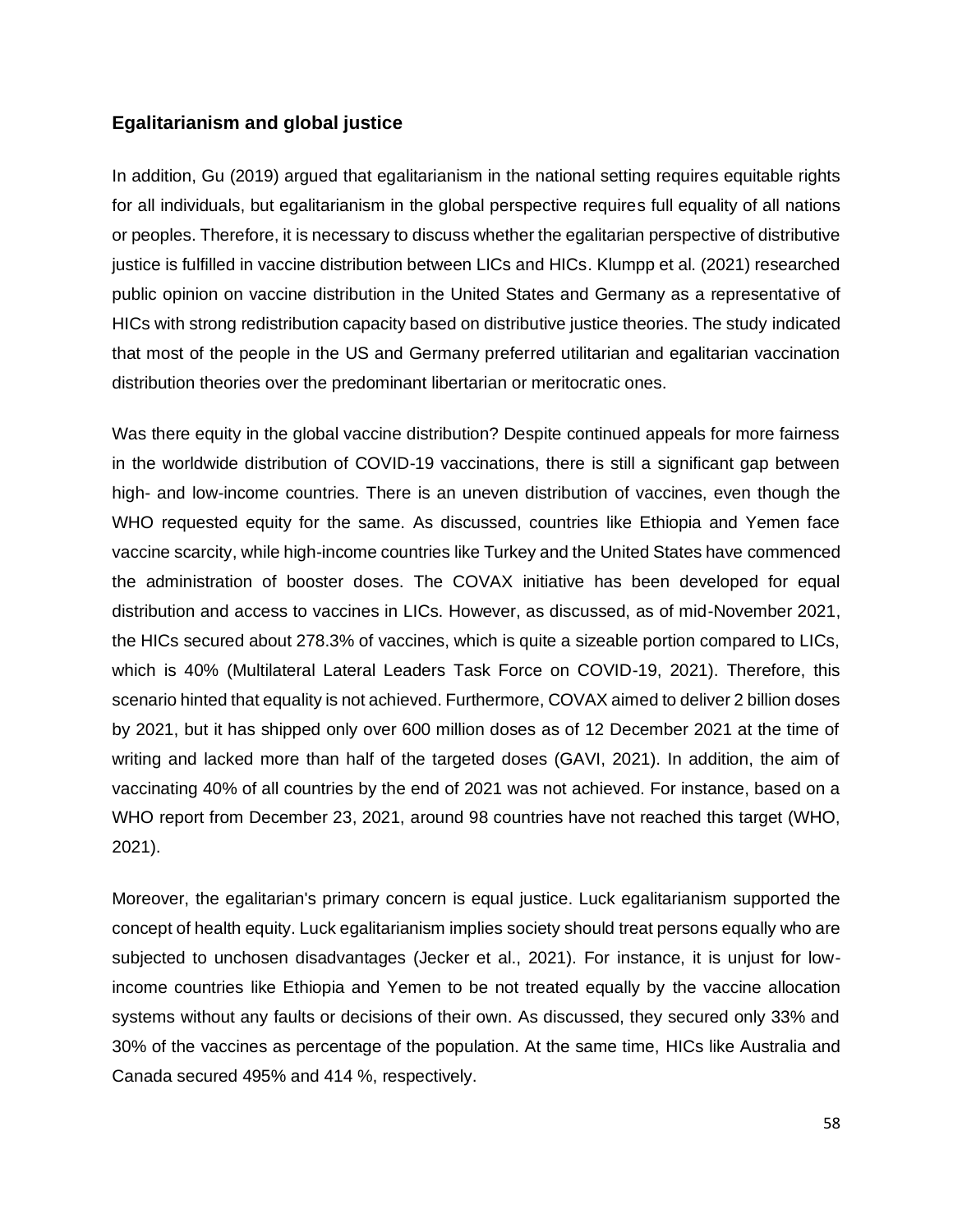#### **Egalitarianism and global justice**

In addition, Gu (2019) argued that egalitarianism in the national setting requires equitable rights for all individuals, but egalitarianism in the global perspective requires full equality of all nations or peoples. Therefore, it is necessary to discuss whether the egalitarian perspective of distributive justice is fulfilled in vaccine distribution between LICs and HICs. Klumpp et al. (2021) researched public opinion on vaccine distribution in the United States and Germany as a representative of HICs with strong redistribution capacity based on distributive justice theories. The study indicated that most of the people in the US and Germany preferred utilitarian and egalitarian vaccination distribution theories over the predominant libertarian or meritocratic ones.

Was there equity in the global vaccine distribution? Despite continued appeals for more fairness in the worldwide distribution of COVID-19 vaccinations, there is still a significant gap between high- and low-income countries. There is an uneven distribution of vaccines, even though the WHO requested equity for the same. As discussed, countries like Ethiopia and Yemen face vaccine scarcity, while high-income countries like Turkey and the United States have commenced the administration of booster doses. The COVAX initiative has been developed for equal distribution and access to vaccines in LICs. However, as discussed, as of mid-November 2021, the HICs secured about 278.3% of vaccines, which is quite a sizeable portion compared to LICs, which is 40% (Multilateral Lateral Leaders Task Force on COVID-19, 2021). Therefore, this scenario hinted that equality is not achieved. Furthermore, COVAX aimed to deliver 2 billion doses by 2021, but it has shipped only over 600 million doses as of 12 December 2021 at the time of writing and lacked more than half of the targeted doses (GAVI, 2021). In addition, the aim of vaccinating 40% of all countries by the end of 2021 was not achieved. For instance, based on a WHO report from December 23, 2021, around 98 countries have not reached this target (WHO, 2021).

Moreover, the egalitarian's primary concern is equal justice. Luck egalitarianism supported the concept of health equity. Luck egalitarianism implies society should treat persons equally who are subjected to unchosen disadvantages (Jecker et al., 2021). For instance, it is unjust for lowincome countries like Ethiopia and Yemen to be not treated equally by the vaccine allocation systems without any faults or decisions of their own. As discussed, they secured only 33% and 30% of the vaccines as percentage of the population. At the same time, HICs like Australia and Canada secured 495% and 414 %, respectively.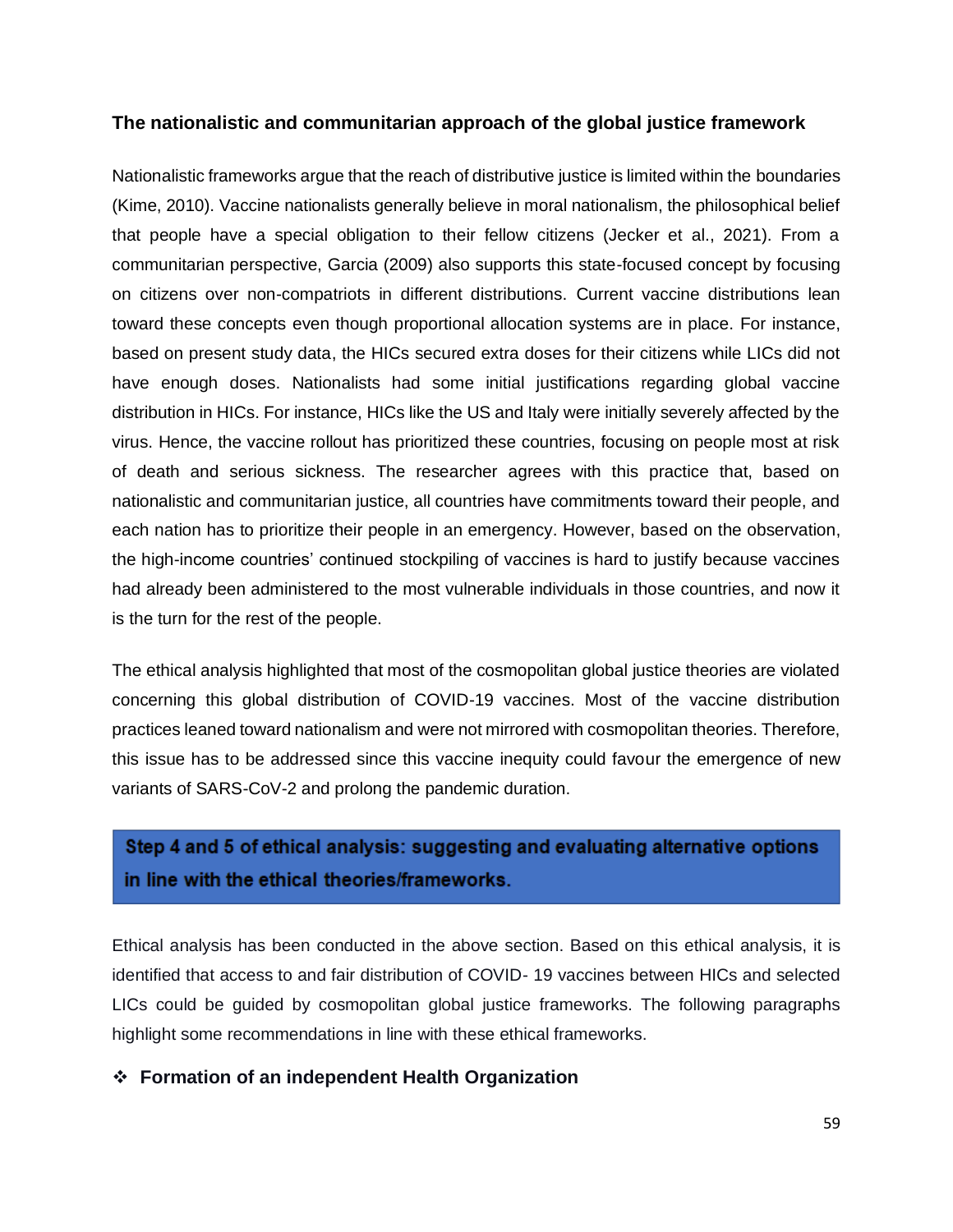#### **The nationalistic and communitarian approach of the global justice framework**

Nationalistic frameworks argue that the reach of distributive justice is limited within the boundaries (Kime, 2010). Vaccine nationalists generally believe in moral nationalism, the philosophical belief that people have a special obligation to their fellow citizens (Jecker et al., 2021). From a communitarian perspective, Garcia (2009) also supports this state-focused concept by focusing on citizens over non-compatriots in different distributions. Current vaccine distributions lean toward these concepts even though proportional allocation systems are in place. For instance, based on present study data, the HICs secured extra doses for their citizens while LICs did not have enough doses. Nationalists had some initial justifications regarding global vaccine distribution in HICs. For instance, HICs like the US and Italy were initially severely affected by the virus. Hence, the vaccine rollout has prioritized these countries, focusing on people most at risk of death and serious sickness. The researcher agrees with this practice that, based on nationalistic and communitarian justice, all countries have commitments toward their people, and each nation has to prioritize their people in an emergency. However, based on the observation, the high-income countries' continued stockpiling of vaccines is hard to justify because vaccines had already been administered to the most vulnerable individuals in those countries, and now it is the turn for the rest of the people.

The ethical analysis highlighted that most of the cosmopolitan global justice theories are violated concerning this global distribution of COVID-19 vaccines. Most of the vaccine distribution practices leaned toward nationalism and were not mirrored with cosmopolitan theories. Therefore, this issue has to be addressed since this vaccine inequity could favour the emergence of new variants of SARS-CoV-2 and prolong the pandemic duration.

# Step 4 and 5 of ethical analysis: suggesting and evaluating alternative options in line with the ethical theories/frameworks.

Ethical analysis has been conducted in the above section. Based on this ethical analysis, it is identified that access to and fair distribution of COVID- 19 vaccines between HICs and selected LICs could be guided by cosmopolitan global justice frameworks. The following paragraphs highlight some recommendations in line with these ethical frameworks.

#### ❖ **Formation of an independent Health Organization**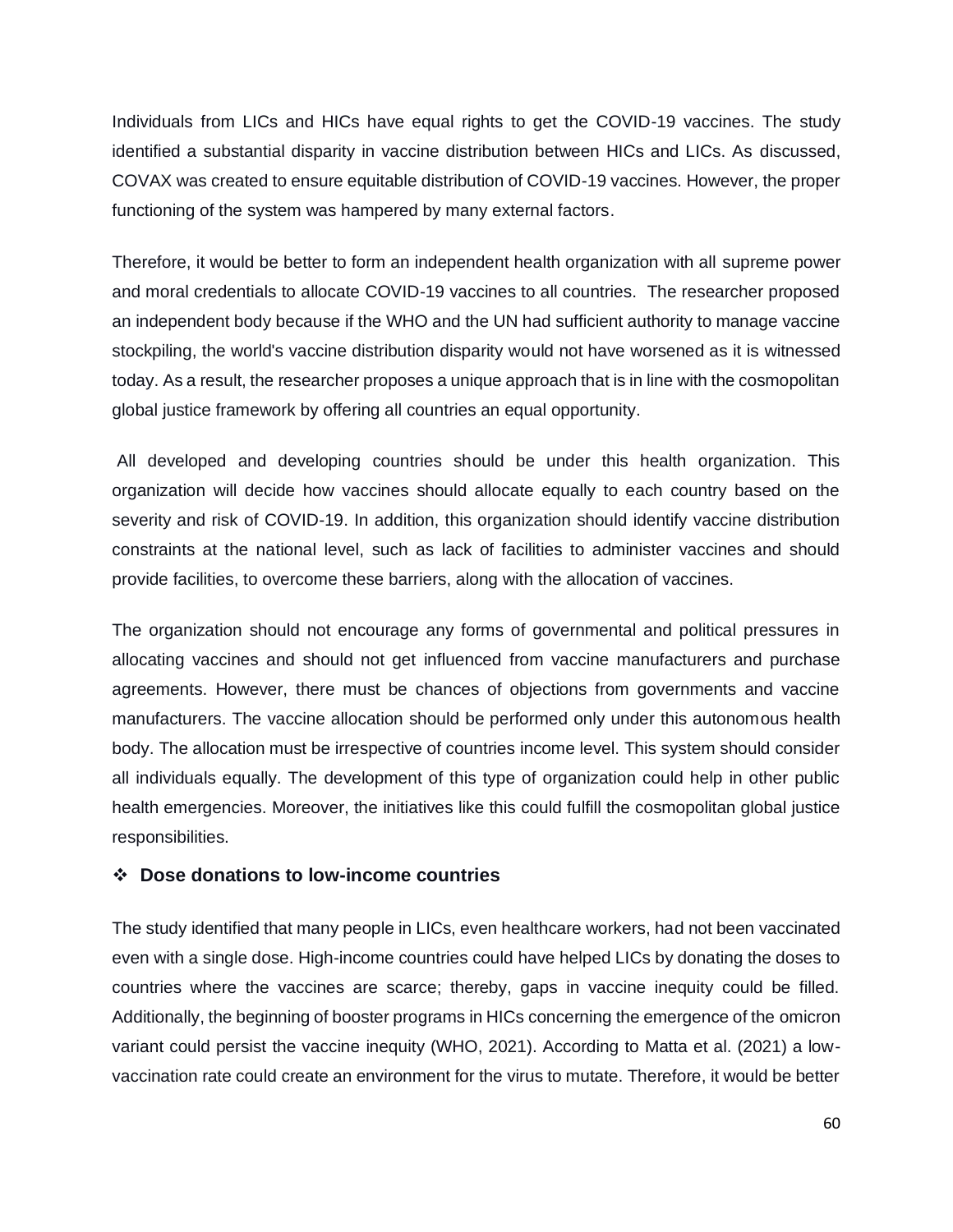Individuals from LICs and HICs have equal rights to get the COVID-19 vaccines. The study identified a substantial disparity in vaccine distribution between HICs and LICs. As discussed, COVAX was created to ensure equitable distribution of COVID-19 vaccines. However, the proper functioning of the system was hampered by many external factors.

Therefore, it would be better to form an independent health organization with all supreme power and moral credentials to allocate COVID-19 vaccines to all countries. The researcher proposed an independent body because if the WHO and the UN had sufficient authority to manage vaccine stockpiling, the world's vaccine distribution disparity would not have worsened as it is witnessed today. As a result, the researcher proposes a unique approach that is in line with the cosmopolitan global justice framework by offering all countries an equal opportunity.

All developed and developing countries should be under this health organization. This organization will decide how vaccines should allocate equally to each country based on the severity and risk of COVID-19. In addition, this organization should identify vaccine distribution constraints at the national level, such as lack of facilities to administer vaccines and should provide facilities, to overcome these barriers, along with the allocation of vaccines.

The organization should not encourage any forms of governmental and political pressures in allocating vaccines and should not get influenced from vaccine manufacturers and purchase agreements. However, there must be chances of objections from governments and vaccine manufacturers. The vaccine allocation should be performed only under this autonomous health body. The allocation must be irrespective of countries income level. This system should consider all individuals equally. The development of this type of organization could help in other public health emergencies. Moreover, the initiatives like this could fulfill the cosmopolitan global justice responsibilities.

#### ❖ **Dose donations to low-income countries**

The study identified that many people in LICs, even healthcare workers, had not been vaccinated even with a single dose. High-income countries could have helped LICs by donating the doses to countries where the vaccines are scarce; thereby, gaps in vaccine inequity could be filled. Additionally, the beginning of booster programs in HICs concerning the emergence of the omicron variant could persist the vaccine inequity (WHO, 2021). According to Matta et al. (2021) a lowvaccination rate could create an environment for the virus to mutate. Therefore, it would be better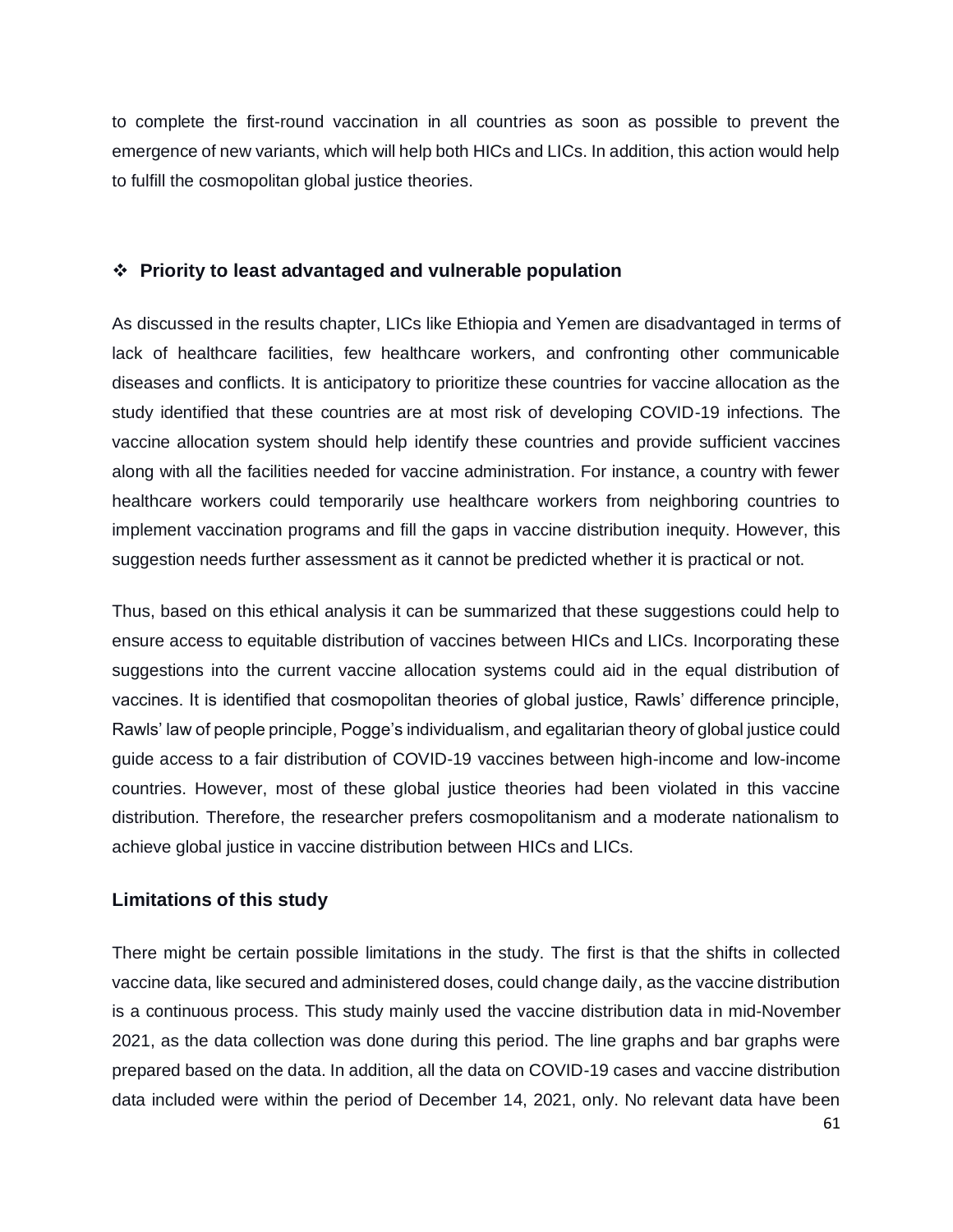to complete the first-round vaccination in all countries as soon as possible to prevent the emergence of new variants, which will help both HICs and LICs. In addition, this action would help to fulfill the cosmopolitan global justice theories.

#### ❖ **Priority to least advantaged and vulnerable population**

As discussed in the results chapter, LICs like Ethiopia and Yemen are disadvantaged in terms of lack of healthcare facilities, few healthcare workers, and confronting other communicable diseases and conflicts. It is anticipatory to prioritize these countries for vaccine allocation as the study identified that these countries are at most risk of developing COVID-19 infections. The vaccine allocation system should help identify these countries and provide sufficient vaccines along with all the facilities needed for vaccine administration. For instance, a country with fewer healthcare workers could temporarily use healthcare workers from neighboring countries to implement vaccination programs and fill the gaps in vaccine distribution inequity. However, this suggestion needs further assessment as it cannot be predicted whether it is practical or not.

Thus, based on this ethical analysis it can be summarized that these suggestions could help to ensure access to equitable distribution of vaccines between HICs and LICs. Incorporating these suggestions into the current vaccine allocation systems could aid in the equal distribution of vaccines. It is identified that cosmopolitan theories of global justice, Rawls' difference principle, Rawls' law of people principle, Pogge's individualism, and egalitarian theory of global justice could guide access to a fair distribution of COVID-19 vaccines between high-income and low-income countries. However, most of these global justice theories had been violated in this vaccine distribution. Therefore, the researcher prefers cosmopolitanism and a moderate nationalism to achieve global justice in vaccine distribution between HICs and LICs.

#### **Limitations of this study**

There might be certain possible limitations in the study. The first is that the shifts in collected vaccine data, like secured and administered doses, could change daily, as the vaccine distribution is a continuous process. This study mainly used the vaccine distribution data in mid-November 2021, as the data collection was done during this period. The line graphs and bar graphs were prepared based on the data. In addition, all the data on COVID-19 cases and vaccine distribution data included were within the period of December 14, 2021, only. No relevant data have been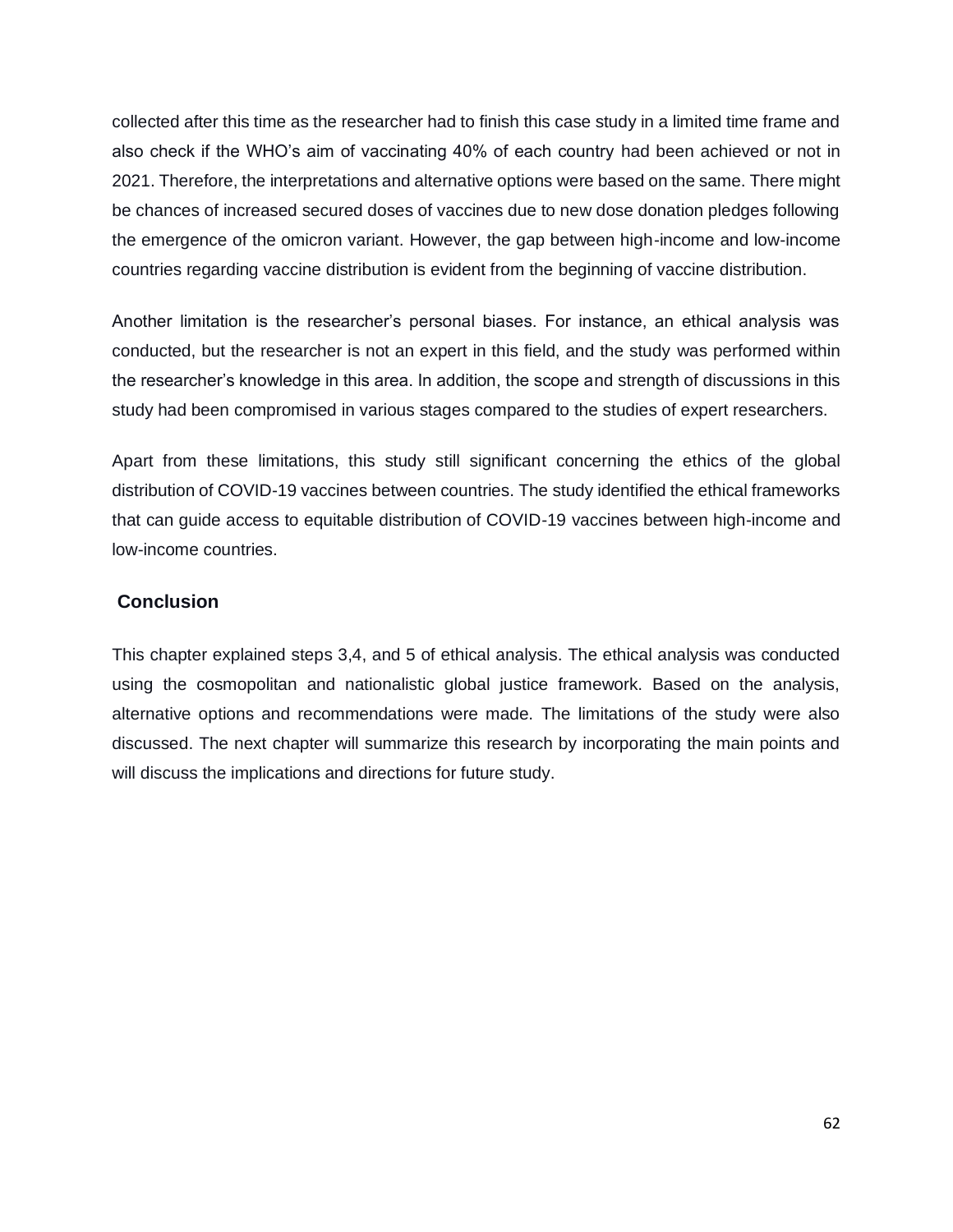collected after this time as the researcher had to finish this case study in a limited time frame and also check if the WHO's aim of vaccinating 40% of each country had been achieved or not in 2021. Therefore, the interpretations and alternative options were based on the same. There might be chances of increased secured doses of vaccines due to new dose donation pledges following the emergence of the omicron variant. However, the gap between high-income and low-income countries regarding vaccine distribution is evident from the beginning of vaccine distribution.

Another limitation is the researcher's personal biases. For instance, an ethical analysis was conducted, but the researcher is not an expert in this field, and the study was performed within the researcher's knowledge in this area. In addition, the scope and strength of discussions in this study had been compromised in various stages compared to the studies of expert researchers.

Apart from these limitations, this study still significant concerning the ethics of the global distribution of COVID-19 vaccines between countries. The study identified the ethical frameworks that can guide access to equitable distribution of COVID-19 vaccines between high-income and low-income countries.

#### **Conclusion**

This chapter explained steps 3,4, and 5 of ethical analysis. The ethical analysis was conducted using the cosmopolitan and nationalistic global justice framework. Based on the analysis, alternative options and recommendations were made. The limitations of the study were also discussed. The next chapter will summarize this research by incorporating the main points and will discuss the implications and directions for future study.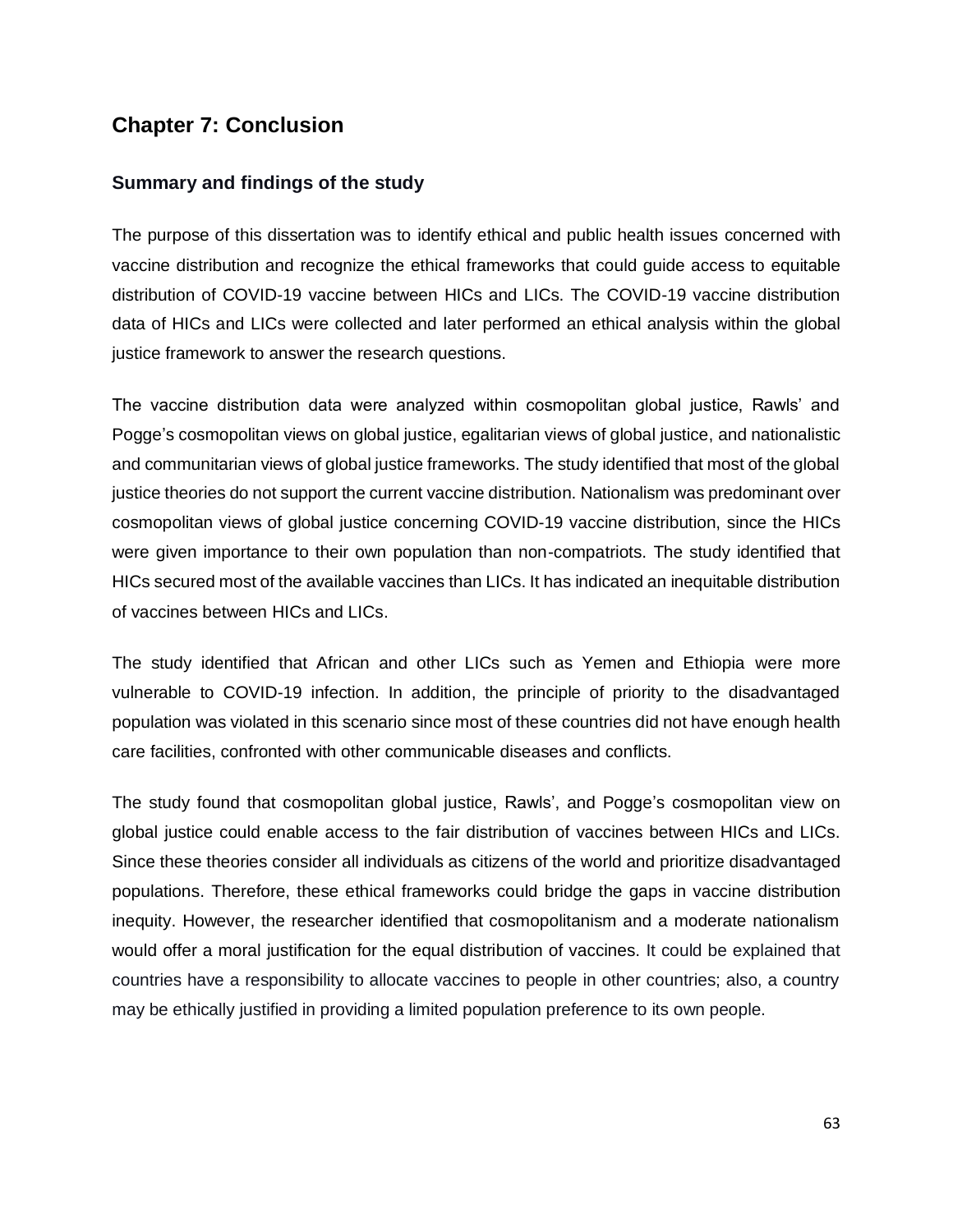## **Chapter 7: Conclusion**

#### **Summary and findings of the study**

The purpose of this dissertation was to identify ethical and public health issues concerned with vaccine distribution and recognize the ethical frameworks that could guide access to equitable distribution of COVID-19 vaccine between HICs and LICs. The COVID-19 vaccine distribution data of HICs and LICs were collected and later performed an ethical analysis within the global justice framework to answer the research questions.

The vaccine distribution data were analyzed within cosmopolitan global justice, Rawls' and Pogge's cosmopolitan views on global justice, egalitarian views of global justice, and nationalistic and communitarian views of global justice frameworks. The study identified that most of the global justice theories do not support the current vaccine distribution. Nationalism was predominant over cosmopolitan views of global justice concerning COVID-19 vaccine distribution, since the HICs were given importance to their own population than non-compatriots. The study identified that HICs secured most of the available vaccines than LICs. It has indicated an inequitable distribution of vaccines between HICs and LICs.

The study identified that African and other LICs such as Yemen and Ethiopia were more vulnerable to COVID-19 infection. In addition, the principle of priority to the disadvantaged population was violated in this scenario since most of these countries did not have enough health care facilities, confronted with other communicable diseases and conflicts.

The study found that cosmopolitan global justice, Rawls', and Pogge's cosmopolitan view on global justice could enable access to the fair distribution of vaccines between HICs and LICs. Since these theories consider all individuals as citizens of the world and prioritize disadvantaged populations. Therefore, these ethical frameworks could bridge the gaps in vaccine distribution inequity. However, the researcher identified that cosmopolitanism and a moderate nationalism would offer a moral justification for the equal distribution of vaccines. It could be explained that countries have a responsibility to allocate vaccines to people in other countries; also, a country may be ethically justified in providing a limited population preference to its own people.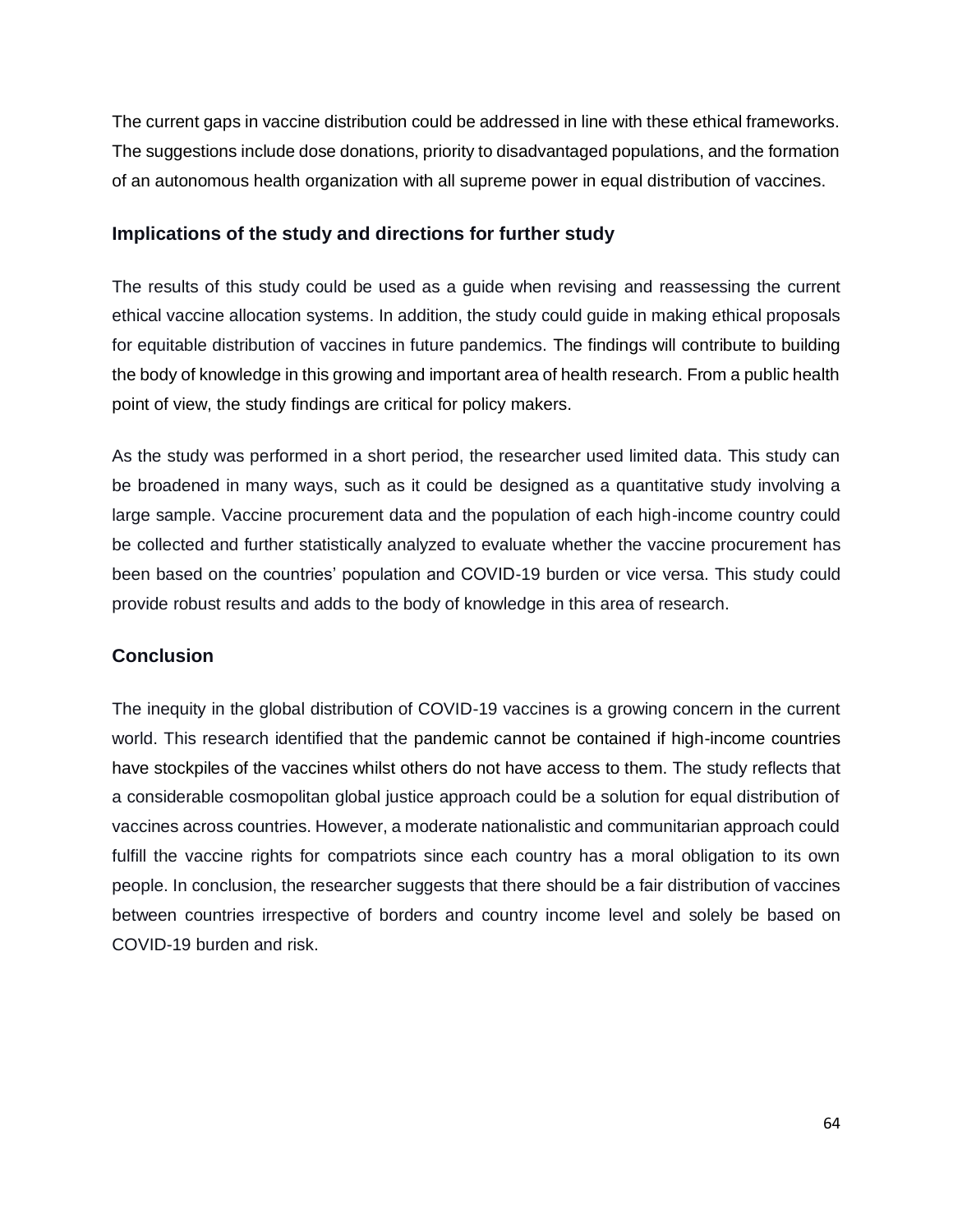The current gaps in vaccine distribution could be addressed in line with these ethical frameworks. The suggestions include dose donations, priority to disadvantaged populations, and the formation of an autonomous health organization with all supreme power in equal distribution of vaccines.

#### **Implications of the study and directions for further study**

The results of this study could be used as a guide when revising and reassessing the current ethical vaccine allocation systems. In addition, the study could guide in making ethical proposals for equitable distribution of vaccines in future pandemics. The findings will contribute to building the body of knowledge in this growing and important area of health research. From a public health point of view, the study findings are critical for policy makers.

As the study was performed in a short period, the researcher used limited data. This study can be broadened in many ways, such as it could be designed as a quantitative study involving a large sample. Vaccine procurement data and the population of each high-income country could be collected and further statistically analyzed to evaluate whether the vaccine procurement has been based on the countries' population and COVID-19 burden or vice versa. This study could provide robust results and adds to the body of knowledge in this area of research.

#### **Conclusion**

The inequity in the global distribution of COVID-19 vaccines is a growing concern in the current world. This research identified that the pandemic cannot be contained if high-income countries have stockpiles of the vaccines whilst others do not have access to them. The study reflects that a considerable cosmopolitan global justice approach could be a solution for equal distribution of vaccines across countries. However, a moderate nationalistic and communitarian approach could fulfill the vaccine rights for compatriots since each country has a moral obligation to its own people. In conclusion, the researcher suggests that there should be a fair distribution of vaccines between countries irrespective of borders and country income level and solely be based on COVID-19 burden and risk.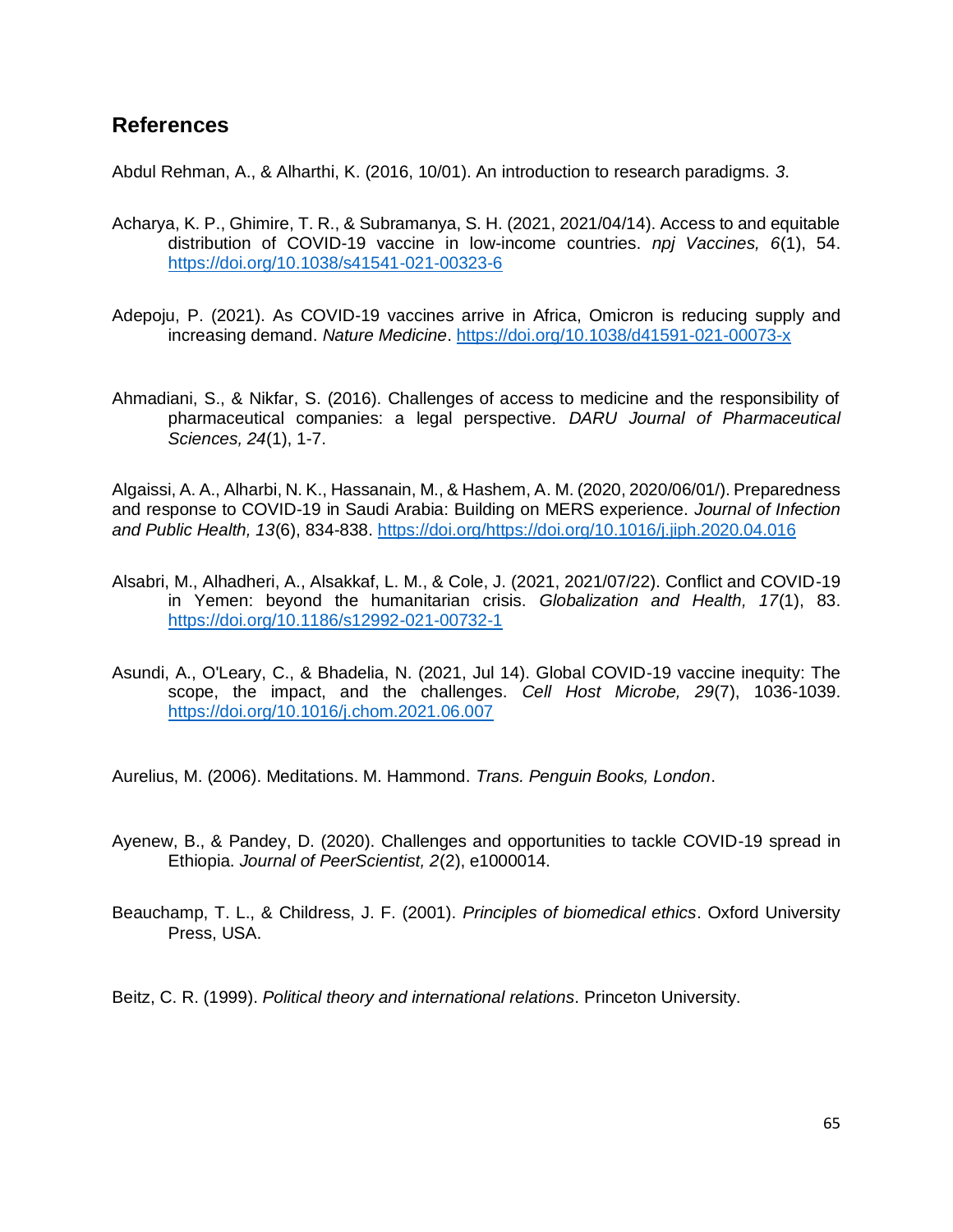## **References**

Abdul Rehman, A., & Alharthi, K. (2016, 10/01). An introduction to research paradigms. *3*.

- Acharya, K. P., Ghimire, T. R., & Subramanya, S. H. (2021, 2021/04/14). Access to and equitable distribution of COVID-19 vaccine in low-income countries. *npj Vaccines, 6*(1), 54. <https://doi.org/10.1038/s41541-021-00323-6>
- Adepoju, P. (2021). As COVID-19 vaccines arrive in Africa, Omicron is reducing supply and increasing demand. *Nature Medicine*.<https://doi.org/10.1038/d41591-021-00073-x>
- Ahmadiani, S., & Nikfar, S. (2016). Challenges of access to medicine and the responsibility of pharmaceutical companies: a legal perspective. *DARU Journal of Pharmaceutical Sciences, 24*(1), 1-7.

Algaissi, A. A., Alharbi, N. K., Hassanain, M., & Hashem, A. M. (2020, 2020/06/01/). Preparedness and response to COVID-19 in Saudi Arabia: Building on MERS experience. *Journal of Infection and Public Health, 13*(6), 834-838. [https://doi.org/https://doi.org/10.1016/j.jiph.2020.04.016](https://doi.org/https:/doi.org/10.1016/j.jiph.2020.04.016)

- Alsabri, M., Alhadheri, A., Alsakkaf, L. M., & Cole, J. (2021, 2021/07/22). Conflict and COVID-19 in Yemen: beyond the humanitarian crisis. *Globalization and Health, 17*(1), 83. <https://doi.org/10.1186/s12992-021-00732-1>
- Asundi, A., O'Leary, C., & Bhadelia, N. (2021, Jul 14). Global COVID-19 vaccine inequity: The scope, the impact, and the challenges. *Cell Host Microbe, 29*(7), 1036-1039. <https://doi.org/10.1016/j.chom.2021.06.007>

Aurelius, M. (2006). Meditations. M. Hammond. *Trans. Penguin Books, London*.

- Ayenew, B., & Pandey, D. (2020). Challenges and opportunities to tackle COVID-19 spread in Ethiopia. *Journal of PeerScientist, 2*(2), e1000014.
- Beauchamp, T. L., & Childress, J. F. (2001). *Principles of biomedical ethics*. Oxford University Press, USA.

Beitz, C. R. (1999). *Political theory and international relations*. Princeton University.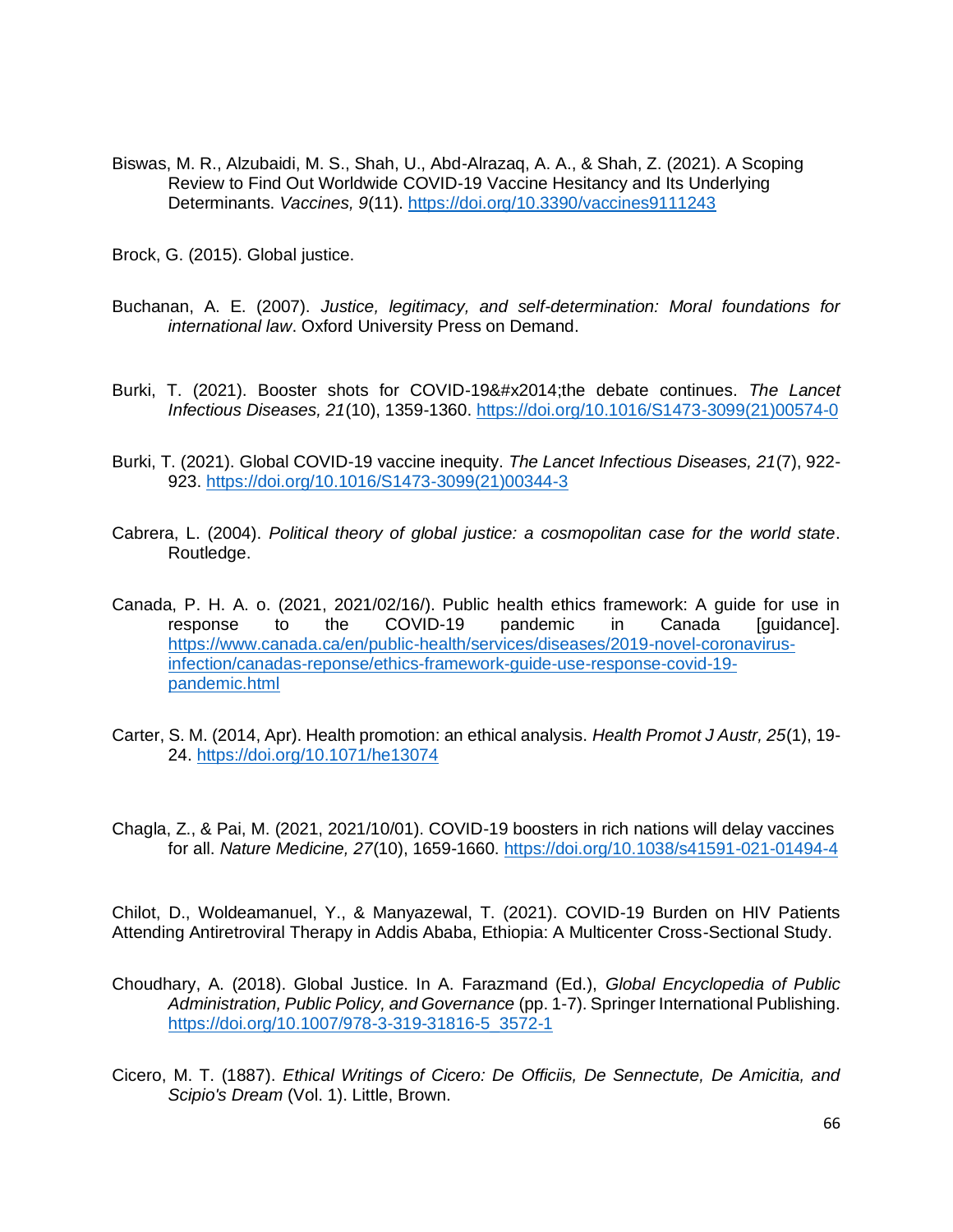Biswas, M. R., Alzubaidi, M. S., Shah, U., Abd-Alrazaq, A. A., & Shah, Z. (2021). A Scoping Review to Find Out Worldwide COVID-19 Vaccine Hesitancy and Its Underlying Determinants. *Vaccines, 9*(11).<https://doi.org/10.3390/vaccines9111243>

Brock, G. (2015). Global justice.

- Buchanan, A. E. (2007). *Justice, legitimacy, and self-determination: Moral foundations for international law*. Oxford University Press on Demand.
- Burki, T. (2021). Booster shots for COVID-19—the debate continues. *The Lancet Infectious Diseases, 21*(10), 1359-1360. [https://doi.org/10.1016/S1473-3099\(21\)00574-0](https://doi.org/10.1016/S1473-3099(21)00574-0)
- Burki, T. (2021). Global COVID-19 vaccine inequity. *The Lancet Infectious Diseases, 21*(7), 922- 923. [https://doi.org/10.1016/S1473-3099\(21\)00344-3](https://doi.org/10.1016/S1473-3099(21)00344-3)
- Cabrera, L. (2004). *Political theory of global justice: a cosmopolitan case for the world state*. Routledge.
- Canada, P. H. A. o. (2021, 2021/02/16/). Public health ethics framework: A guide for use in response to the COVID-19 pandemic in Canada [guidance]. [https://www.canada.ca/en/public-health/services/diseases/2019-novel-coronavirus](https://www.canada.ca/en/public-health/services/diseases/2019-novel-coronavirus-infection/canadas-reponse/ethics-framework-guide-use-response-covid-19-pandemic.html)[infection/canadas-reponse/ethics-framework-guide-use-response-covid-19](https://www.canada.ca/en/public-health/services/diseases/2019-novel-coronavirus-infection/canadas-reponse/ethics-framework-guide-use-response-covid-19-pandemic.html) [pandemic.html](https://www.canada.ca/en/public-health/services/diseases/2019-novel-coronavirus-infection/canadas-reponse/ethics-framework-guide-use-response-covid-19-pandemic.html)
- Carter, S. M. (2014, Apr). Health promotion: an ethical analysis. *Health Promot J Austr, 25*(1), 19- 24.<https://doi.org/10.1071/he13074>
- Chagla, Z., & Pai, M. (2021, 2021/10/01). COVID-19 boosters in rich nations will delay vaccines for all. *Nature Medicine, 27*(10), 1659-1660.<https://doi.org/10.1038/s41591-021-01494-4>

Chilot, D., Woldeamanuel, Y., & Manyazewal, T. (2021). COVID-19 Burden on HIV Patients Attending Antiretroviral Therapy in Addis Ababa, Ethiopia: A Multicenter Cross-Sectional Study.

- Choudhary, A. (2018). Global Justice. In A. Farazmand (Ed.), *Global Encyclopedia of Public Administration, Public Policy, and Governance* (pp. 1-7). Springer International Publishing. [https://doi.org/10.1007/978-3-319-31816-5\\_3572-1](https://doi.org/10.1007/978-3-319-31816-5_3572-1)
- Cicero, M. T. (1887). *Ethical Writings of Cicero: De Officiis, De Sennectute, De Amicitia, and Scipio's Dream* (Vol. 1). Little, Brown.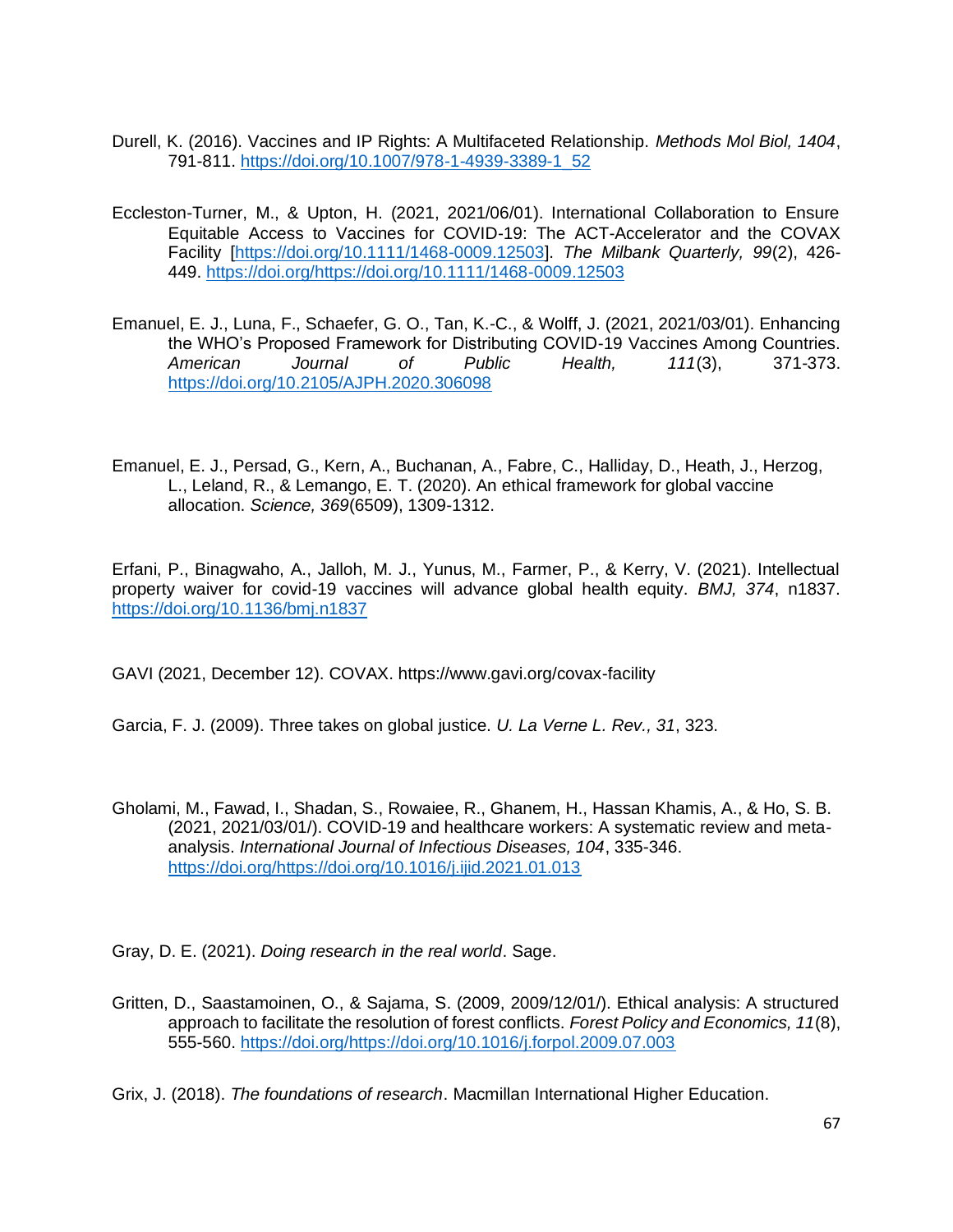- Durell, K. (2016). Vaccines and IP Rights: A Multifaceted Relationship. *Methods Mol Biol, 1404*, 791-811. [https://doi.org/10.1007/978-1-4939-3389-1\\_52](https://doi.org/10.1007/978-1-4939-3389-1_52)
- Eccleston-Turner, M., & Upton, H. (2021, 2021/06/01). International Collaboration to Ensure Equitable Access to Vaccines for COVID-19: The ACT-Accelerator and the COVAX Facility [\[https://doi.org/10.1111/1468-0009.12503\]](https://doi.org/10.1111/1468-0009.12503). *The Milbank Quarterly, 99*(2), 426- 449. [https://doi.org/https://doi.org/10.1111/1468-0009.12503](https://doi.org/https:/doi.org/10.1111/1468-0009.12503)
- Emanuel, E. J., Luna, F., Schaefer, G. O., Tan, K.-C., & Wolff, J. (2021, 2021/03/01). Enhancing the WHO's Proposed Framework for Distributing COVID-19 Vaccines Among Countries. *American Journal of Public Health, 111*(3), 371-373. <https://doi.org/10.2105/AJPH.2020.306098>
- Emanuel, E. J., Persad, G., Kern, A., Buchanan, A., Fabre, C., Halliday, D., Heath, J., Herzog, L., Leland, R., & Lemango, E. T. (2020). An ethical framework for global vaccine allocation. *Science, 369*(6509), 1309-1312.

Erfani, P., Binagwaho, A., Jalloh, M. J., Yunus, M., Farmer, P., & Kerry, V. (2021). Intellectual property waiver for covid-19 vaccines will advance global health equity. *BMJ, 374*, n1837. <https://doi.org/10.1136/bmj.n1837>

GAVI (2021, December 12). COVAX. https://www.gavi.org/covax-facility

Garcia, F. J. (2009). Three takes on global justice. *U. La Verne L. Rev., 31*, 323.

Gholami, M., Fawad, I., Shadan, S., Rowaiee, R., Ghanem, H., Hassan Khamis, A., & Ho, S. B. (2021, 2021/03/01/). COVID-19 and healthcare workers: A systematic review and metaanalysis. *International Journal of Infectious Diseases, 104*, 335-346. [https://doi.org/https://doi.org/10.1016/j.ijid.2021.01.013](https://doi.org/https:/doi.org/10.1016/j.ijid.2021.01.013)

Gray, D. E. (2021). *Doing research in the real world*. Sage.

Gritten, D., Saastamoinen, O., & Sajama, S. (2009, 2009/12/01/). Ethical analysis: A structured approach to facilitate the resolution of forest conflicts. *Forest Policy and Economics, 11*(8), 555-560. [https://doi.org/https://doi.org/10.1016/j.forpol.2009.07.003](https://doi.org/https:/doi.org/10.1016/j.forpol.2009.07.003)

Grix, J. (2018). *The foundations of research*. Macmillan International Higher Education.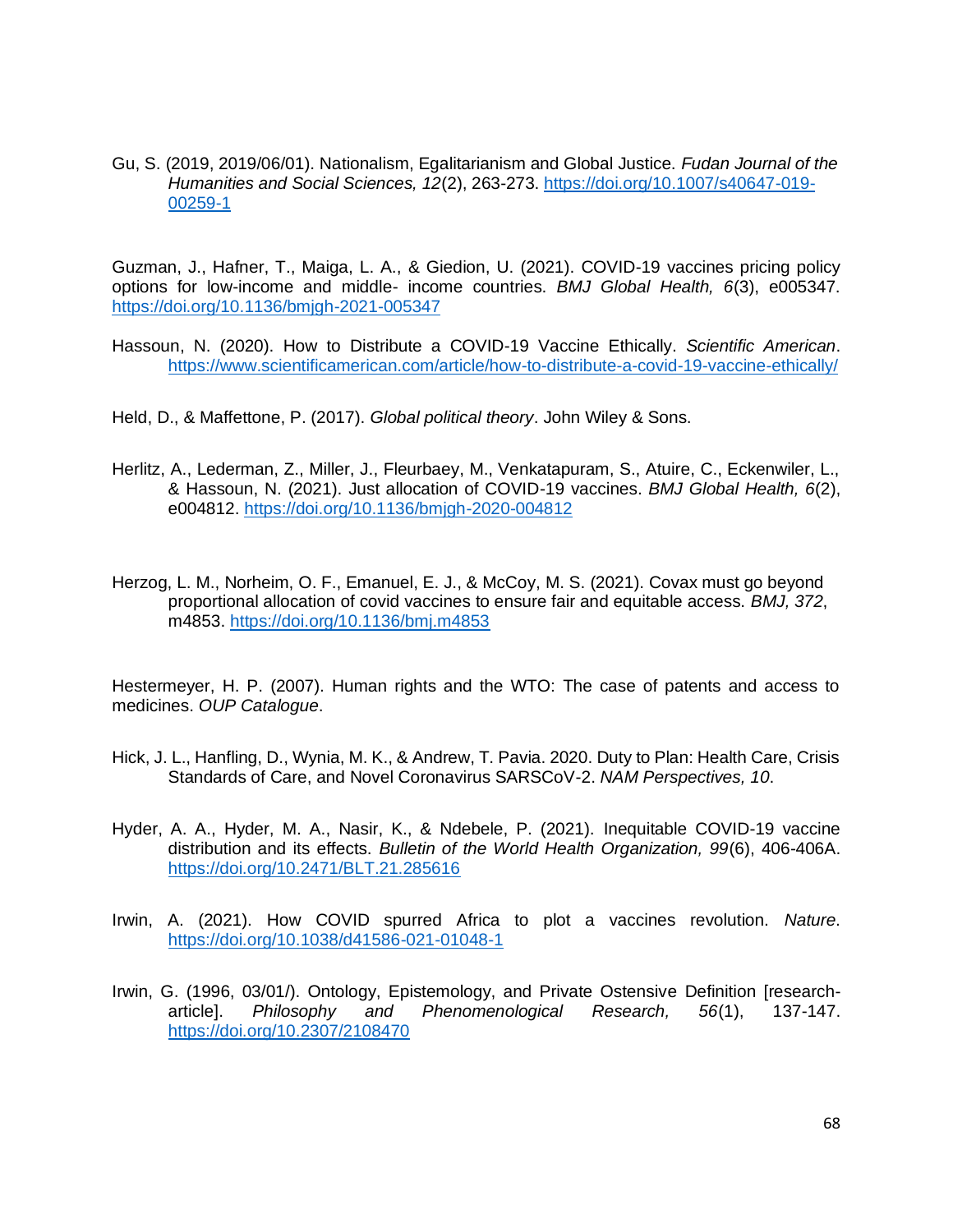Gu, S. (2019, 2019/06/01). Nationalism, Egalitarianism and Global Justice. *Fudan Journal of the Humanities and Social Sciences, 12*(2), 263-273. [https://doi.org/10.1007/s40647-019-](https://doi.org/10.1007/s40647-019-00259-1) [00259-1](https://doi.org/10.1007/s40647-019-00259-1)

Guzman, J., Hafner, T., Maiga, L. A., & Giedion, U. (2021). COVID-19 vaccines pricing policy options for low-income and middle- income countries. *BMJ Global Health, 6*(3), e005347. <https://doi.org/10.1136/bmjgh-2021-005347>

- Hassoun, N. (2020). How to Distribute a COVID-19 Vaccine Ethically. *Scientific American*. <https://www.scientificamerican.com/article/how-to-distribute-a-covid-19-vaccine-ethically/>
- Held, D., & Maffettone, P. (2017). *Global political theory*. John Wiley & Sons.
- Herlitz, A., Lederman, Z., Miller, J., Fleurbaey, M., Venkatapuram, S., Atuire, C., Eckenwiler, L., & Hassoun, N. (2021). Just allocation of COVID-19 vaccines. *BMJ Global Health, 6*(2), e004812.<https://doi.org/10.1136/bmjgh-2020-004812>
- Herzog, L. M., Norheim, O. F., Emanuel, E. J., & McCoy, M. S. (2021). Covax must go beyond proportional allocation of covid vaccines to ensure fair and equitable access. *BMJ, 372*, m4853.<https://doi.org/10.1136/bmj.m4853>

Hestermeyer, H. P. (2007). Human rights and the WTO: The case of patents and access to medicines. *OUP Catalogue*.

- Hick, J. L., Hanfling, D., Wynia, M. K., & Andrew, T. Pavia. 2020. Duty to Plan: Health Care, Crisis Standards of Care, and Novel Coronavirus SARSCoV-2. *NAM Perspectives, 10*.
- Hyder, A. A., Hyder, M. A., Nasir, K., & Ndebele, P. (2021). Inequitable COVID-19 vaccine distribution and its effects. *Bulletin of the World Health Organization, 99*(6), 406-406A. <https://doi.org/10.2471/BLT.21.285616>
- Irwin, A. (2021). How COVID spurred Africa to plot a vaccines revolution. *Nature*. <https://doi.org/10.1038/d41586-021-01048-1>
- Irwin, G. (1996, 03/01/). Ontology, Epistemology, and Private Ostensive Definition [researcharticle]. *Philosophy and Phenomenological Research, 56*(1), 137-147. <https://doi.org/10.2307/2108470>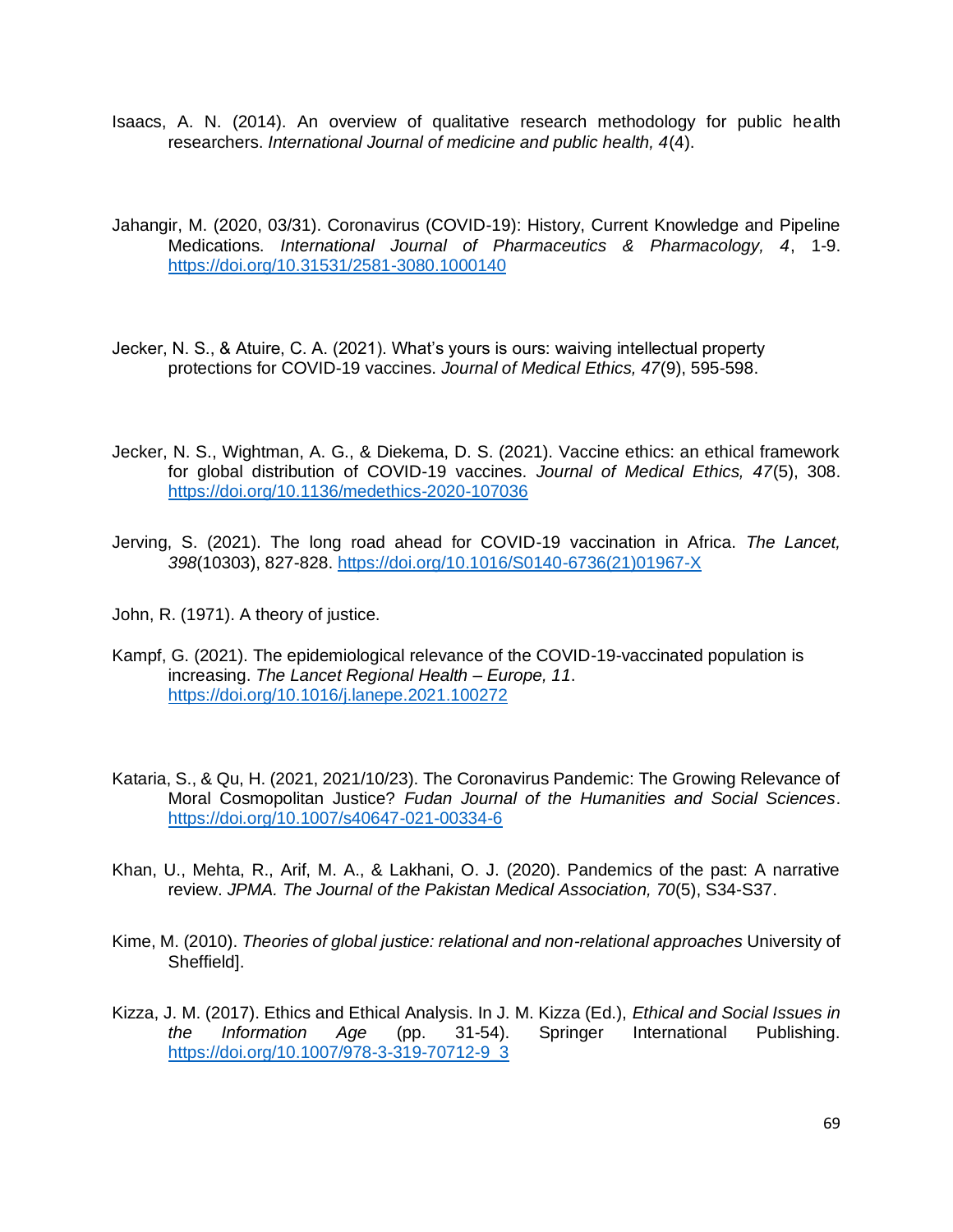- Isaacs, A. N. (2014). An overview of qualitative research methodology for public health researchers. *International Journal of medicine and public health, 4*(4).
- Jahangir, M. (2020, 03/31). Coronavirus (COVID-19): History, Current Knowledge and Pipeline Medications. *International Journal of Pharmaceutics & Pharmacology, 4*, 1-9. <https://doi.org/10.31531/2581-3080.1000140>
- Jecker, N. S., & Atuire, C. A. (2021). What's yours is ours: waiving intellectual property protections for COVID-19 vaccines. *Journal of Medical Ethics, 47*(9), 595-598.
- Jecker, N. S., Wightman, A. G., & Diekema, D. S. (2021). Vaccine ethics: an ethical framework for global distribution of COVID-19 vaccines. *Journal of Medical Ethics, 47*(5), 308. <https://doi.org/10.1136/medethics-2020-107036>
- Jerving, S. (2021). The long road ahead for COVID-19 vaccination in Africa. *The Lancet, 398*(10303), 827-828. [https://doi.org/10.1016/S0140-6736\(21\)01967-X](https://doi.org/10.1016/S0140-6736(21)01967-X)
- John, R. (1971). A theory of justice.
- Kampf, G. (2021). The epidemiological relevance of the COVID-19-vaccinated population is increasing. *The Lancet Regional Health – Europe, 11*. <https://doi.org/10.1016/j.lanepe.2021.100272>
- Kataria, S., & Qu, H. (2021, 2021/10/23). The Coronavirus Pandemic: The Growing Relevance of Moral Cosmopolitan Justice? *Fudan Journal of the Humanities and Social Sciences*. <https://doi.org/10.1007/s40647-021-00334-6>
- Khan, U., Mehta, R., Arif, M. A., & Lakhani, O. J. (2020). Pandemics of the past: A narrative review. *JPMA. The Journal of the Pakistan Medical Association, 70*(5), S34-S37.
- Kime, M. (2010). *Theories of global justice: relational and non-relational approaches* University of Sheffield].
- Kizza, J. M. (2017). Ethics and Ethical Analysis. In J. M. Kizza (Ed.), *Ethical and Social Issues in the Information Age* (pp. 31-54). Springer International Publishing. [https://doi.org/10.1007/978-3-319-70712-9\\_3](https://doi.org/10.1007/978-3-319-70712-9_3)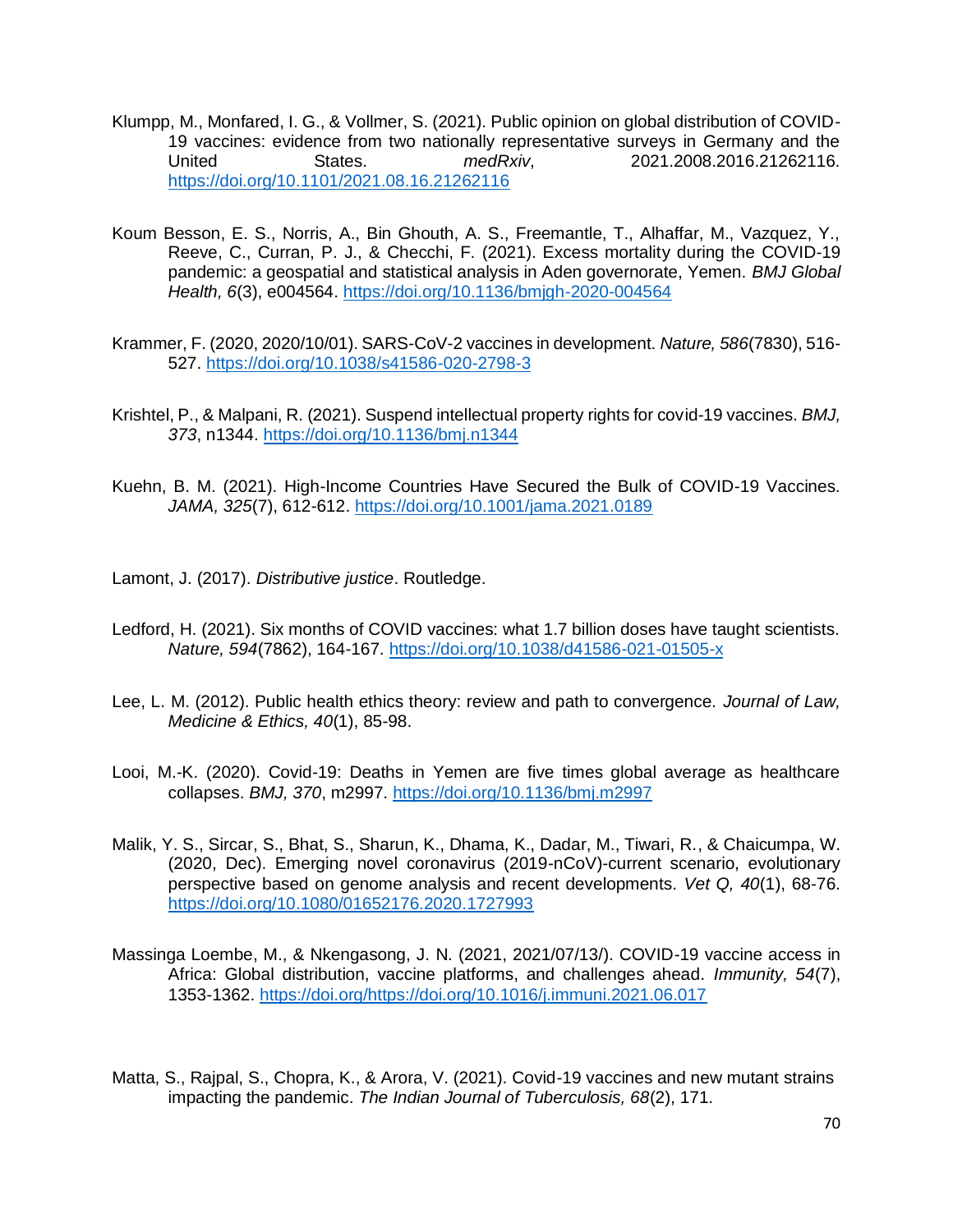- Klumpp, M., Monfared, I. G., & Vollmer, S. (2021). Public opinion on global distribution of COVID-19 vaccines: evidence from two nationally representative surveys in Germany and the United States. *medRxiv*, 2021.2008.2016.21262116. <https://doi.org/10.1101/2021.08.16.21262116>
- Koum Besson, E. S., Norris, A., Bin Ghouth, A. S., Freemantle, T., Alhaffar, M., Vazquez, Y., Reeve, C., Curran, P. J., & Checchi, F. (2021). Excess mortality during the COVID-19 pandemic: a geospatial and statistical analysis in Aden governorate, Yemen. *BMJ Global Health, 6*(3), e004564.<https://doi.org/10.1136/bmjgh-2020-004564>
- Krammer, F. (2020, 2020/10/01). SARS-CoV-2 vaccines in development. *Nature, 586*(7830), 516- 527.<https://doi.org/10.1038/s41586-020-2798-3>
- Krishtel, P., & Malpani, R. (2021). Suspend intellectual property rights for covid-19 vaccines. *BMJ, 373*, n1344.<https://doi.org/10.1136/bmj.n1344>
- Kuehn, B. M. (2021). High-Income Countries Have Secured the Bulk of COVID-19 Vaccines. *JAMA, 325*(7), 612-612.<https://doi.org/10.1001/jama.2021.0189>

Lamont, J. (2017). *Distributive justice*. Routledge.

- Ledford, H. (2021). Six months of COVID vaccines: what 1.7 billion doses have taught scientists. *Nature, 594*(7862), 164-167.<https://doi.org/10.1038/d41586-021-01505-x>
- Lee, L. M. (2012). Public health ethics theory: review and path to convergence. *Journal of Law, Medicine & Ethics, 40*(1), 85-98.
- Looi, M.-K. (2020). Covid-19: Deaths in Yemen are five times global average as healthcare collapses. *BMJ, 370*, m2997.<https://doi.org/10.1136/bmj.m2997>
- Malik, Y. S., Sircar, S., Bhat, S., Sharun, K., Dhama, K., Dadar, M., Tiwari, R., & Chaicumpa, W. (2020, Dec). Emerging novel coronavirus (2019-nCoV)-current scenario, evolutionary perspective based on genome analysis and recent developments. *Vet Q, 40*(1), 68-76. <https://doi.org/10.1080/01652176.2020.1727993>
- Massinga Loembe, M., & Nkengasong, J. N. (2021, 2021/07/13/). COVID-19 vaccine access in Africa: Global distribution, vaccine platforms, and challenges ahead. *Immunity, 54*(7), 1353-1362. [https://doi.org/https://doi.org/10.1016/j.immuni.2021.06.017](https://doi.org/https:/doi.org/10.1016/j.immuni.2021.06.017)
- Matta, S., Rajpal, S., Chopra, K., & Arora, V. (2021). Covid-19 vaccines and new mutant strains impacting the pandemic. *The Indian Journal of Tuberculosis, 68*(2), 171.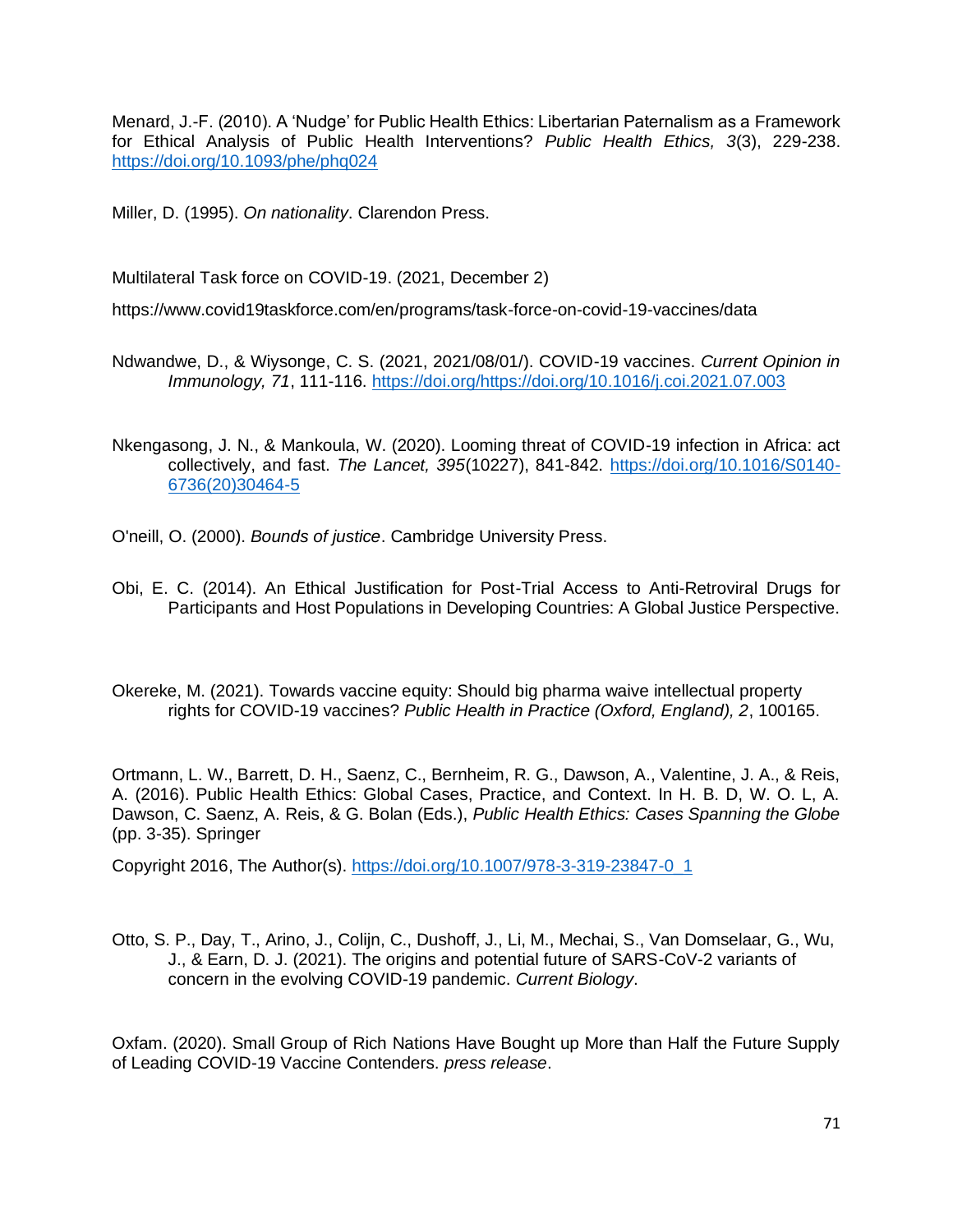Menard, J.-F. (2010). A 'Nudge' for Public Health Ethics: Libertarian Paternalism as a Framework for Ethical Analysis of Public Health Interventions? *Public Health Ethics, 3*(3), 229-238. <https://doi.org/10.1093/phe/phq024>

Miller, D. (1995). *On nationality*. Clarendon Press.

Multilateral Task force on COVID-19. (2021, December 2)

https://www.covid19taskforce.com/en/programs/task-force-on-covid-19-vaccines/data

Ndwandwe, D., & Wiysonge, C. S. (2021, 2021/08/01/). COVID-19 vaccines. *Current Opinion in Immunology, 71*, 111-116. [https://doi.org/https://doi.org/10.1016/j.coi.2021.07.003](https://doi.org/https:/doi.org/10.1016/j.coi.2021.07.003)

Nkengasong, J. N., & Mankoula, W. (2020). Looming threat of COVID-19 infection in Africa: act collectively, and fast. *The Lancet, 395*(10227), 841-842. [https://doi.org/10.1016/S0140-](https://doi.org/10.1016/S0140-6736(20)30464-5) [6736\(20\)30464-5](https://doi.org/10.1016/S0140-6736(20)30464-5)

O'neill, O. (2000). *Bounds of justice*. Cambridge University Press.

Obi, E. C. (2014). An Ethical Justification for Post-Trial Access to Anti-Retroviral Drugs for Participants and Host Populations in Developing Countries: A Global Justice Perspective.

Okereke, M. (2021). Towards vaccine equity: Should big pharma waive intellectual property rights for COVID-19 vaccines? *Public Health in Practice (Oxford, England), 2*, 100165.

Ortmann, L. W., Barrett, D. H., Saenz, C., Bernheim, R. G., Dawson, A., Valentine, J. A., & Reis, A. (2016). Public Health Ethics: Global Cases, Practice, and Context. In H. B. D, W. O. L, A. Dawson, C. Saenz, A. Reis, & G. Bolan (Eds.), *Public Health Ethics: Cases Spanning the Globe* (pp. 3-35). Springer

Copyright 2016, The Author(s). [https://doi.org/10.1007/978-3-319-23847-0\\_1](https://doi.org/10.1007/978-3-319-23847-0_1)

Otto, S. P., Day, T., Arino, J., Colijn, C., Dushoff, J., Li, M., Mechai, S., Van Domselaar, G., Wu, J., & Earn, D. J. (2021). The origins and potential future of SARS-CoV-2 variants of concern in the evolving COVID-19 pandemic. *Current Biology*.

Oxfam. (2020). Small Group of Rich Nations Have Bought up More than Half the Future Supply of Leading COVID-19 Vaccine Contenders. *press release*.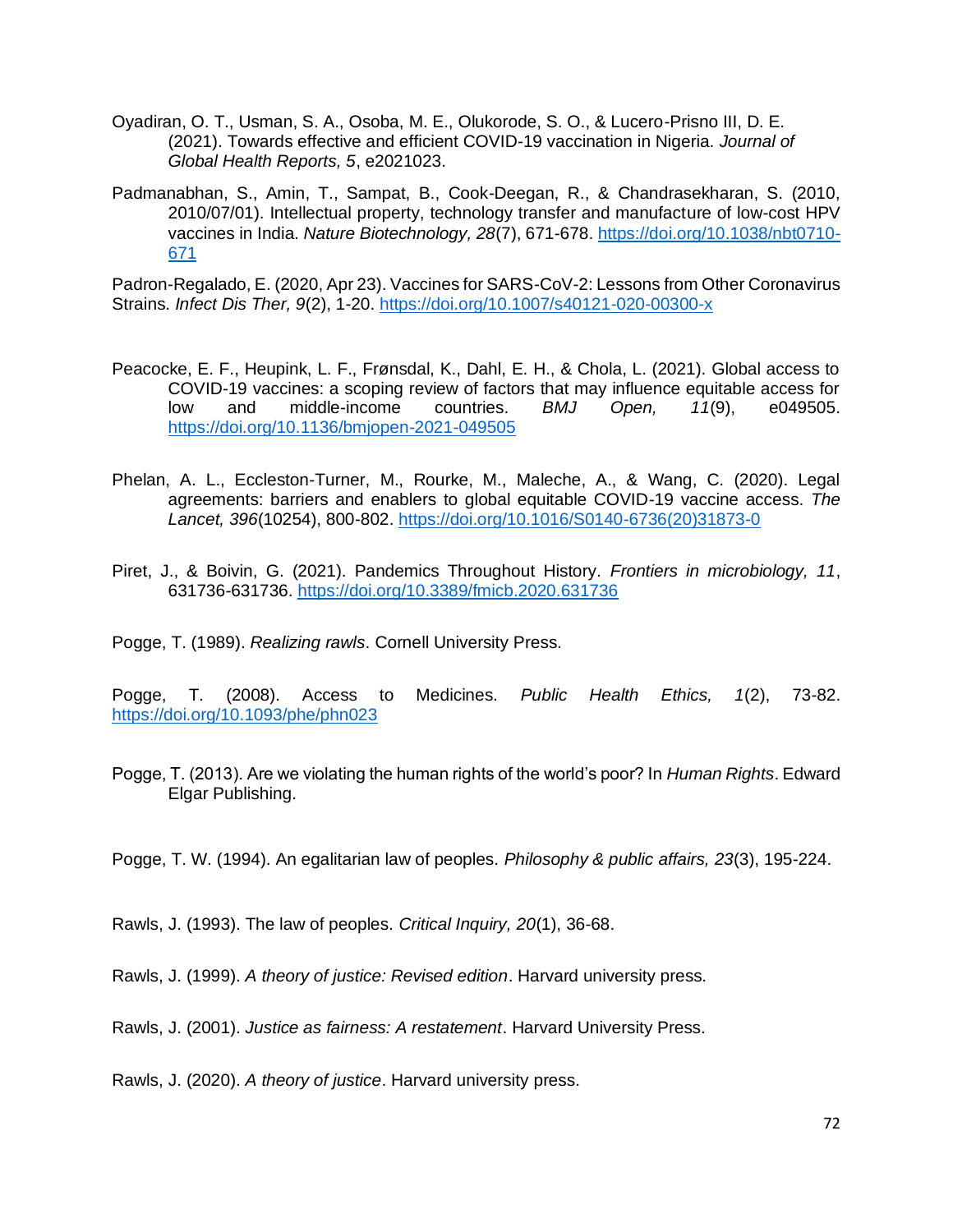- Oyadiran, O. T., Usman, S. A., Osoba, M. E., Olukorode, S. O., & Lucero-Prisno III, D. E. (2021). Towards effective and efficient COVID-19 vaccination in Nigeria. *Journal of Global Health Reports, 5*, e2021023.
- Padmanabhan, S., Amin, T., Sampat, B., Cook-Deegan, R., & Chandrasekharan, S. (2010, 2010/07/01). Intellectual property, technology transfer and manufacture of low-cost HPV vaccines in India. *Nature Biotechnology, 28*(7), 671-678. [https://doi.org/10.1038/nbt0710-](https://doi.org/10.1038/nbt0710-671) [671](https://doi.org/10.1038/nbt0710-671)

Padron-Regalado, E. (2020, Apr 23). Vaccines for SARS-CoV-2: Lessons from Other Coronavirus Strains. *Infect Dis Ther, 9*(2), 1-20.<https://doi.org/10.1007/s40121-020-00300-x>

- Peacocke, E. F., Heupink, L. F., Frønsdal, K., Dahl, E. H., & Chola, L. (2021). Global access to COVID-19 vaccines: a scoping review of factors that may influence equitable access for low and middle-income countries. *BMJ Open, 11*(9), e049505. <https://doi.org/10.1136/bmjopen-2021-049505>
- Phelan, A. L., Eccleston-Turner, M., Rourke, M., Maleche, A., & Wang, C. (2020). Legal agreements: barriers and enablers to global equitable COVID-19 vaccine access. *The Lancet, 396*(10254), 800-802. [https://doi.org/10.1016/S0140-6736\(20\)31873-0](https://doi.org/10.1016/S0140-6736(20)31873-0)
- Piret, J., & Boivin, G. (2021). Pandemics Throughout History. *Frontiers in microbiology, 11*, 631736-631736.<https://doi.org/10.3389/fmicb.2020.631736>

Pogge, T. (1989). *Realizing rawls*. Cornell University Press.

Pogge, T. (2008). Access to Medicines. *Public Health Ethics, 1*(2), 73-82. <https://doi.org/10.1093/phe/phn023>

Pogge, T. (2013). Are we violating the human rights of the world's poor? In *Human Rights*. Edward Elgar Publishing.

Pogge, T. W. (1994). An egalitarian law of peoples. *Philosophy & public affairs, 23*(3), 195-224.

Rawls, J. (1993). The law of peoples. *Critical Inquiry, 20*(1), 36-68.

Rawls, J. (1999). *A theory of justice: Revised edition*. Harvard university press.

Rawls, J. (2001). *Justice as fairness: A restatement*. Harvard University Press.

Rawls, J. (2020). *A theory of justice*. Harvard university press.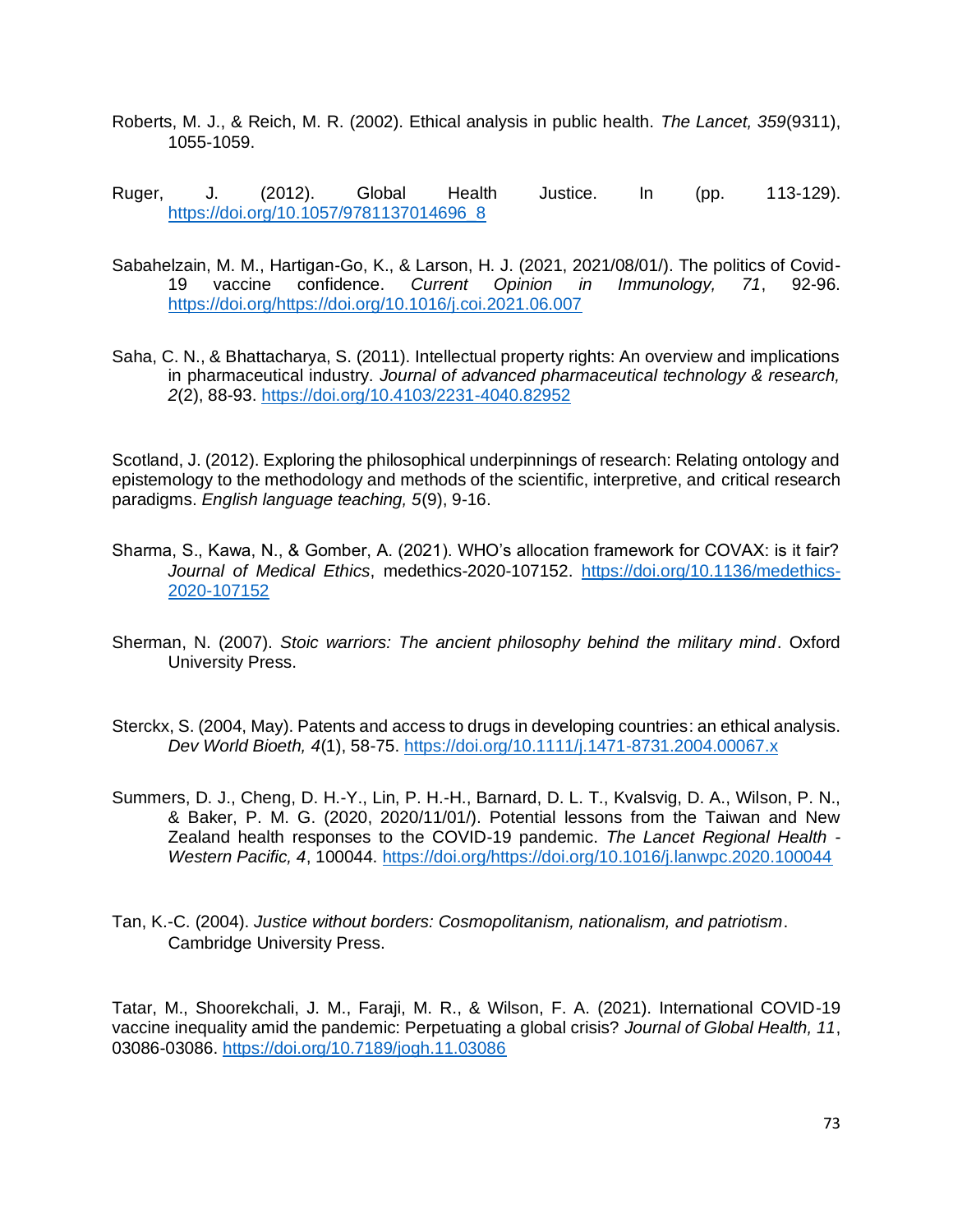- Roberts, M. J., & Reich, M. R. (2002). Ethical analysis in public health. *The Lancet, 359*(9311), 1055-1059.
- Ruger, J. (2012). Global Health Justice. In (pp. 113-129). [https://doi.org/10.1057/9781137014696\\_8](https://doi.org/10.1057/9781137014696_8)
- Sabahelzain, M. M., Hartigan-Go, K., & Larson, H. J. (2021, 2021/08/01/). The politics of Covid-19 vaccine confidence. *Current Opinion in Immunology, 71*, 92-96. [https://doi.org/https://doi.org/10.1016/j.coi.2021.06.007](https://doi.org/https:/doi.org/10.1016/j.coi.2021.06.007)
- Saha, C. N., & Bhattacharya, S. (2011). Intellectual property rights: An overview and implications in pharmaceutical industry. *Journal of advanced pharmaceutical technology & research, 2*(2), 88-93.<https://doi.org/10.4103/2231-4040.82952>

Scotland, J. (2012). Exploring the philosophical underpinnings of research: Relating ontology and epistemology to the methodology and methods of the scientific, interpretive, and critical research paradigms. *English language teaching, 5*(9), 9-16.

- Sharma, S., Kawa, N., & Gomber, A. (2021). WHO's allocation framework for COVAX: is it fair? *Journal of Medical Ethics*, medethics-2020-107152. [https://doi.org/10.1136/medethics-](https://doi.org/10.1136/medethics-2020-107152)[2020-107152](https://doi.org/10.1136/medethics-2020-107152)
- Sherman, N. (2007). *Stoic warriors: The ancient philosophy behind the military mind*. Oxford University Press.
- Sterckx, S. (2004, May). Patents and access to drugs in developing countries: an ethical analysis. *Dev World Bioeth, 4*(1), 58-75.<https://doi.org/10.1111/j.1471-8731.2004.00067.x>
- Summers, D. J., Cheng, D. H.-Y., Lin, P. H.-H., Barnard, D. L. T., Kvalsvig, D. A., Wilson, P. N., & Baker, P. M. G. (2020, 2020/11/01/). Potential lessons from the Taiwan and New Zealand health responses to the COVID-19 pandemic. *The Lancet Regional Health - Western Pacific, 4*, 100044. [https://doi.org/https://doi.org/10.1016/j.lanwpc.2020.100044](https://doi.org/https:/doi.org/10.1016/j.lanwpc.2020.100044)
- Tan, K.-C. (2004). *Justice without borders: Cosmopolitanism, nationalism, and patriotism*. Cambridge University Press.

Tatar, M., Shoorekchali, J. M., Faraji, M. R., & Wilson, F. A. (2021). International COVID-19 vaccine inequality amid the pandemic: Perpetuating a global crisis? *Journal of Global Health, 11*, 03086-03086.<https://doi.org/10.7189/jogh.11.03086>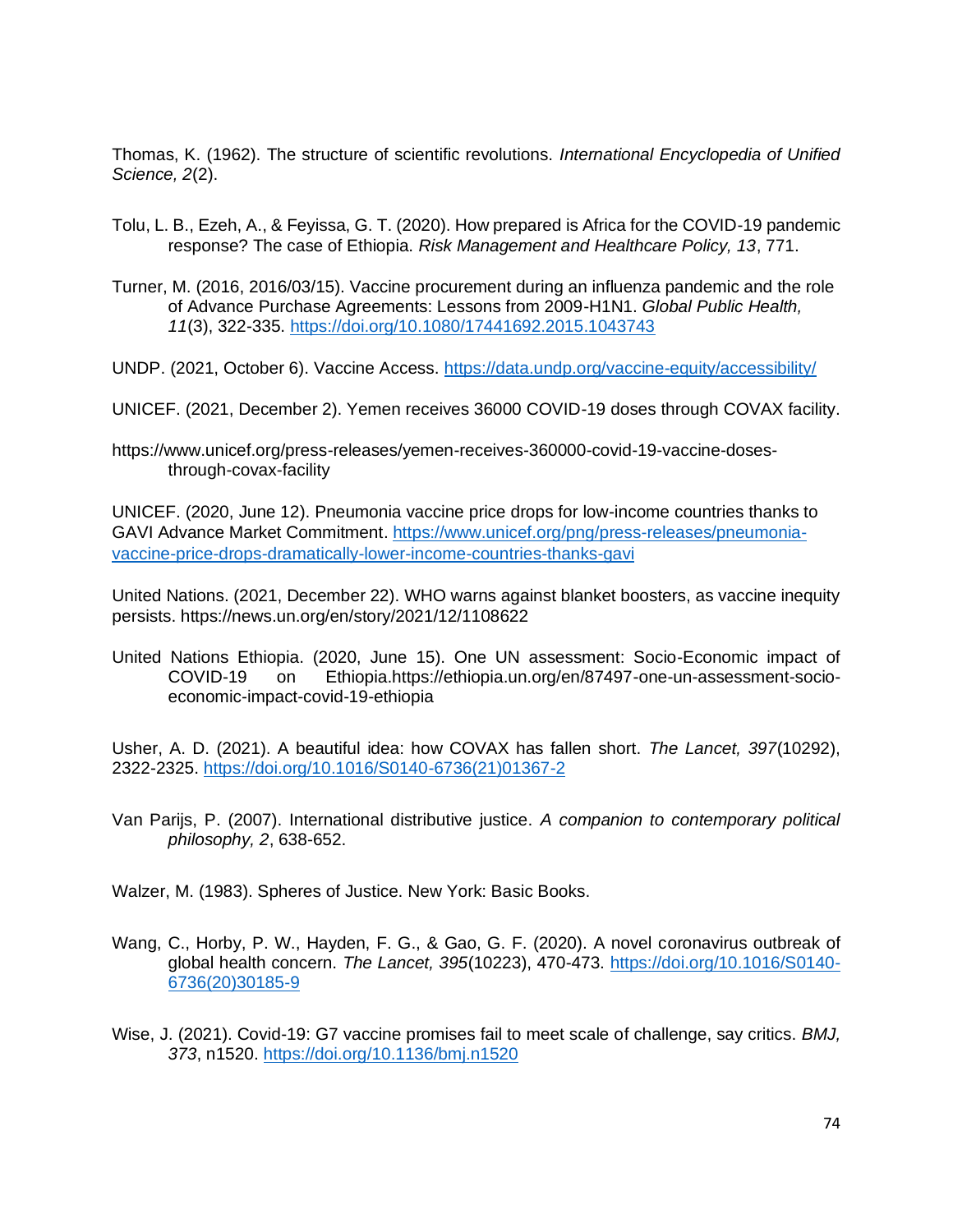Thomas, K. (1962). The structure of scientific revolutions. *International Encyclopedia of Unified Science, 2*(2).

- Tolu, L. B., Ezeh, A., & Feyissa, G. T. (2020). How prepared is Africa for the COVID-19 pandemic response? The case of Ethiopia. *Risk Management and Healthcare Policy, 13*, 771.
- Turner, M. (2016, 2016/03/15). Vaccine procurement during an influenza pandemic and the role of Advance Purchase Agreements: Lessons from 2009-H1N1. *Global Public Health, 11*(3), 322-335.<https://doi.org/10.1080/17441692.2015.1043743>
- UNDP. (2021, October 6). Vaccine Access.<https://data.undp.org/vaccine-equity/accessibility/>
- UNICEF. (2021, December 2). Yemen receives 36000 COVID-19 doses through COVAX facility.
- https://www.unicef.org/press-releases/yemen-receives-360000-covid-19-vaccine-dosesthrough-covax-facility

UNICEF. (2020, June 12). Pneumonia vaccine price drops for low-income countries thanks to GAVI Advance Market Commitment. [https://www.unicef.org/png/press-releases/pneumonia](https://www.unicef.org/png/press-releases/pneumonia-vaccine-price-drops-dramatically-lower-income-countries-thanks-gavi)[vaccine-price-drops-dramatically-lower-income-countries-thanks-gavi](https://www.unicef.org/png/press-releases/pneumonia-vaccine-price-drops-dramatically-lower-income-countries-thanks-gavi)

United Nations. (2021, December 22). WHO warns against blanket boosters, as vaccine inequity persists. https://news.un.org/en/story/2021/12/1108622

United Nations Ethiopia. (2020, June 15). One UN assessment: Socio-Economic impact of COVID-19 on Ethiopia.https://ethiopia.un.org/en/87497-one-un-assessment-socioeconomic-impact-covid-19-ethiopia

Usher, A. D. (2021). A beautiful idea: how COVAX has fallen short. *The Lancet, 397*(10292), 2322-2325. [https://doi.org/10.1016/S0140-6736\(21\)01367-2](https://doi.org/10.1016/S0140-6736(21)01367-2)

Van Parijs, P. (2007). International distributive justice. *A companion to contemporary political philosophy, 2*, 638-652.

Walzer, M. (1983). Spheres of Justice. New York: Basic Books.

- Wang, C., Horby, P. W., Hayden, F. G., & Gao, G. F. (2020). A novel coronavirus outbreak of global health concern. *The Lancet, 395*(10223), 470-473. [https://doi.org/10.1016/S0140-](https://doi.org/10.1016/S0140-6736(20)30185-9) [6736\(20\)30185-9](https://doi.org/10.1016/S0140-6736(20)30185-9)
- Wise, J. (2021). Covid-19: G7 vaccine promises fail to meet scale of challenge, say critics. *BMJ, 373*, n1520.<https://doi.org/10.1136/bmj.n1520>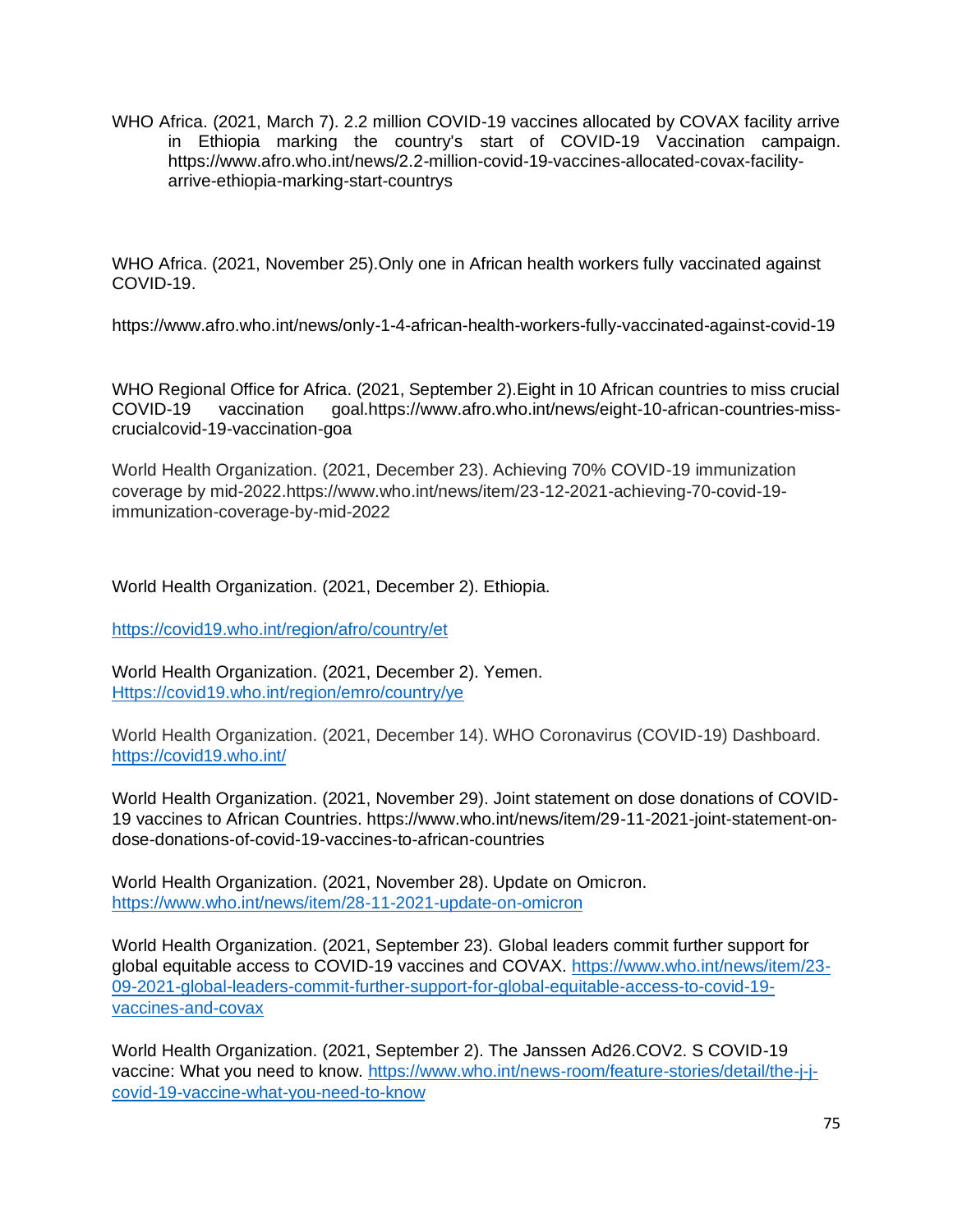WHO Africa. (2021, March 7). 2.2 million COVID-19 vaccines allocated by COVAX facility arrive in Ethiopia marking the country's start of COVID-19 Vaccination campaign. https://www.afro.who.int/news/2.2-million-covid-19-vaccines-allocated-covax-facilityarrive-ethiopia-marking-start-countrys

WHO Africa. (2021, November 25).Only one in African health workers fully vaccinated against COVID-19.

https://www.afro.who.int/news/only-1-4-african-health-workers-fully-vaccinated-against-covid-19

WHO Regional Office for Africa. (2021, September 2).Eight in 10 African countries to miss crucial COVID-19 vaccination goal.https://www.afro.who.int/news/eight-10-african-countries-misscrucialcovid-19-vaccination-goa

World Health Organization. (2021, December 23). Achieving 70% COVID-19 immunization coverage by mid-2022.https://www.who.int/news/item/23-12-2021-achieving-70-covid-19 immunization-coverage-by-mid-2022

World Health Organization. (2021, December 2). Ethiopia.

<https://covid19.who.int/region/afro/country/et>

World Health Organization. (2021, December 2). Yemen. Https://covid19.who.int/region/emro/country/ye

World Health Organization. (2021, December 14). WHO Coronavirus (COVID-19) Dashboard. <https://covid19.who.int/>

World Health Organization. (2021, November 29). Joint statement on dose donations of COVID-19 vaccines to African Countries. https://www.who.int/news/item/29-11-2021-joint-statement-ondose-donations-of-covid-19-vaccines-to-african-countries

World Health Organization. (2021, November 28). Update on Omicron. <https://www.who.int/news/item/28-11-2021-update-on-omicron>

World Health Organization. (2021, September 23). Global leaders commit further support for global equitable access to COVID-19 vaccines and COVAX. [https://www.who.int/news/item/23-](https://www.who.int/news/item/23-09-2021-global-leaders-commit-further-support-for-global-equitable-access-to-covid-19-vaccines-and-covax) [09-2021-global-leaders-commit-further-support-for-global-equitable-access-to-covid-19](https://www.who.int/news/item/23-09-2021-global-leaders-commit-further-support-for-global-equitable-access-to-covid-19-vaccines-and-covax) [vaccines-and-covax](https://www.who.int/news/item/23-09-2021-global-leaders-commit-further-support-for-global-equitable-access-to-covid-19-vaccines-and-covax)

World Health Organization. (2021, September 2). The Janssen Ad26.COV2. S COVID-19 vaccine: What you need to know. [https://www.who.int/news-room/feature-stories/detail/the-j-j](https://www.who.int/news-room/feature-stories/detail/the-j-j-covid-19-vaccine-what-you-need-to-know)[covid-19-vaccine-what-you-need-to-know](https://www.who.int/news-room/feature-stories/detail/the-j-j-covid-19-vaccine-what-you-need-to-know)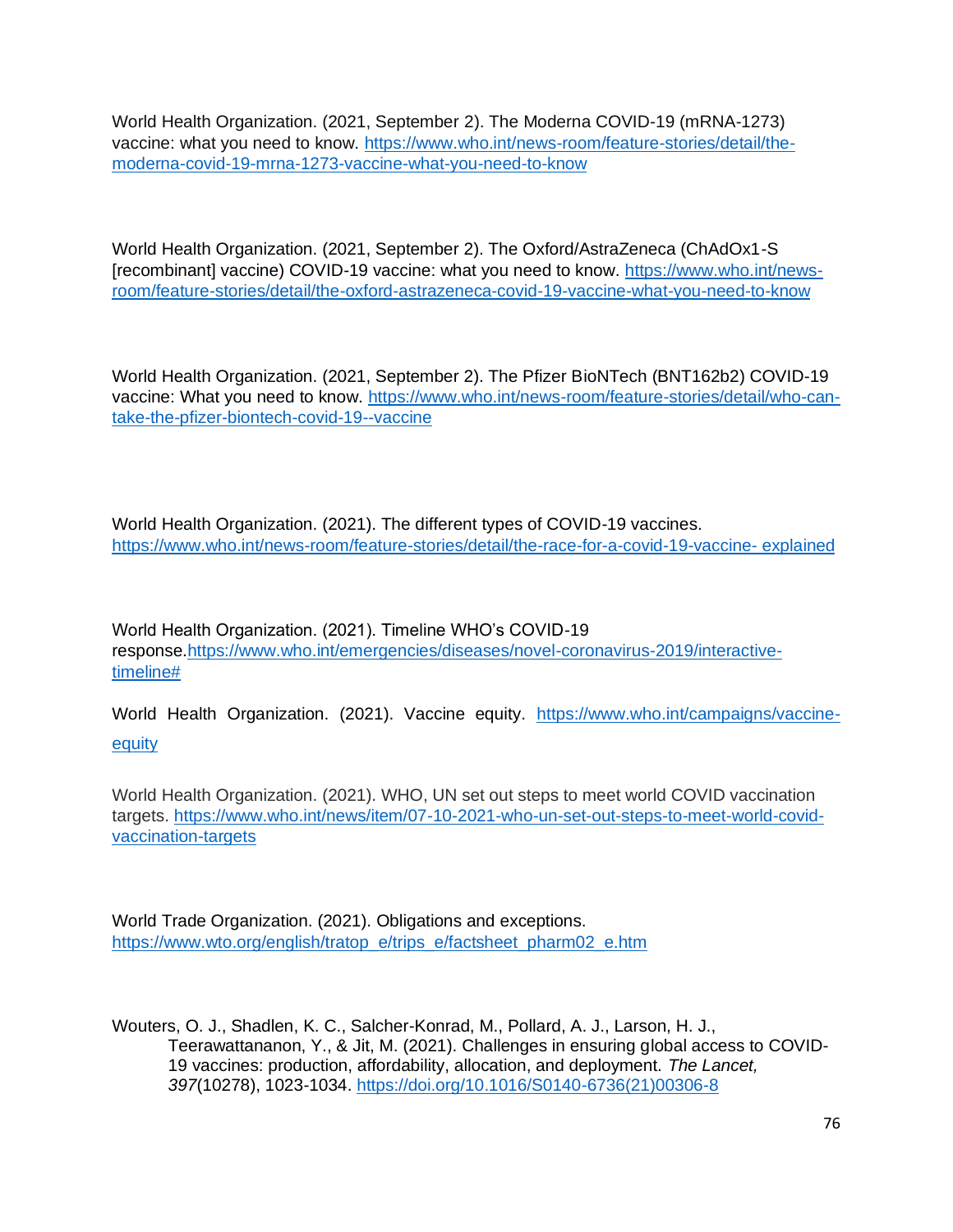World Health Organization. (2021, September 2). The Moderna COVID-19 (mRNA-1273) vaccine: what you need to know. [https://www.who.int/news-room/feature-stories/detail/the](https://www.who.int/news-room/feature-stories/detail/the-moderna-covid-19-mrna-1273-vaccine-what-you-need-to-know)[moderna-covid-19-mrna-1273-vaccine-what-you-need-to-know](https://www.who.int/news-room/feature-stories/detail/the-moderna-covid-19-mrna-1273-vaccine-what-you-need-to-know)

World Health Organization. (2021, September 2). The Oxford/AstraZeneca (ChAdOx1-S [recombinant] vaccine) COVID-19 vaccine: what you need to know. [https://www.who.int/news](https://www.who.int/news-room/feature-stories/detail/the-oxford-astrazeneca-covid-19-vaccine-what-you-need-to-know)[room/feature-stories/detail/the-oxford-astrazeneca-covid-19-vaccine-what-you-need-to-know](https://www.who.int/news-room/feature-stories/detail/the-oxford-astrazeneca-covid-19-vaccine-what-you-need-to-know)

World Health Organization. (2021, September 2). The Pfizer BioNTech (BNT162b2) COVID-19 vaccine: What you need to know. [https://www.who.int/news-room/feature-stories/detail/who-can](https://www.who.int/news-room/feature-stories/detail/who-can-take-the-pfizer-biontech-covid-19--vaccine)[take-the-pfizer-biontech-covid-19--vaccine](https://www.who.int/news-room/feature-stories/detail/who-can-take-the-pfizer-biontech-covid-19--vaccine)

World Health Organization. (2021). The different types of COVID-19 vaccines. [https://www.who.int/news-room/feature-stories/detail/the-race-for-a-covid-19-vaccine-](https://www.who.int/news-room/feature-stories/detail/the-race-for-a-covid-19-vaccine-%20explained) explained

World Health Organization. (2021). Timeline WHO's COVID-19 response[.https://www.who.int/emergencies/diseases/novel-coronavirus-2019/interactive](https://www.who.int/emergencies/diseases/novel-coronavirus-2019/interactive-timeline)[timeline#](https://www.who.int/emergencies/diseases/novel-coronavirus-2019/interactive-timeline)

World Health Organization. (2021). Vaccine equity. [https://www.who.int/campaigns/vaccine](https://www.who.int/campaigns/vaccine-equity)[equity](https://www.who.int/campaigns/vaccine-equity)

World Health Organization. (2021). WHO, UN set out steps to meet world COVID vaccination targets. [https://www.who.int/news/item/07-10-2021-who-un-set-out-steps-to-meet-world-covid](https://www.who.int/news/item/07-10-2021-who-un-set-out-steps-to-meet-world-covid-vaccination-targets)[vaccination-targets](https://www.who.int/news/item/07-10-2021-who-un-set-out-steps-to-meet-world-covid-vaccination-targets)

World Trade Organization. (2021). Obligations and exceptions. [https://www.wto.org/english/tratop\\_e/trips\\_e/factsheet\\_pharm02\\_e.htm](https://www.wto.org/english/tratop_e/trips_e/factsheet_pharm02_e.htm)

Wouters, O. J., Shadlen, K. C., Salcher-Konrad, M., Pollard, A. J., Larson, H. J., Teerawattananon, Y., & Jit, M. (2021). Challenges in ensuring global access to COVID-19 vaccines: production, affordability, allocation, and deployment. *The Lancet, 397*(10278), 1023-1034. [https://doi.org/10.1016/S0140-6736\(21\)00306-8](https://doi.org/10.1016/S0140-6736(21)00306-8)